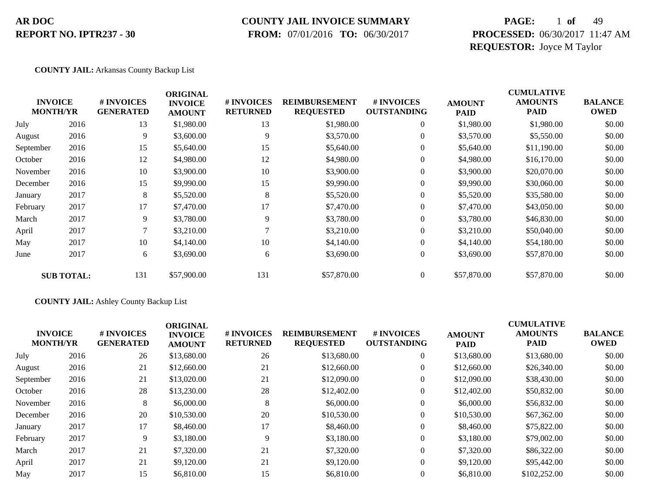### **COUNTY JAIL INVOICE SUMMARY**

 **FROM:** 07/01/2016 **TO:** 06/30/2017

# **PAGE:** 1 **of** 49 **PROCESSED:** 06/30/2017 11:47 AM **REQUESTOR:** Joyce M Taylor

#### **COUNTY JAIL:** Arkansas County Backup List

| <b>INVOICE</b><br><b>MONTH/YR</b> |                   | # INVOICES       | <b>ORIGINAL</b><br><b>INVOICE</b> | # INVOICES      | <b>REIMBURSEMENT</b> | # INVOICES         | <b>AMOUNT</b> | <b>CUMULATIVE</b><br><b>AMOUNTS</b> | <b>BALANCE</b> |
|-----------------------------------|-------------------|------------------|-----------------------------------|-----------------|----------------------|--------------------|---------------|-------------------------------------|----------------|
|                                   |                   | <b>GENERATED</b> | <b>AMOUNT</b>                     | <b>RETURNED</b> | <b>REQUESTED</b>     | <b>OUTSTANDING</b> | <b>PAID</b>   | <b>PAID</b>                         | <b>OWED</b>    |
| July                              | 2016              | 13               | \$1,980.00                        | 13              | \$1,980.00           | $\overline{0}$     | \$1,980.00    | \$1,980.00                          | \$0.00         |
| August                            | 2016              | 9                | \$3,600.00                        | 9               | \$3,570.00           | $\overline{0}$     | \$3,570.00    | \$5,550.00                          | \$0.00         |
| September                         | 2016              | 15               | \$5,640.00                        | 15              | \$5,640.00           | $\overline{0}$     | \$5,640.00    | \$11,190.00                         | \$0.00         |
| October                           | 2016              | 12               | \$4,980.00                        | 12              | \$4,980.00           | $\theta$           | \$4,980.00    | \$16,170.00                         | \$0.00         |
| November                          | 2016              | 10               | \$3,900.00                        | 10              | \$3,900.00           | $\boldsymbol{0}$   | \$3,900.00    | \$20,070.00                         | \$0.00         |
| December                          | 2016              | 15               | \$9,990.00                        | 15              | \$9,990.00           | $\boldsymbol{0}$   | \$9,990.00    | \$30,060.00                         | \$0.00         |
| January                           | 2017              | 8                | \$5,520.00                        | 8               | \$5,520.00           | $\overline{0}$     | \$5,520.00    | \$35,580.00                         | \$0.00         |
| February                          | 2017              | 17               | \$7,470.00                        | 17              | \$7,470.00           | $\theta$           | \$7,470.00    | \$43,050.00                         | \$0.00         |
| March                             | 2017              | 9                | \$3,780.00                        | 9               | \$3,780.00           | $\overline{0}$     | \$3,780.00    | \$46,830.00                         | \$0.00         |
| April                             | 2017              | 7                | \$3,210.00                        |                 | \$3,210.00           | $\overline{0}$     | \$3,210.00    | \$50,040.00                         | \$0.00         |
| May                               | 2017              | 10               | \$4,140.00                        | 10              | \$4,140.00           | $\overline{0}$     | \$4,140.00    | \$54,180.00                         | \$0.00         |
| June                              | 2017              | 6                | \$3,690.00                        | 6               | \$3,690.00           | $\boldsymbol{0}$   | \$3,690.00    | \$57,870.00                         | \$0.00         |
|                                   | <b>SUB TOTAL:</b> | 131              | \$57,900.00                       | 131             | \$57,870.00          | $\overline{0}$     | \$57,870.00   | \$57,870.00                         | \$0.00         |

#### **COUNTY JAIL:** Ashley County Backup List

|           | <b>INVOICE</b><br><b>MONTH/YR</b> | # INVOICES<br><b>GENERATED</b> | <b>ORIGINAL</b><br><b>INVOICE</b><br><b>AMOUNT</b> | # INVOICES<br><b>RETURNED</b> | <b>REIMBURSEMENT</b><br><b>REQUESTED</b> | # INVOICES<br><b>OUTSTANDING</b> | <b>AMOUNT</b><br><b>PAID</b> | <b>CUMULATIVE</b><br><b>AMOUNTS</b><br><b>PAID</b> | <b>BALANCE</b><br><b>OWED</b> |
|-----------|-----------------------------------|--------------------------------|----------------------------------------------------|-------------------------------|------------------------------------------|----------------------------------|------------------------------|----------------------------------------------------|-------------------------------|
| July      | 2016                              | 26                             | \$13,680.00                                        | 26                            | \$13,680.00                              | $\overline{0}$                   | \$13,680.00                  | \$13,680.00                                        | \$0.00                        |
| August    | 2016                              | 21                             | \$12,660.00                                        | 21                            | \$12,660.00                              | $\overline{0}$                   | \$12,660.00                  | \$26,340.00                                        | \$0.00                        |
| September | 2016                              | 21                             | \$13,020.00                                        | 21                            | \$12,090.00                              | $\overline{0}$                   | \$12,090.00                  | \$38,430.00                                        | \$0.00                        |
| October   | 2016                              | 28                             | \$13,230.00                                        | 28                            | \$12,402.00                              | $\overline{0}$                   | \$12,402.00                  | \$50,832.00                                        | \$0.00                        |
| November  | 2016                              | 8                              | \$6,000.00                                         | 8                             | \$6,000.00                               | $\theta$                         | \$6,000.00                   | \$56,832.00                                        | \$0.00                        |
| December  | 2016                              | 20                             | \$10,530.00                                        | 20                            | \$10,530.00                              | $\theta$                         | \$10,530.00                  | \$67,362.00                                        | \$0.00                        |
| January   | 2017                              | 17                             | \$8,460.00                                         | 17                            | \$8,460.00                               | $\overline{0}$                   | \$8,460.00                   | \$75,822.00                                        | \$0.00                        |
| February  | 2017                              | 9                              | \$3,180.00                                         | 9                             | \$3,180.00                               | $\theta$                         | \$3,180.00                   | \$79,002.00                                        | \$0.00                        |
| March     | 2017                              | 21                             | \$7,320.00                                         | 21                            | \$7,320.00                               | $\Omega$                         | \$7,320.00                   | \$86,322.00                                        | \$0.00                        |
| April     | 2017                              | 21                             | \$9,120.00                                         | 21                            | \$9,120.00                               | $\Omega$                         | \$9,120.00                   | \$95,442.00                                        | \$0.00                        |
| May       | 2017                              | 15                             | \$6,810.00                                         | 15                            | \$6,810.00                               | $\theta$                         | \$6,810.00                   | \$102,252.00                                       | \$0.00                        |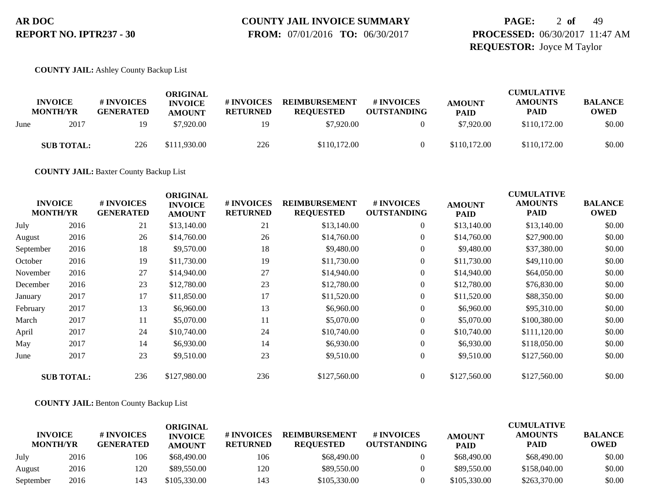# **COUNTY JAIL INVOICE SUMMARY**

 **FROM:** 07/01/2016 **TO:** 06/30/2017

# **PAGE:** 2 **of** 49 **PROCESSED:** 06/30/2017 11:47 AM **REQUESTOR:** Joyce M Taylor

#### **COUNTY JAIL:** Ashley County Backup List

|      | <b>INVOICE</b><br><b>MONTH/YR</b> | # INVOICES<br><b>GENERATED</b> | ORIGINAL<br><b>INVOICE</b><br><b>AMOUNT</b> | <b>#INVOICES</b><br><b>RETURNED</b> | <b>REIMBURSEMENT</b><br><b>REOUESTED</b> | # INVOICES<br><b>OUTSTANDING</b> | <b>AMOUNT</b><br><b>PAID</b> | <b>CUMULATIVE</b><br><b>AMOUNTS</b><br>PAID | <b>BALANCE</b><br><b>OWED</b> |
|------|-----------------------------------|--------------------------------|---------------------------------------------|-------------------------------------|------------------------------------------|----------------------------------|------------------------------|---------------------------------------------|-------------------------------|
| June | 2017                              | 19                             | \$7,920.00                                  | 19                                  | \$7,920.00                               |                                  | \$7,920.00                   | \$110,172.00                                | \$0.00                        |
|      | <b>SUB TOTAL:</b>                 | 226                            | \$111,930.00                                | 226                                 | \$110,172.00                             |                                  | \$110,172.00                 | \$110,172.00                                | \$0.00                        |

**COUNTY JAIL:** Baxter County Backup List

| <b>INVOICE</b><br><b>MONTH/YR</b> |                   | # INVOICES<br><b>GENERATED</b> | <b>ORIGINAL</b><br><b>INVOICE</b><br><b>AMOUNT</b> | # INVOICES<br><b>RETURNED</b> | <b>REIMBURSEMENT</b><br><b>REQUESTED</b> | # INVOICES<br><b>OUTSTANDING</b> | <b>AMOUNT</b><br><b>PAID</b> | <b>CUMULATIVE</b><br><b>AMOUNTS</b><br><b>PAID</b> | <b>BALANCE</b><br><b>OWED</b> |
|-----------------------------------|-------------------|--------------------------------|----------------------------------------------------|-------------------------------|------------------------------------------|----------------------------------|------------------------------|----------------------------------------------------|-------------------------------|
| July                              | 2016              | 21                             | \$13,140.00                                        | 21                            | \$13,140.00                              | $\overline{0}$                   | \$13,140.00                  | \$13,140.00                                        | \$0.00                        |
| August                            | 2016              | 26                             | \$14,760.00                                        | 26                            | \$14,760.00                              | $\boldsymbol{0}$                 | \$14,760.00                  | \$27,900.00                                        | \$0.00                        |
| September                         | 2016              | 18                             | \$9,570.00                                         | 18                            | \$9,480.00                               | $\overline{0}$                   | \$9,480.00                   | \$37,380.00                                        | \$0.00                        |
| October                           | 2016              | 19                             | \$11,730.00                                        | 19                            | \$11,730.00                              | $\boldsymbol{0}$                 | \$11,730.00                  | \$49,110.00                                        | \$0.00                        |
| November                          | 2016              | 27                             | \$14,940.00                                        | 27                            | \$14,940.00                              | $\overline{0}$                   | \$14,940.00                  | \$64,050.00                                        | \$0.00                        |
| December                          | 2016              | 23                             | \$12,780.00                                        | 23                            | \$12,780.00                              | $\overline{0}$                   | \$12,780.00                  | \$76,830.00                                        | \$0.00                        |
| January                           | 2017              | 17                             | \$11,850.00                                        | 17                            | \$11,520.00                              | 0                                | \$11,520.00                  | \$88,350.00                                        | \$0.00                        |
| February                          | 2017              | 13                             | \$6,960.00                                         | 13                            | \$6,960.00                               | $\overline{0}$                   | \$6,960.00                   | \$95,310.00                                        | \$0.00                        |
| March                             | 2017              | 11                             | \$5,070.00                                         | 11                            | \$5,070.00                               | $\boldsymbol{0}$                 | \$5,070.00                   | \$100,380.00                                       | \$0.00                        |
| April                             | 2017              | 24                             | \$10,740.00                                        | 24                            | \$10,740.00                              | 0                                | \$10,740.00                  | \$111,120.00                                       | \$0.00                        |
| May                               | 2017              | 14                             | \$6,930.00                                         | 14                            | \$6,930.00                               | $\overline{0}$                   | \$6,930.00                   | \$118,050.00                                       | \$0.00                        |
| June                              | 2017              | 23                             | \$9,510.00                                         | 23                            | \$9,510.00                               | $\overline{0}$                   | \$9,510.00                   | \$127,560.00                                       | \$0.00                        |
|                                   | <b>SUB TOTAL:</b> | 236                            | \$127,980.00                                       | 236                           | \$127,560.00                             | $\overline{0}$                   | \$127,560.00                 | \$127,560.00                                       | \$0.00                        |

#### **COUNTY JAIL:** Benton County Backup List

|                                   |      |                                       | ORIGINAL                        |                               |                                          |                                  |                              | <b>CUMULATIVE</b>             |                               |
|-----------------------------------|------|---------------------------------------|---------------------------------|-------------------------------|------------------------------------------|----------------------------------|------------------------------|-------------------------------|-------------------------------|
| <b>INVOICE</b><br><b>MONTH/YR</b> |      | <b># INVOICES</b><br><b>GENERATED</b> | <b>INVOICE</b><br><b>AMOUNT</b> | # INVOICES<br><b>RETURNED</b> | <b>REIMBURSEMENT</b><br><b>REOUESTED</b> | # INVOICES<br><b>OUTSTANDING</b> | <b>AMOUNT</b><br><b>PAID</b> | <b>AMOUNTS</b><br><b>PAID</b> | <b>BALANCE</b><br><b>OWED</b> |
| July                              | 2016 | 106                                   | \$68,490.00                     | 106                           | \$68,490.00                              |                                  | \$68,490.00                  | \$68,490.00                   | \$0.00                        |
| August                            | 2016 | 120                                   | \$89,550.00                     | 120                           | \$89,550.00                              |                                  | \$89,550.00                  | \$158,040.00                  | \$0.00                        |
| September                         | 2016 | 143                                   | \$105,330.00                    | 143                           | \$105,330.00                             |                                  | \$105,330.00                 | \$263,370.00                  | \$0.00                        |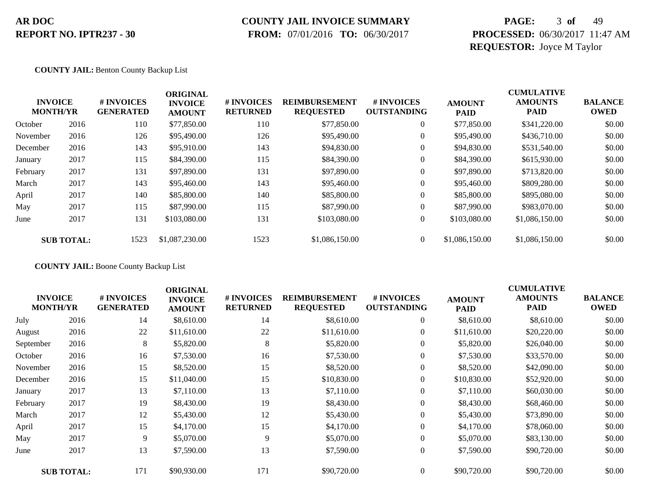### **COUNTY JAIL INVOICE SUMMARY**

 **FROM:** 07/01/2016 **TO:** 06/30/2017

# **PAGE:** 3 **of** 49 **PROCESSED:** 06/30/2017 11:47 AM **REQUESTOR:** Joyce M Taylor

**COUNTY JAIL:** Benton County Backup List

|          | <b>INVOICE</b><br><b>MONTH/YR</b> | # INVOICES<br><b>GENERATED</b> | <b>ORIGINAL</b><br><b>INVOICE</b><br><b>AMOUNT</b> | # INVOICES<br><b>RETURNED</b> | <b>REIMBURSEMENT</b><br><b>REQUESTED</b> | # INVOICES<br><b>OUTSTANDING</b> | <b>AMOUNT</b><br><b>PAID</b> | <b>CUMULATIVE</b><br><b>AMOUNTS</b><br><b>PAID</b> | <b>BALANCE</b><br><b>OWED</b> |
|----------|-----------------------------------|--------------------------------|----------------------------------------------------|-------------------------------|------------------------------------------|----------------------------------|------------------------------|----------------------------------------------------|-------------------------------|
| October  | 2016                              | 110                            | \$77,850.00                                        | 110                           | \$77,850.00                              | $\overline{0}$                   | \$77,850.00                  | \$341,220.00                                       | \$0.00                        |
| November | 2016                              | 126                            | \$95,490.00                                        | 126                           | \$95,490.00                              | 0                                | \$95,490.00                  | \$436,710.00                                       | \$0.00                        |
| December | 2016                              | 143                            | \$95,910.00                                        | 143                           | \$94,830.00                              | $\overline{0}$                   | \$94,830.00                  | \$531,540.00                                       | \$0.00                        |
| January  | 2017                              | 115                            | \$84,390.00                                        | 115                           | \$84,390.00                              | 0                                | \$84,390.00                  | \$615,930.00                                       | \$0.00                        |
| February | 2017                              | 131                            | \$97,890.00                                        | 131                           | \$97,890.00                              | 0                                | \$97,890.00                  | \$713,820.00                                       | \$0.00                        |
| March    | 2017                              | 143                            | \$95,460.00                                        | 143                           | \$95,460.00                              | $\overline{0}$                   | \$95,460.00                  | \$809,280.00                                       | \$0.00                        |
| April    | 2017                              | 140                            | \$85,800.00                                        | 140                           | \$85,800.00                              | 0                                | \$85,800.00                  | \$895,080.00                                       | \$0.00                        |
| May      | 2017                              | 115                            | \$87,990.00                                        | 115                           | \$87,990.00                              | $\Omega$                         | \$87,990.00                  | \$983,070.00                                       | \$0.00                        |
| June     | 2017                              | 131                            | \$103,080.00                                       | 131                           | \$103,080.00                             | $\overline{0}$                   | \$103,080.00                 | \$1,086,150.00                                     | \$0.00                        |
|          | <b>SUB TOTAL:</b>                 | 1523                           | \$1,087,230.00                                     | 1523                          | \$1,086,150,00                           | $\overline{0}$                   | \$1,086,150.00               | \$1,086,150,00                                     | \$0.00                        |

**COUNTY JAIL:** Boone County Backup List

| <b>INVOICE</b><br><b>MONTH/YR</b> |                   | # INVOICES<br><b>GENERATED</b> | <b>ORIGINAL</b><br><b>INVOICE</b><br><b>AMOUNT</b> | # INVOICES<br><b>RETURNED</b> | <b>REIMBURSEMENT</b><br><b>REQUESTED</b> | # INVOICES<br><b>OUTSTANDING</b> | <b>AMOUNT</b><br>PAID | <b>CUMULATIVE</b><br><b>AMOUNTS</b><br><b>PAID</b> | <b>BALANCE</b><br><b>OWED</b> |
|-----------------------------------|-------------------|--------------------------------|----------------------------------------------------|-------------------------------|------------------------------------------|----------------------------------|-----------------------|----------------------------------------------------|-------------------------------|
| July                              | 2016              | 14                             | \$8,610.00                                         | 14                            | \$8,610.00                               | $\boldsymbol{0}$                 | \$8,610.00            | \$8,610.00                                         | \$0.00                        |
| August                            | 2016              | 22                             | \$11,610.00                                        | 22                            | \$11,610.00                              | $\boldsymbol{0}$                 | \$11,610.00           | \$20,220.00                                        | \$0.00                        |
| September                         | 2016              | 8                              | \$5,820.00                                         | 8                             | \$5,820.00                               | $\overline{0}$                   | \$5,820.00            | \$26,040.00                                        | \$0.00                        |
| October                           | 2016              | 16                             | \$7,530.00                                         | 16                            | \$7,530.00                               | 0                                | \$7,530.00            | \$33,570.00                                        | \$0.00                        |
| November                          | 2016              | 15                             | \$8,520.00                                         | 15                            | \$8,520.00                               | $\overline{0}$                   | \$8,520.00            | \$42,090.00                                        | \$0.00                        |
| December                          | 2016              | 15                             | \$11,040.00                                        | 15                            | \$10,830.00                              | $\overline{0}$                   | \$10,830.00           | \$52,920.00                                        | \$0.00                        |
| January                           | 2017              | 13                             | \$7,110.00                                         | 13                            | \$7,110.00                               | $\overline{0}$                   | \$7,110.00            | \$60,030.00                                        | \$0.00                        |
| February                          | 2017              | 19                             | \$8,430.00                                         | 19                            | \$8,430.00                               | $\boldsymbol{0}$                 | \$8,430.00            | \$68,460.00                                        | \$0.00                        |
| March                             | 2017              | 12                             | \$5,430.00                                         | 12                            | \$5,430.00                               | $\overline{0}$                   | \$5,430.00            | \$73,890.00                                        | \$0.00                        |
| April                             | 2017              | 15                             | \$4,170.00                                         | 15                            | \$4,170.00                               | $\overline{0}$                   | \$4,170.00            | \$78,060.00                                        | \$0.00                        |
| May                               | 2017              | 9                              | \$5,070.00                                         | 9                             | \$5,070.00                               | $\overline{0}$                   | \$5,070.00            | \$83,130.00                                        | \$0.00                        |
| June                              | 2017              | 13                             | \$7,590.00                                         | 13                            | \$7,590.00                               | $\boldsymbol{0}$                 | \$7,590.00            | \$90,720.00                                        | \$0.00                        |
|                                   | <b>SUB TOTAL:</b> | 171                            | \$90,930.00                                        | 171                           | \$90,720.00                              | $\overline{0}$                   | \$90,720.00           | \$90,720.00                                        | \$0.00                        |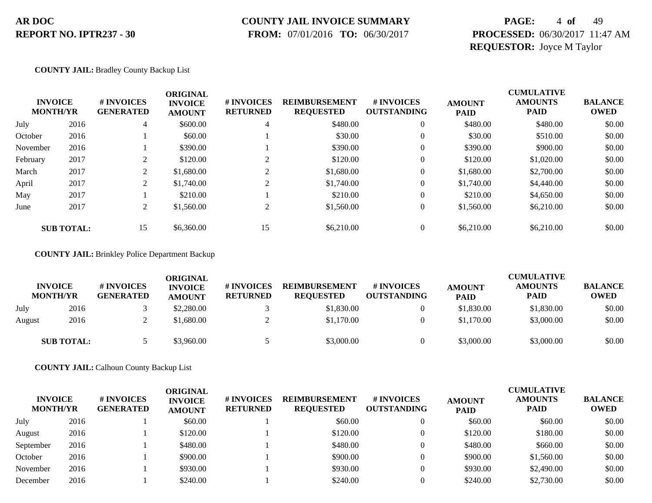### **COUNTY JAIL INVOICE SUMMARY**

 **FROM:** 07/01/2016 **TO:** 06/30/2017

# **PAGE:** 4 **of** 49 **PROCESSED:** 06/30/2017 11:47 AM **REQUESTOR:** Joyce M Taylor

#### **COUNTY JAIL:** Bradley County Backup List

| <b>INVOICE</b><br><b>MONTH/YR</b> |                   | # INVOICES<br><b>GENERATED</b> | <b>ORIGINAL</b><br><b>INVOICE</b><br><b>AMOUNT</b> | # INVOICES<br><b>RETURNED</b> | <b>REIMBURSEMENT</b><br><b>REQUESTED</b> | # INVOICES<br><b>OUTSTANDING</b> | <b>AMOUNT</b><br><b>PAID</b> | <b>CUMULATIVE</b><br><b>AMOUNTS</b><br><b>PAID</b> | <b>BALANCE</b><br><b>OWED</b> |
|-----------------------------------|-------------------|--------------------------------|----------------------------------------------------|-------------------------------|------------------------------------------|----------------------------------|------------------------------|----------------------------------------------------|-------------------------------|
| July                              | 2016              | 4                              | \$600.00                                           | 4                             | \$480.00                                 | $\overline{0}$                   | \$480.00                     | \$480.00                                           | \$0.00                        |
| October                           | 2016              |                                | \$60.00                                            |                               | \$30.00                                  | $\mathbf{0}$                     | \$30.00                      | \$510.00                                           | \$0.00                        |
| November                          | 2016              |                                | \$390.00                                           |                               | \$390.00                                 | $\mathbf{0}$                     | \$390.00                     | \$900.00                                           | \$0.00                        |
| February                          | 2017              | $\gamma$                       | \$120.00                                           |                               | \$120.00                                 | $\mathbf{0}$                     | \$120.00                     | \$1,020.00                                         | \$0.00                        |
| March                             | 2017              | 2                              | \$1,680.00                                         |                               | \$1,680.00                               | $\overline{0}$                   | \$1,680.00                   | \$2,700.00                                         | \$0.00                        |
| April                             | 2017              | 2                              | \$1,740.00                                         | $\sim$                        | \$1,740.00                               | $\overline{0}$                   | \$1,740.00                   | \$4,440.00                                         | \$0.00                        |
| May                               | 2017              |                                | \$210.00                                           |                               | \$210.00                                 | $\overline{0}$                   | \$210.00                     | \$4,650.00                                         | \$0.00                        |
| June                              | 2017              | 2                              | \$1,560.00                                         | $\sim$                        | \$1,560.00                               | $\overline{0}$                   | \$1,560.00                   | \$6,210.00                                         | \$0.00                        |
|                                   | <b>SUB TOTAL:</b> | 15                             | \$6,360.00                                         | 15                            | \$6,210.00                               |                                  | \$6,210.00                   | \$6,210.00                                         | \$0.00                        |

#### **COUNTY JAIL:** Brinkley Police Department Backup

|        | <b>INVOICE</b><br><b>MONTH/YR</b> | # INVOICES<br><b>GENERATED</b> | ORIGINAL<br><b>INVOICE</b><br><b>AMOUNT</b> | # INVOICES<br><b>RETURNED</b> | <b>REIMBURSEMENT</b><br><b>REOUESTED</b> | # INVOICES<br><b>OUTSTANDING</b> | <b>AMOUNT</b><br><b>PAID</b> | CUMULATIVE<br><b>AMOUNTS</b><br><b>PAID</b> | <b>BALANCE</b><br><b>OWED</b> |
|--------|-----------------------------------|--------------------------------|---------------------------------------------|-------------------------------|------------------------------------------|----------------------------------|------------------------------|---------------------------------------------|-------------------------------|
| July   | 2016                              |                                | \$2,280.00                                  |                               | \$1,830.00                               |                                  | \$1,830.00                   | \$1,830.00                                  | \$0.00                        |
| August | 2016                              |                                | \$1,680.00                                  |                               | \$1,170.00                               |                                  | \$1,170.00                   | \$3,000.00                                  | \$0.00                        |
|        | <b>SUB TOTAL:</b>                 |                                | \$3,960.00                                  |                               | \$3,000.00                               |                                  | \$3,000.00                   | \$3,000.00                                  | \$0.00                        |

**COUNTY JAIL:** Calhoun County Backup List

| <b>INVOICE</b><br><b>MONTH/YR</b> |      | # INVOICES<br><b>GENERATED</b> | ORIGINAL<br><b>INVOICE</b><br><b>AMOUNT</b> | <b>#INVOICES</b><br><b>RETURNED</b> | <b>REIMBURSEMENT</b><br><b>REQUESTED</b> | # INVOICES<br><b>OUTSTANDING</b> | <b>AMOUNT</b><br><b>PAID</b> | <b>CUMULATIVE</b><br><b>AMOUNTS</b><br><b>PAID</b> | <b>BALANCE</b><br><b>OWED</b> |
|-----------------------------------|------|--------------------------------|---------------------------------------------|-------------------------------------|------------------------------------------|----------------------------------|------------------------------|----------------------------------------------------|-------------------------------|
| July                              | 2016 |                                | \$60.00                                     |                                     | \$60.00                                  |                                  | \$60.00                      | \$60.00                                            | \$0.00                        |
| August                            | 2016 |                                | \$120.00                                    |                                     | \$120.00                                 |                                  | \$120.00                     | \$180.00                                           | \$0.00                        |
| September                         | 2016 |                                | \$480.00                                    |                                     | \$480.00                                 |                                  | \$480.00                     | \$660.00                                           | \$0.00                        |
| October                           | 2016 |                                | \$900.00                                    |                                     | \$900.00                                 |                                  | \$900.00                     | \$1,560.00                                         | \$0.00                        |
| November                          | 2016 |                                | \$930.00                                    |                                     | \$930.00                                 |                                  | \$930.00                     | \$2,490.00                                         | \$0.00                        |
| December                          | 2016 |                                | \$240.00                                    |                                     | \$240.00                                 |                                  | \$240.00                     | \$2,730.00                                         | \$0.00                        |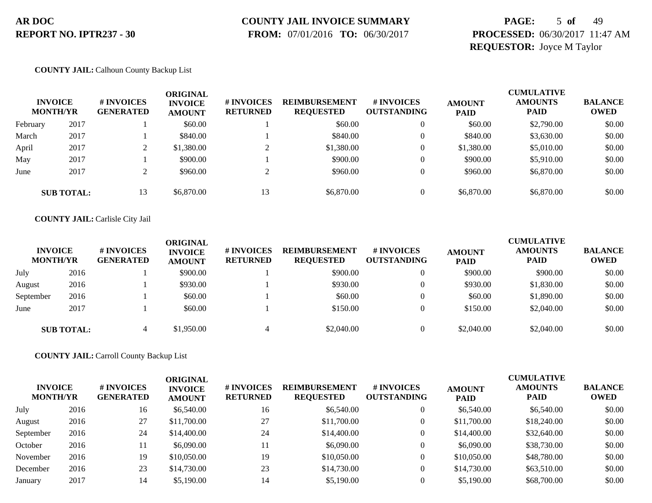### **COUNTY JAIL INVOICE SUMMARY**

 **FROM:** 07/01/2016 **TO:** 06/30/2017

# **PAGE:** 5 **of** 49 **PROCESSED:** 06/30/2017 11:47 AM **REQUESTOR:** Joyce M Taylor

#### **COUNTY JAIL:** Calhoun County Backup List

|          | <b>INVOICE</b><br><b>MONTH/YR</b> | # INVOICES<br><b>GENERATED</b> | ORIGINAL<br><b>INVOICE</b><br><b>AMOUNT</b> | # INVOICES<br><b>RETURNED</b> | <b>REIMBURSEMENT</b><br><b>REQUESTED</b> | # INVOICES<br><b>OUTSTANDING</b> | <b>AMOUNT</b><br><b>PAID</b> | <b>CUMULATIVE</b><br><b>AMOUNTS</b><br><b>PAID</b> | <b>BALANCE</b><br><b>OWED</b> |
|----------|-----------------------------------|--------------------------------|---------------------------------------------|-------------------------------|------------------------------------------|----------------------------------|------------------------------|----------------------------------------------------|-------------------------------|
| February | 2017                              |                                | \$60.00                                     |                               | \$60.00                                  |                                  | \$60.00                      | \$2,790.00                                         | \$0.00                        |
| March    | 2017                              |                                | \$840.00                                    |                               | \$840.00                                 |                                  | \$840.00                     | \$3,630.00                                         | \$0.00                        |
| April    | 2017                              |                                | \$1,380.00                                  |                               | \$1,380.00                               |                                  | \$1,380.00                   | \$5,010.00                                         | \$0.00                        |
| May      | 2017                              |                                | \$900.00                                    |                               | \$900.00                                 |                                  | \$900.00                     | \$5,910.00                                         | \$0.00                        |
| June     | 2017                              |                                | \$960.00                                    |                               | \$960.00                                 |                                  | \$960.00                     | \$6,870.00                                         | \$0.00                        |
|          | <b>SUB TOTAL:</b>                 | 13                             | \$6,870.00                                  | 13                            | \$6,870.00                               |                                  | \$6,870.00                   | \$6,870.00                                         | \$0.00                        |

#### **COUNTY JAIL:** Carlisle City Jail

| <b>INVOICE</b><br><b>MONTH/YR</b> |                   | # INVOICES<br><b>GENERATED</b> | ORIGINAL<br><b>INVOICE</b><br><b>AMOUNT</b> | # INVOICES<br><b>RETURNED</b> | <b>REIMBURSEMENT</b><br><b>REQUESTED</b> | # INVOICES<br><b>OUTSTANDING</b> | <b>AMOUNT</b><br><b>PAID</b> | <b>CUMULATIVE</b><br><b>AMOUNTS</b><br><b>PAID</b> | <b>BALANCE</b><br><b>OWED</b> |
|-----------------------------------|-------------------|--------------------------------|---------------------------------------------|-------------------------------|------------------------------------------|----------------------------------|------------------------------|----------------------------------------------------|-------------------------------|
| July                              | 2016              |                                | \$900.00                                    |                               | \$900.00                                 |                                  | \$900.00                     | \$900.00                                           | \$0.00                        |
| August                            | 2016              |                                | \$930.00                                    |                               | \$930.00                                 |                                  | \$930.00                     | \$1,830.00                                         | \$0.00                        |
| September                         | 2016              |                                | \$60.00                                     |                               | \$60.00                                  |                                  | \$60.00                      | \$1,890.00                                         | \$0.00                        |
| June                              | 2017              |                                | \$60.00                                     |                               | \$150.00                                 |                                  | \$150.00                     | \$2,040.00                                         | \$0.00                        |
|                                   | <b>SUB TOTAL:</b> |                                | \$1,950.00                                  |                               | \$2,040.00                               |                                  | \$2,040.00                   | \$2,040.00                                         | \$0.00                        |

**COUNTY JAIL:** Carroll County Backup List

| <b>INVOICE</b><br><b>MONTH/YR</b> |      | # INVOICES<br><b>GENERATED</b> | <b>ORIGINAL</b><br><b>INVOICE</b><br><b>AMOUNT</b> | <b>#INVOICES</b><br><b>RETURNED</b> | <b>REIMBURSEMENT</b><br><b>REQUESTED</b> | # INVOICES<br><b>OUTSTANDING</b> | <b>AMOUNT</b><br><b>PAID</b> | <b>CUMULATIVE</b><br><b>AMOUNTS</b><br><b>PAID</b> | <b>BALANCE</b><br><b>OWED</b> |
|-----------------------------------|------|--------------------------------|----------------------------------------------------|-------------------------------------|------------------------------------------|----------------------------------|------------------------------|----------------------------------------------------|-------------------------------|
| July                              | 2016 | 16                             | \$6,540.00                                         | 16                                  | \$6,540.00                               |                                  | \$6,540.00                   | \$6,540.00                                         | \$0.00                        |
| August                            | 2016 | 27                             | \$11,700.00                                        | 27                                  | \$11,700.00                              | 0                                | \$11,700.00                  | \$18,240.00                                        | \$0.00                        |
| September                         | 2016 | 24                             | \$14,400.00                                        | 24                                  | \$14,400.00                              | 0                                | \$14,400.00                  | \$32,640.00                                        | \$0.00                        |
| October                           | 2016 | 11                             | \$6,090.00                                         |                                     | \$6,090.00                               |                                  | \$6,090.00                   | \$38,730.00                                        | \$0.00                        |
| November                          | 2016 | 19                             | \$10,050.00                                        | 19                                  | \$10,050.00                              |                                  | \$10,050.00                  | \$48,780.00                                        | \$0.00                        |
| December                          | 2016 | 23                             | \$14,730.00                                        | 23                                  | \$14,730.00                              | 0                                | \$14,730.00                  | \$63,510.00                                        | \$0.00                        |
| January                           | 2017 | 14                             | \$5,190.00                                         | 14                                  | \$5,190.00                               |                                  | \$5,190.00                   | \$68,700.00                                        | \$0.00                        |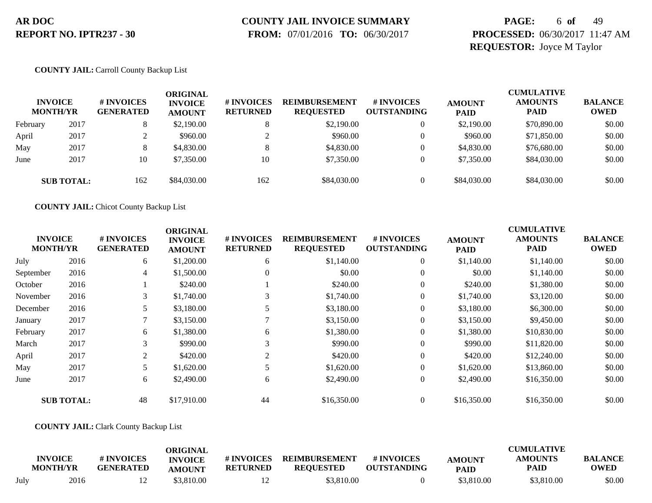### **COUNTY JAIL INVOICE SUMMARY**

 **FROM:** 07/01/2016 **TO:** 06/30/2017

### **PAGE:** 6 **of** 49 **PROCESSED:** 06/30/2017 11:47 AM **REQUESTOR:** Joyce M Taylor

#### **COUNTY JAIL:** Carroll County Backup List

|          | <b>INVOICE</b><br><b>MONTH/YR</b> | # INVOICES<br><b>GENERATED</b> | ORIGINAL<br><b>INVOICE</b><br><b>AMOUNT</b> | # INVOICES<br><b>RETURNED</b> | <b>REIMBURSEMENT</b><br><b>REQUESTED</b> | # INVOICES<br><b>OUTSTANDING</b> | <b>AMOUNT</b><br><b>PAID</b> | <b>CUMULATIVE</b><br><b>AMOUNTS</b><br><b>PAID</b> | <b>BALANCE</b><br><b>OWED</b> |
|----------|-----------------------------------|--------------------------------|---------------------------------------------|-------------------------------|------------------------------------------|----------------------------------|------------------------------|----------------------------------------------------|-------------------------------|
| February | 2017                              | $\circ$                        | \$2,190.00                                  |                               | \$2,190.00                               | 0                                | \$2,190.00                   | \$70,890.00                                        | \$0.00                        |
| April    | 2017                              |                                | \$960.00                                    |                               | \$960.00                                 | $\Omega$                         | \$960.00                     | \$71,850.00                                        | \$0.00                        |
| May      | 2017                              | $\circ$<br>$\circ$             | \$4,830.00                                  |                               | \$4,830.00                               | $\Omega$                         | \$4,830.00                   | \$76,680.00                                        | \$0.00                        |
| June     | 2017                              | 10                             | \$7,350.00                                  | 10                            | \$7,350.00                               | 0                                | \$7,350.00                   | \$84,030.00                                        | \$0.00                        |
|          | <b>SUB TOTAL:</b>                 | 162                            | \$84,030.00                                 | 162                           | \$84,030.00                              | $\Omega$                         | \$84,030.00                  | \$84,030.00                                        | \$0.00                        |

**COUNTY JAIL:** Chicot County Backup List

|           |                                   |                                | <b>ORIGINAL</b>                 |                               |                                          |                                  |                              | <b>CUMULATIVE</b>             |                               |
|-----------|-----------------------------------|--------------------------------|---------------------------------|-------------------------------|------------------------------------------|----------------------------------|------------------------------|-------------------------------|-------------------------------|
|           | <b>INVOICE</b><br><b>MONTH/YR</b> | # INVOICES<br><b>GENERATED</b> | <b>INVOICE</b><br><b>AMOUNT</b> | # INVOICES<br><b>RETURNED</b> | <b>REIMBURSEMENT</b><br><b>REQUESTED</b> | # INVOICES<br><b>OUTSTANDING</b> | <b>AMOUNT</b><br><b>PAID</b> | <b>AMOUNTS</b><br><b>PAID</b> | <b>BALANCE</b><br><b>OWED</b> |
| July      | 2016                              | 6                              | \$1,200.00                      | 6                             | \$1,140.00                               | $\overline{0}$                   | \$1,140.00                   | \$1,140.00                    | \$0.00                        |
| September | 2016                              | 4                              | \$1,500.00                      | $\mathbf{0}$                  | \$0.00                                   | $\overline{0}$                   | \$0.00                       | \$1,140.00                    | \$0.00                        |
| October   | 2016                              |                                | \$240.00                        |                               | \$240.00                                 | $\overline{0}$                   | \$240.00                     | \$1,380.00                    | \$0.00                        |
| November  | 2016                              | 3                              | \$1,740.00                      | 3                             | \$1,740.00                               | $\overline{0}$                   | \$1,740.00                   | \$3,120.00                    | \$0.00                        |
| December  | 2016                              | 5                              | \$3,180.00                      | 5                             | \$3,180.00                               | $\overline{0}$                   | \$3,180.00                   | \$6,300.00                    | \$0.00                        |
| January   | 2017                              |                                | \$3,150.00                      |                               | \$3,150.00                               | $\overline{0}$                   | \$3,150.00                   | \$9,450.00                    | \$0.00                        |
| February  | 2017                              | 6                              | \$1,380.00                      | 6                             | \$1,380.00                               | $\overline{0}$                   | \$1,380.00                   | \$10,830.00                   | \$0.00                        |
| March     | 2017                              | 3                              | \$990.00                        | 3                             | \$990.00                                 | $\overline{0}$                   | \$990.00                     | \$11,820.00                   | \$0.00                        |
| April     | 2017                              | 2                              | \$420.00                        | 2                             | \$420.00                                 | $\overline{0}$                   | \$420.00                     | \$12,240.00                   | \$0.00                        |
| May       | 2017                              |                                | \$1,620.00                      |                               | \$1,620.00                               | $\overline{0}$                   | \$1,620.00                   | \$13,860.00                   | \$0.00                        |
| June      | 2017                              | 6                              | \$2,490.00                      | 6                             | \$2,490.00                               | $\overline{0}$                   | \$2,490.00                   | \$16,350.00                   | \$0.00                        |
|           | <b>SUB TOTAL:</b>                 | 48                             | \$17,910.00                     | 44                            | \$16,350.00                              | $\overline{0}$                   | \$16,350.00                  | \$16,350.00                   | \$0.00                        |

#### **COUNTY JAIL:** Clark County Backup List

|      | <b>INVOICE</b><br><b>MONTH/YR</b> | # INVOICES<br><b>GENERATED</b> | ORIGINAL<br><b>INVOICE</b><br><b>AMOUNT</b> | # INVOICES<br><b>RETURNED</b> | <b>REIMBURSEMENT</b><br><b>REOUESTED</b> | # INVOICES<br><b>OUTSTANDING</b> | <b>AMOUNT</b><br><b>PAID</b> | <b>CUMULATIVE</b><br><b>AMOUNTS</b><br>PAID | <b>BALANCE</b><br>OWED |
|------|-----------------------------------|--------------------------------|---------------------------------------------|-------------------------------|------------------------------------------|----------------------------------|------------------------------|---------------------------------------------|------------------------|
| July | 2016                              |                                | \$3,810.00                                  |                               | \$3,810.00                               |                                  | \$3,810.00                   | \$3,810.00                                  | \$0.00                 |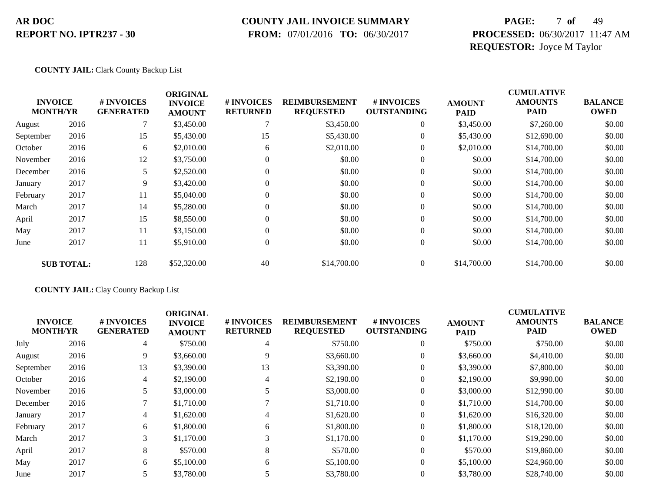### **COUNTY JAIL INVOICE SUMMARY**

 **FROM:** 07/01/2016 **TO:** 06/30/2017

# **PAGE:** 7 **of** 49 **PROCESSED:** 06/30/2017 11:47 AM **REQUESTOR:** Joyce M Taylor

#### **COUNTY JAIL:** Clark County Backup List

|                 |                   |                                | <b>ORIGINAL</b>                 |                               |                                          |                                  |                              | <b>CUMULATIVE</b>             |                               |
|-----------------|-------------------|--------------------------------|---------------------------------|-------------------------------|------------------------------------------|----------------------------------|------------------------------|-------------------------------|-------------------------------|
| <b>MONTH/YR</b> | <b>INVOICE</b>    | # INVOICES<br><b>GENERATED</b> | <b>INVOICE</b><br><b>AMOUNT</b> | # INVOICES<br><b>RETURNED</b> | <b>REIMBURSEMENT</b><br><b>REQUESTED</b> | # INVOICES<br><b>OUTSTANDING</b> | <b>AMOUNT</b><br><b>PAID</b> | <b>AMOUNTS</b><br><b>PAID</b> | <b>BALANCE</b><br><b>OWED</b> |
| August          | 2016              |                                | \$3,450.00                      |                               | \$3,450.00                               | $\mathbf{0}$                     | \$3,450.00                   | \$7,260.00                    | \$0.00                        |
| September       | 2016              | 15                             | \$5,430.00                      | 15                            | \$5,430.00                               | $\overline{0}$                   | \$5,430.00                   | \$12,690.00                   | \$0.00                        |
| October         | 2016              | 6                              | \$2,010.00                      | 6                             | \$2,010.00                               | $\overline{0}$                   | \$2,010.00                   | \$14,700.00                   | \$0.00                        |
| November        | 2016              | 12                             | \$3,750.00                      |                               | \$0.00                                   | $\overline{0}$                   | \$0.00                       | \$14,700.00                   | \$0.00                        |
| December        | 2016              | 5                              | \$2,520.00                      | 0                             | \$0.00                                   | $\mathbf{0}$                     | \$0.00                       | \$14,700.00                   | \$0.00                        |
| January         | 2017              | 9                              | \$3,420.00                      | $\Omega$                      | \$0.00                                   | $\boldsymbol{0}$                 | \$0.00                       | \$14,700.00                   | \$0.00                        |
| February        | 2017              | 11                             | \$5,040.00                      | $\Omega$                      | \$0.00                                   | $\mathbf{0}$                     | \$0.00                       | \$14,700.00                   | \$0.00                        |
| March           | 2017              | 14                             | \$5,280.00                      |                               | \$0.00                                   | $\overline{0}$                   | \$0.00                       | \$14,700.00                   | \$0.00                        |
| April           | 2017              | 15                             | \$8,550.00                      | $\Omega$                      | \$0.00                                   | $\mathbf{0}$                     | \$0.00                       | \$14,700.00                   | \$0.00                        |
| May             | 2017              | 11                             | \$3,150.00                      |                               | \$0.00                                   | $\mathbf{0}$                     | \$0.00                       | \$14,700.00                   | \$0.00                        |
| June            | 2017              | 11                             | \$5,910.00                      | $\Omega$                      | \$0.00                                   | $\boldsymbol{0}$                 | \$0.00                       | \$14,700.00                   | \$0.00                        |
|                 | <b>SUB TOTAL:</b> | 128                            | \$52,320.00                     | 40                            | \$14,700.00                              | $\Omega$                         | \$14,700.00                  | \$14,700.00                   | \$0.00                        |

#### **COUNTY JAIL:** Clay County Backup List

| <b>INVOICE</b><br><b>MONTH/YR</b> |      | # INVOICES<br><b>GENERATED</b> | <b>ORIGINAL</b><br><b>INVOICE</b><br><b>AMOUNT</b> | # INVOICES<br><b>RETURNED</b> | <b>REIMBURSEMENT</b><br><b>REQUESTED</b> | <b>#INVOICES</b><br><b>OUTSTANDING</b> | <b>AMOUNT</b><br><b>PAID</b> | <b>CUMULATIVE</b><br><b>AMOUNTS</b><br><b>PAID</b> | <b>BALANCE</b><br><b>OWED</b> |
|-----------------------------------|------|--------------------------------|----------------------------------------------------|-------------------------------|------------------------------------------|----------------------------------------|------------------------------|----------------------------------------------------|-------------------------------|
| July                              | 2016 | 4                              | \$750.00                                           | 4                             | \$750.00                                 | $\overline{0}$                         | \$750.00                     | \$750.00                                           | \$0.00                        |
| August                            | 2016 | 9                              | \$3,660.00                                         | 9                             | \$3,660.00                               | $\overline{0}$                         | \$3,660.00                   | \$4,410.00                                         | \$0.00                        |
| September                         | 2016 | 13                             | \$3,390.00                                         | 13                            | \$3,390.00                               | $\overline{0}$                         | \$3,390.00                   | \$7,800.00                                         | \$0.00                        |
| October                           | 2016 | 4                              | \$2,190.00                                         | 4                             | \$2,190.00                               | $\overline{0}$                         | \$2,190.00                   | \$9,990.00                                         | \$0.00                        |
| November                          | 2016 |                                | \$3,000.00                                         | 5                             | \$3,000.00                               | $\overline{0}$                         | \$3,000.00                   | \$12,990.00                                        | \$0.00                        |
| December                          | 2016 |                                | \$1,710.00                                         |                               | \$1,710.00                               | $\overline{0}$                         | \$1,710.00                   | \$14,700.00                                        | \$0.00                        |
| January                           | 2017 | $\overline{4}$                 | \$1,620.00                                         | 4                             | \$1,620.00                               | $\overline{0}$                         | \$1,620.00                   | \$16,320.00                                        | \$0.00                        |
| February                          | 2017 | 6                              | \$1,800.00                                         | 6                             | \$1,800.00                               | $\overline{0}$                         | \$1,800.00                   | \$18,120.00                                        | \$0.00                        |
| March                             | 2017 | 3                              | \$1,170.00                                         | 3                             | \$1,170.00                               | $\Omega$                               | \$1,170.00                   | \$19,290.00                                        | \$0.00                        |
| April                             | 2017 | 8                              | \$570.00                                           | 8                             | \$570.00                                 | $\overline{0}$                         | \$570.00                     | \$19,860.00                                        | \$0.00                        |
| May                               | 2017 | 6                              | \$5,100.00                                         | 6                             | \$5,100.00                               | $\overline{0}$                         | \$5,100.00                   | \$24,960.00                                        | \$0.00                        |
| June                              | 2017 | 5                              | \$3,780.00                                         |                               | \$3,780.00                               | $\overline{0}$                         | \$3,780.00                   | \$28,740.00                                        | \$0.00                        |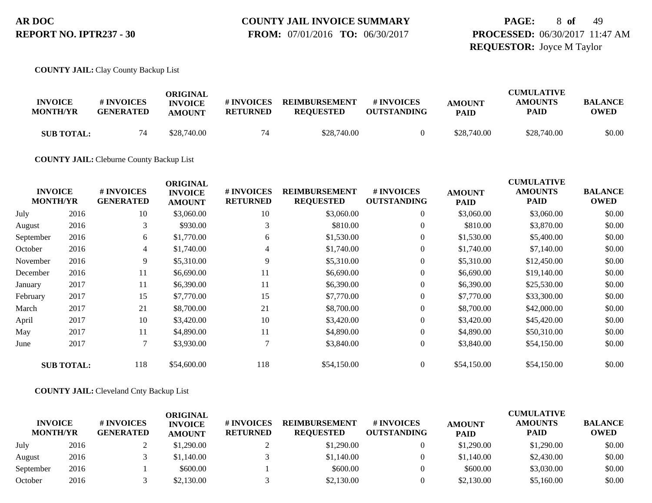**FROM:** 07/01/2016 **TO:** 06/30/2017

# **PAGE:** 8 **of** 49 **PROCESSED:** 06/30/2017 11:47 AM **REQUESTOR:** Joyce M Taylor

**COUNTY JAIL:** Clay County Backup List

| <b>INVOICE</b><br><b>MONTH/YR</b> | # INVOICES<br><b>GENERATED</b> | ORIGINAL<br><b>INVOICE</b><br><b>AMOUNT</b> | # INVOICES<br>RETURNED | <b>REIMBURSEMENT</b><br><b>REQUESTED</b> | # INVOICES<br><b>OUTSTANDING</b> | <b>AMOUNT</b><br><b>PAID</b> | <b>CUMULATIVE</b><br><b>AMOUNTS</b><br><b>PAID</b> | <b>BALANCE</b><br>OWED |
|-----------------------------------|--------------------------------|---------------------------------------------|------------------------|------------------------------------------|----------------------------------|------------------------------|----------------------------------------------------|------------------------|
| <b>SUB TOTAL:</b>                 | 74                             | \$28,740.00                                 | 74                     | \$28,740.00                              |                                  | \$28,740.00                  | \$28,740.00                                        | \$0.00                 |

**COUNTY JAIL:** Cleburne County Backup List

|           | <b>INVOICE</b><br><b>MONTH/YR</b> | # INVOICES<br><b>GENERATED</b> | <b>ORIGINAL</b><br><b>INVOICE</b><br><b>AMOUNT</b> | # INVOICES<br><b>RETURNED</b> | <b>REIMBURSEMENT</b><br><b>REQUESTED</b> | # INVOICES<br><b>OUTSTANDING</b> | <b>AMOUNT</b><br><b>PAID</b> | <b>CUMULATIVE</b><br><b>AMOUNTS</b><br><b>PAID</b> | <b>BALANCE</b><br><b>OWED</b> |
|-----------|-----------------------------------|--------------------------------|----------------------------------------------------|-------------------------------|------------------------------------------|----------------------------------|------------------------------|----------------------------------------------------|-------------------------------|
| July      | 2016                              | 10                             | \$3,060.00                                         | 10                            | \$3,060.00                               | $\boldsymbol{0}$                 | \$3,060.00                   | \$3,060.00                                         | \$0.00                        |
| August    | 2016                              | 3                              | \$930.00                                           | 3                             | \$810.00                                 | $\overline{0}$                   | \$810.00                     | \$3,870.00                                         | \$0.00                        |
| September | 2016                              | 6                              | \$1,770.00                                         | 6                             | \$1,530.00                               | $\overline{0}$                   | \$1,530.00                   | \$5,400.00                                         | \$0.00                        |
| October   | 2016                              | $\overline{4}$                 | \$1,740.00                                         | $\overline{4}$                | \$1,740.00                               | $\overline{0}$                   | \$1,740.00                   | \$7,140.00                                         | \$0.00                        |
| November  | 2016                              | 9                              | \$5,310.00                                         | 9                             | \$5,310.00                               | $\overline{0}$                   | \$5,310.00                   | \$12,450.00                                        | \$0.00                        |
| December  | 2016                              | 11                             | \$6,690.00                                         | 11                            | \$6,690.00                               | $\boldsymbol{0}$                 | \$6,690.00                   | \$19,140.00                                        | \$0.00                        |
| January   | 2017                              | 11                             | \$6,390.00                                         | 11                            | \$6,390.00                               | $\overline{0}$                   | \$6,390.00                   | \$25,530.00                                        | \$0.00                        |
| February  | 2017                              | 15                             | \$7,770.00                                         | 15                            | \$7,770.00                               | $\overline{0}$                   | \$7,770.00                   | \$33,300.00                                        | \$0.00                        |
| March     | 2017                              | 21                             | \$8,700.00                                         | 21                            | \$8,700.00                               | $\overline{0}$                   | \$8,700.00                   | \$42,000.00                                        | \$0.00                        |
| April     | 2017                              | 10                             | \$3,420.00                                         | 10                            | \$3,420.00                               | $\overline{0}$                   | \$3,420.00                   | \$45,420.00                                        | \$0.00                        |
| May       | 2017                              | 11                             | \$4,890.00                                         | 11                            | \$4,890.00                               | $\overline{0}$                   | \$4,890.00                   | \$50,310.00                                        | \$0.00                        |
| June      | 2017                              | $\tau$                         | \$3,930.00                                         |                               | \$3,840.00                               | $\overline{0}$                   | \$3,840.00                   | \$54,150.00                                        | \$0.00                        |
|           | <b>SUB TOTAL:</b>                 | 118                            | \$54,600.00                                        | 118                           | \$54,150.00                              | $\overline{0}$                   | \$54,150.00                  | \$54,150.00                                        | \$0.00                        |

#### **COUNTY JAIL:** Cleveland Cnty Backup List

| <b>INVOICE</b><br><b>MONTH/YR</b> |      | # INVOICES<br><b>GENERATED</b> | ORIGINAL<br><b>INVOICE</b><br><b>AMOUNT</b> | # INVOICES<br><b>RETURNED</b> | <b>REIMBURSEMENT</b><br><b>REQUESTED</b> | # INVOICES<br><b>OUTSTANDING</b> | <b>AMOUNT</b><br><b>PAID</b> | <b>CUMULATIVE</b><br><b>AMOUNTS</b><br><b>PAID</b> | <b>BALANCE</b><br><b>OWED</b> |
|-----------------------------------|------|--------------------------------|---------------------------------------------|-------------------------------|------------------------------------------|----------------------------------|------------------------------|----------------------------------------------------|-------------------------------|
| July                              | 2016 |                                | \$1,290.00                                  |                               | \$1,290.00                               |                                  | \$1,290.00                   | \$1,290.00                                         | \$0.00                        |
| August                            | 2016 |                                | \$1,140.00                                  |                               | \$1,140.00                               |                                  | \$1,140.00                   | \$2,430.00                                         | \$0.00                        |
| September                         | 2016 |                                | \$600.00                                    |                               | \$600.00                                 |                                  | \$600.00                     | \$3,030.00                                         | \$0.00                        |
| October                           | 2016 |                                | \$2,130.00                                  |                               | \$2,130.00                               |                                  | \$2,130.00                   | \$5,160.00                                         | \$0.00                        |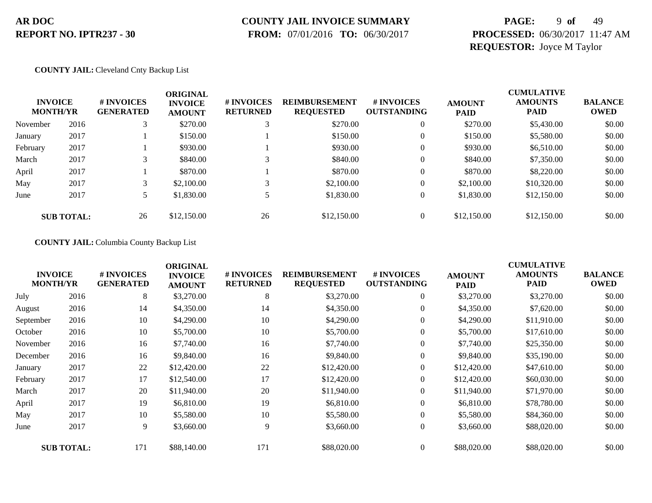### **COUNTY JAIL INVOICE SUMMARY**

 **FROM:** 07/01/2016 **TO:** 06/30/2017

# **PAGE:** 9 **of** 49 **PROCESSED:** 06/30/2017 11:47 AM **REQUESTOR:** Joyce M Taylor

#### **COUNTY JAIL:** Cleveland Cnty Backup List

| <b>INVOICE</b><br><b>MONTH/YR</b> |                   | # INVOICES<br><b>GENERATED</b> | <b>ORIGINAL</b><br><b>INVOICE</b><br><b>AMOUNT</b> | # INVOICES<br><b>RETURNED</b> | <b>REIMBURSEMENT</b><br><b>REQUESTED</b> | # INVOICES<br><b>OUTSTANDING</b> | <b>AMOUNT</b><br><b>PAID</b> | <b>CUMULATIVE</b><br><b>AMOUNTS</b><br><b>PAID</b> | <b>BALANCE</b><br><b>OWED</b> |
|-----------------------------------|-------------------|--------------------------------|----------------------------------------------------|-------------------------------|------------------------------------------|----------------------------------|------------------------------|----------------------------------------------------|-------------------------------|
| November                          | 2016              |                                | \$270.00                                           |                               | \$270.00                                 | $\overline{0}$                   | \$270.00                     | \$5,430.00                                         | \$0.00                        |
| January                           | 2017              |                                | \$150.00                                           |                               | \$150.00                                 |                                  | \$150.00                     | \$5,580.00                                         | \$0.00                        |
| February                          | 2017              |                                | \$930.00                                           |                               | \$930.00                                 | 0                                | \$930.00                     | \$6,510.00                                         | \$0.00                        |
| March                             | 2017              | 3                              | \$840.00                                           |                               | \$840.00                                 |                                  | \$840.00                     | \$7,350.00                                         | \$0.00                        |
| April                             | 2017              |                                | \$870.00                                           |                               | \$870.00                                 |                                  | \$870.00                     | \$8,220.00                                         | \$0.00                        |
| May                               | 2017              |                                | \$2,100.00                                         |                               | \$2,100.00                               |                                  | \$2,100.00                   | \$10,320.00                                        | \$0.00                        |
| June                              | 2017              |                                | \$1,830.00                                         |                               | \$1,830.00                               |                                  | \$1,830.00                   | \$12,150.00                                        | \$0.00                        |
|                                   | <b>SUB TOTAL:</b> | 26                             | \$12,150.00                                        | 26                            | \$12,150.00                              |                                  | \$12,150.00                  | \$12,150.00                                        | \$0.00                        |

#### **COUNTY JAIL:** Columbia County Backup List

| <b>INVOICE</b><br><b>MONTH/YR</b> |                   | # INVOICES<br><b>GENERATED</b> | <b>ORIGINAL</b><br><b>INVOICE</b><br><b>AMOUNT</b> | # INVOICES<br><b>RETURNED</b> | <b>REIMBURSEMENT</b><br><b>REQUESTED</b> | # INVOICES<br><b>OUTSTANDING</b> | <b>AMOUNT</b><br>PAID | <b>CUMULATIVE</b><br><b>AMOUNTS</b><br><b>PAID</b> | <b>BALANCE</b><br><b>OWED</b> |
|-----------------------------------|-------------------|--------------------------------|----------------------------------------------------|-------------------------------|------------------------------------------|----------------------------------|-----------------------|----------------------------------------------------|-------------------------------|
| July                              | 2016              | 8                              | \$3,270.00                                         | 8                             | \$3,270.00                               | $\boldsymbol{0}$                 | \$3,270.00            | \$3,270.00                                         | \$0.00                        |
| August                            | 2016              | 14                             | \$4,350.00                                         | 14                            | \$4,350.00                               | $\overline{0}$                   | \$4,350.00            | \$7,620.00                                         | \$0.00                        |
| September                         | 2016              | 10                             | \$4,290.00                                         | 10                            | \$4,290.00                               | $\overline{0}$                   | \$4,290.00            | \$11,910.00                                        | \$0.00                        |
| October                           | 2016              | 10                             | \$5,700.00                                         | 10                            | \$5,700.00                               | 0                                | \$5,700.00            | \$17,610.00                                        | \$0.00                        |
| November                          | 2016              | 16                             | \$7,740.00                                         | 16                            | \$7,740.00                               | $\overline{0}$                   | \$7,740.00            | \$25,350.00                                        | \$0.00                        |
| December                          | 2016              | 16                             | \$9,840.00                                         | 16                            | \$9,840.00                               | $\overline{0}$                   | \$9,840.00            | \$35,190.00                                        | \$0.00                        |
| January                           | 2017              | 22                             | \$12,420.00                                        | 22                            | \$12,420.00                              | 0                                | \$12,420.00           | \$47,610.00                                        | \$0.00                        |
| February                          | 2017              | 17                             | \$12,540.00                                        | 17                            | \$12,420.00                              | $\boldsymbol{0}$                 | \$12,420.00           | \$60,030.00                                        | \$0.00                        |
| March                             | 2017              | 20                             | \$11,940.00                                        | 20                            | \$11,940.00                              | $\overline{0}$                   | \$11,940.00           | \$71,970.00                                        | \$0.00                        |
| April                             | 2017              | 19                             | \$6,810.00                                         | 19                            | \$6,810.00                               | $\overline{0}$                   | \$6,810.00            | \$78,780.00                                        | \$0.00                        |
| May                               | 2017              | 10                             | \$5,580.00                                         | 10                            | \$5,580.00                               | $\overline{0}$                   | \$5,580.00            | \$84,360.00                                        | \$0.00                        |
| June                              | 2017              | 9                              | \$3,660.00                                         | 9                             | \$3,660.00                               | $\overline{0}$                   | \$3,660.00            | \$88,020.00                                        | \$0.00                        |
|                                   | <b>SUB TOTAL:</b> | 171                            | \$88,140.00                                        | 171                           | \$88,020.00                              | $\overline{0}$                   | \$88,020.00           | \$88,020.00                                        | \$0.00                        |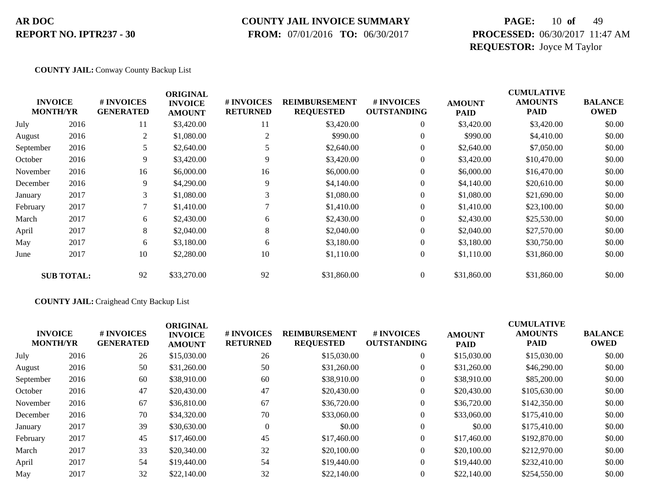### **COUNTY JAIL INVOICE SUMMARY**

 **FROM:** 07/01/2016 **TO:** 06/30/2017

# **PAGE:** 10 **of** 49 **PROCESSED:** 06/30/2017 11:47 AM **REQUESTOR:** Joyce M Taylor

#### **COUNTY JAIL:** Conway County Backup List

| <b>INVOICE</b><br><b>MONTH/YR</b> |                   | # INVOICES<br><b>GENERATED</b> | <b>ORIGINAL</b><br><b>INVOICE</b><br><b>AMOUNT</b> | # INVOICES<br><b>RETURNED</b> | <b>REIMBURSEMENT</b><br><b>REQUESTED</b> | <b>#INVOICES</b><br><b>OUTSTANDING</b> | <b>AMOUNT</b><br><b>PAID</b> | <b>CUMULATIVE</b><br><b>AMOUNTS</b><br><b>PAID</b> | <b>BALANCE</b><br><b>OWED</b> |
|-----------------------------------|-------------------|--------------------------------|----------------------------------------------------|-------------------------------|------------------------------------------|----------------------------------------|------------------------------|----------------------------------------------------|-------------------------------|
| July                              | 2016              | 11                             | \$3,420.00                                         | 11                            | \$3,420.00                               | $\overline{0}$                         | \$3,420.00                   | \$3,420.00                                         | \$0.00                        |
| August                            | 2016              | 2                              | \$1,080.00                                         | $\overline{2}$                | \$990.00                                 | $\overline{0}$                         | \$990.00                     | \$4,410.00                                         | \$0.00                        |
| September                         | 2016              | 5                              | \$2,640.00                                         |                               | \$2,640.00                               | $\overline{0}$                         | \$2,640.00                   | \$7,050.00                                         | \$0.00                        |
| October                           | 2016              | 9                              | \$3,420.00                                         | 9                             | \$3,420.00                               | $\mathbf{0}$                           | \$3,420.00                   | \$10,470.00                                        | \$0.00                        |
| November                          | 2016              | 16                             | \$6,000.00                                         | 16                            | \$6,000.00                               | $\overline{0}$                         | \$6,000.00                   | \$16,470.00                                        | \$0.00                        |
| December                          | 2016              | 9                              | \$4,290.00                                         | 9                             | \$4,140.00                               | $\overline{0}$                         | \$4,140.00                   | \$20,610.00                                        | \$0.00                        |
| January                           | 2017              | 3                              | \$1,080.00                                         | 3                             | \$1,080.00                               | $\overline{0}$                         | \$1,080.00                   | \$21,690.00                                        | \$0.00                        |
| February                          | 2017              | $\tau$                         | \$1,410.00                                         |                               | \$1,410.00                               | $\overline{0}$                         | \$1,410.00                   | \$23,100.00                                        | \$0.00                        |
| March                             | 2017              | 6                              | \$2,430.00                                         | 6                             | \$2,430.00                               | $\overline{0}$                         | \$2,430.00                   | \$25,530.00                                        | \$0.00                        |
| April                             | 2017              | 8                              | \$2,040.00                                         | 8                             | \$2,040.00                               | $\overline{0}$                         | \$2,040.00                   | \$27,570.00                                        | \$0.00                        |
| May                               | 2017              | 6                              | \$3,180.00                                         | 6                             | \$3,180.00                               | $\overline{0}$                         | \$3,180.00                   | \$30,750.00                                        | \$0.00                        |
| June                              | 2017              | 10                             | \$2,280.00                                         | 10                            | \$1,110.00                               | $\boldsymbol{0}$                       | \$1,110.00                   | \$31,860.00                                        | \$0.00                        |
|                                   | <b>SUB TOTAL:</b> | 92                             | \$33,270.00                                        | 92                            | \$31,860.00                              | $\overline{0}$                         | \$31,860.00                  | \$31,860.00                                        | \$0.00                        |

#### **COUNTY JAIL:** Craighead Cnty Backup List

|           | <b>INVOICE</b><br><b>MONTH/YR</b> | # INVOICES<br><b>GENERATED</b> | <b>ORIGINAL</b><br><b>INVOICE</b><br><b>AMOUNT</b> | # INVOICES<br><b>RETURNED</b> | <b>REIMBURSEMENT</b><br><b>REQUESTED</b> | # INVOICES<br><b>OUTSTANDING</b> | <b>AMOUNT</b><br><b>PAID</b> | <b>CUMULATIVE</b><br><b>AMOUNTS</b><br><b>PAID</b> | <b>BALANCE</b><br><b>OWED</b> |
|-----------|-----------------------------------|--------------------------------|----------------------------------------------------|-------------------------------|------------------------------------------|----------------------------------|------------------------------|----------------------------------------------------|-------------------------------|
| July      | 2016                              | 26                             | \$15,030.00                                        | 26                            | \$15,030.00                              | $\overline{0}$                   | \$15,030.00                  | \$15,030.00                                        | \$0.00                        |
| August    | 2016                              | 50                             | \$31,260.00                                        | 50                            | \$31,260.00                              | $\overline{0}$                   | \$31,260.00                  | \$46,290.00                                        | \$0.00                        |
| September | 2016                              | 60                             | \$38,910.00                                        | 60                            | \$38,910.00                              | $\overline{0}$                   | \$38,910.00                  | \$85,200.00                                        | \$0.00                        |
| October   | 2016                              | 47                             | \$20,430.00                                        | 47                            | \$20,430.00                              | $\overline{0}$                   | \$20,430.00                  | \$105,630.00                                       | \$0.00                        |
| November  | 2016                              | 67                             | \$36,810.00                                        | 67                            | \$36,720.00                              | $\overline{0}$                   | \$36,720.00                  | \$142,350.00                                       | \$0.00                        |
| December  | 2016                              | 70                             | \$34,320.00                                        | 70                            | \$33,060.00                              | $\overline{0}$                   | \$33,060.00                  | \$175,410.00                                       | \$0.00                        |
| January   | 2017                              | 39                             | \$30,630.00                                        | $\Omega$                      | \$0.00                                   | $\overline{0}$                   | \$0.00                       | \$175,410.00                                       | \$0.00                        |
| February  | 2017                              | 45                             | \$17,460.00                                        | 45                            | \$17,460.00                              | $\overline{0}$                   | \$17,460.00                  | \$192,870.00                                       | \$0.00                        |
| March     | 2017                              | 33                             | \$20,340.00                                        | 32                            | \$20,100.00                              | $\overline{0}$                   | \$20,100.00                  | \$212,970.00                                       | \$0.00                        |
| April     | 2017                              | 54                             | \$19,440.00                                        | 54                            | \$19,440.00                              | $\overline{0}$                   | \$19,440.00                  | \$232,410.00                                       | \$0.00                        |
| May       | 2017                              | 32                             | \$22,140.00                                        | 32                            | \$22,140.00                              | $\overline{0}$                   | \$22,140.00                  | \$254,550.00                                       | \$0.00                        |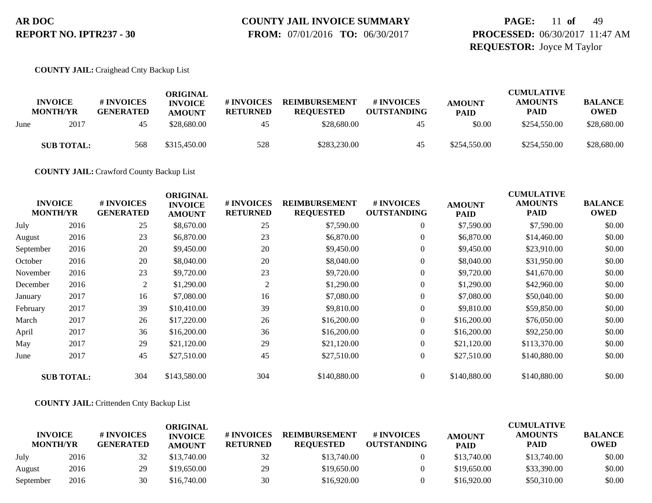# **COUNTY JAIL INVOICE SUMMARY**

 **FROM:** 07/01/2016 **TO:** 06/30/2017

# **PAGE:** 11 **of** 49 **PROCESSED:** 06/30/2017 11:47 AM **REQUESTOR:** Joyce M Taylor

#### **COUNTY JAIL:** Craighead Cnty Backup List

|      | <b>INVOICE</b>          | # INVOICES             | ORIGINAL<br><b>INVOICE</b>   | # INVOICES            | <b>REIMBURSEMENT</b>            | # INVOICES               | <b>AMOUNT</b>         | <b>CUMULATIVE</b><br><b>AMOUNTS</b> | <b>BALANCE</b>             |
|------|-------------------------|------------------------|------------------------------|-----------------------|---------------------------------|--------------------------|-----------------------|-------------------------------------|----------------------------|
| June | <b>MONTH/YR</b><br>2017 | <b>GENERATED</b><br>45 | <b>AMOUNT</b><br>\$28,680.00 | <b>RETURNED</b><br>45 | <b>REQUESTED</b><br>\$28,680.00 | <b>OUTSTANDING</b><br>45 | <b>PAID</b><br>\$0.00 | <b>PAID</b><br>\$254,550.00         | <b>OWED</b><br>\$28,680.00 |
|      |                         |                        |                              |                       |                                 |                          |                       |                                     |                            |
|      | <b>SUB TOTAL:</b>       | 568                    | \$315,450.00                 | 528                   | \$283,230.00                    | 45                       | \$254,550.00          | \$254,550.00                        | \$28,680.00                |

**COUNTY JAIL:** Crawford County Backup List

| <b>INVOICE</b><br><b>MONTH/YR</b> |                   | # INVOICES<br><b>GENERATED</b> | <b>ORIGINAL</b><br><b>INVOICE</b><br><b>AMOUNT</b> | # INVOICES<br><b>RETURNED</b> | <b>REIMBURSEMENT</b><br><b>REQUESTED</b> | # INVOICES<br><b>OUTSTANDING</b> | <b>AMOUNT</b><br><b>PAID</b> | <b>CUMULATIVE</b><br><b>AMOUNTS</b><br><b>PAID</b> | <b>BALANCE</b><br><b>OWED</b> |
|-----------------------------------|-------------------|--------------------------------|----------------------------------------------------|-------------------------------|------------------------------------------|----------------------------------|------------------------------|----------------------------------------------------|-------------------------------|
| July                              | 2016              | 25                             | \$8,670.00                                         | 25                            | \$7,590.00                               | $\overline{0}$                   | \$7,590.00                   | \$7,590.00                                         | \$0.00                        |
| August                            | 2016              | 23                             | \$6,870.00                                         | 23                            | \$6,870.00                               | $\overline{0}$                   | \$6,870.00                   | \$14,460.00                                        | \$0.00                        |
| September                         | 2016              | 20                             | \$9,450.00                                         | 20                            | \$9,450.00                               | $\overline{0}$                   | \$9,450.00                   | \$23,910.00                                        | \$0.00                        |
| October                           | 2016              | 20                             | \$8,040.00                                         | 20                            | \$8,040.00                               | $\overline{0}$                   | \$8,040.00                   | \$31,950.00                                        | \$0.00                        |
| November                          | 2016              | 23                             | \$9,720.00                                         | 23                            | \$9,720.00                               | $\overline{0}$                   | \$9,720.00                   | \$41,670.00                                        | \$0.00                        |
| December                          | 2016              | 2                              | \$1,290.00                                         | 2                             | \$1,290.00                               | $\boldsymbol{0}$                 | \$1,290.00                   | \$42,960.00                                        | \$0.00                        |
| January                           | 2017              | 16                             | \$7,080.00                                         | 16                            | \$7,080.00                               | $\overline{0}$                   | \$7,080.00                   | \$50,040.00                                        | \$0.00                        |
| February                          | 2017              | 39                             | \$10,410.00                                        | 39                            | \$9,810.00                               | $\overline{0}$                   | \$9,810.00                   | \$59,850.00                                        | \$0.00                        |
| March                             | 2017              | 26                             | \$17,220.00                                        | 26                            | \$16,200.00                              | $\overline{0}$                   | \$16,200.00                  | \$76,050.00                                        | \$0.00                        |
| April                             | 2017              | 36                             | \$16,200.00                                        | 36                            | \$16,200.00                              | $\overline{0}$                   | \$16,200.00                  | \$92,250.00                                        | \$0.00                        |
| May                               | 2017              | 29                             | \$21,120.00                                        | 29                            | \$21,120.00                              | $\overline{0}$                   | \$21,120.00                  | \$113,370.00                                       | \$0.00                        |
| June                              | 2017              | 45                             | \$27,510.00                                        | 45                            | \$27,510.00                              | $\overline{0}$                   | \$27,510.00                  | \$140,880.00                                       | \$0.00                        |
|                                   | <b>SUB TOTAL:</b> | 304                            | \$143,580.00                                       | 304                           | \$140,880.00                             | $\overline{0}$                   | \$140,880.00                 | \$140,880.00                                       | \$0.00                        |

#### **COUNTY JAIL:** Crittenden Cnty Backup List

|                                   |      |                                | ORIGINAL                        |                               |                                          |                                  |                              | <b>CUMULATIVE</b>             |                               |
|-----------------------------------|------|--------------------------------|---------------------------------|-------------------------------|------------------------------------------|----------------------------------|------------------------------|-------------------------------|-------------------------------|
| <b>INVOICE</b><br><b>MONTH/YR</b> |      | # INVOICES<br><b>GENERATED</b> | <b>INVOICE</b><br><b>AMOUNT</b> | # INVOICES<br><b>RETURNED</b> | <b>REIMBURSEMENT</b><br><b>REOUESTED</b> | # INVOICES<br><b>OUTSTANDING</b> | <b>AMOUNT</b><br><b>PAID</b> | <b>AMOUNTS</b><br><b>PAID</b> | <b>BALANCE</b><br><b>OWED</b> |
| July                              | 2016 | 32                             | \$13,740.00                     | 32                            | \$13,740.00                              |                                  | \$13,740.00                  | \$13,740.00                   | \$0.00                        |
| August                            | 2016 | 29                             | \$19,650.00                     | 29                            | \$19,650.00                              |                                  | \$19,650.00                  | \$33,390.00                   | \$0.00                        |
| September                         | 2016 | 30                             | \$16,740.00                     | 30                            | \$16,920.00                              |                                  | \$16,920.00                  | \$50,310.00                   | \$0.00                        |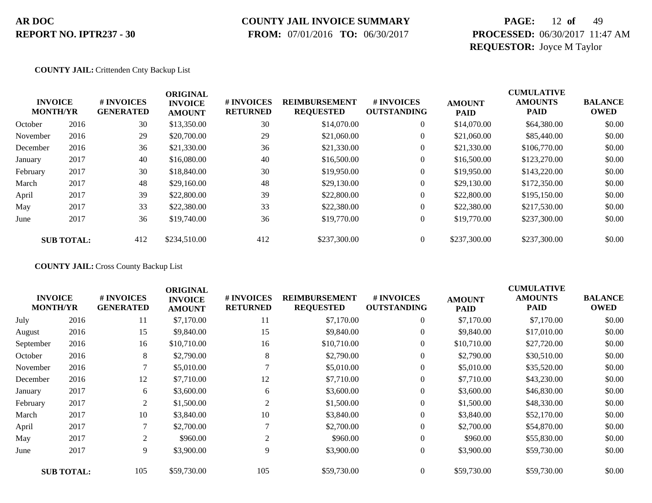### **COUNTY JAIL INVOICE SUMMARY**

 **FROM:** 07/01/2016 **TO:** 06/30/2017

# **PAGE:** 12 **of** 49 **PROCESSED:** 06/30/2017 11:47 AM **REQUESTOR:** Joyce M Taylor

#### **COUNTY JAIL:** Crittenden Cnty Backup List

| <b>INVOICE</b><br><b>MONTH/YR</b> |                   | # INVOICES<br><b>GENERATED</b> | <b>ORIGINAL</b><br><b>INVOICE</b><br><b>AMOUNT</b> | # INVOICES<br><b>RETURNED</b> | <b>REIMBURSEMENT</b><br><b>REQUESTED</b> | <b>#INVOICES</b><br><b>OUTSTANDING</b> | <b>AMOUNT</b><br><b>PAID</b> | <b>CUMULATIVE</b><br><b>AMOUNTS</b><br><b>PAID</b> | <b>BALANCE</b><br><b>OWED</b> |
|-----------------------------------|-------------------|--------------------------------|----------------------------------------------------|-------------------------------|------------------------------------------|----------------------------------------|------------------------------|----------------------------------------------------|-------------------------------|
| October                           | 2016              | 30                             | \$13,350.00                                        | 30                            | \$14,070.00                              | $\overline{0}$                         | \$14,070.00                  | \$64,380.00                                        | \$0.00                        |
| November                          | 2016              | 29                             | \$20,700.00                                        | 29                            | \$21,060.00                              | $\overline{0}$                         | \$21,060.00                  | \$85,440.00                                        | \$0.00                        |
| December                          | 2016              | 36                             | \$21,330.00                                        | 36                            | \$21,330.00                              | $\overline{0}$                         | \$21,330.00                  | \$106,770.00                                       | \$0.00                        |
| January                           | 2017              | 40                             | \$16,080.00                                        | 40                            | \$16,500.00                              | $\overline{0}$                         | \$16,500.00                  | \$123,270.00                                       | \$0.00                        |
| February                          | 2017              | 30                             | \$18,840.00                                        | 30                            | \$19,950.00                              | $\boldsymbol{0}$                       | \$19,950.00                  | \$143,220.00                                       | \$0.00                        |
| March                             | 2017              | 48                             | \$29,160.00                                        | 48                            | \$29,130.00                              | $\overline{0}$                         | \$29,130.00                  | \$172,350.00                                       | \$0.00                        |
| April                             | 2017              | 39                             | \$22,800.00                                        | 39                            | \$22,800.00                              | $\overline{0}$                         | \$22,800.00                  | \$195,150.00                                       | \$0.00                        |
| May                               | 2017              | 33                             | \$22,380.00                                        | 33                            | \$22,380.00                              | $\overline{0}$                         | \$22,380.00                  | \$217,530.00                                       | \$0.00                        |
| June                              | 2017              | 36                             | \$19,740.00                                        | 36                            | \$19,770.00                              | $\boldsymbol{0}$                       | \$19,770.00                  | \$237,300.00                                       | \$0.00                        |
|                                   | <b>SUB TOTAL:</b> | 412                            | \$234,510.00                                       | 412                           | \$237,300.00                             | $\overline{0}$                         | \$237,300.00                 | \$237,300.00                                       | \$0.00                        |

**COUNTY JAIL:** Cross County Backup List

|                                   |                   |                                | <b>ORIGINAL</b>                 |                               |                                          |                                        |                              | <b>CUMULATIVE</b>             |                               |
|-----------------------------------|-------------------|--------------------------------|---------------------------------|-------------------------------|------------------------------------------|----------------------------------------|------------------------------|-------------------------------|-------------------------------|
| <b>INVOICE</b><br><b>MONTH/YR</b> |                   | # INVOICES<br><b>GENERATED</b> | <b>INVOICE</b><br><b>AMOUNT</b> | # INVOICES<br><b>RETURNED</b> | <b>REIMBURSEMENT</b><br><b>REQUESTED</b> | <b>#INVOICES</b><br><b>OUTSTANDING</b> | <b>AMOUNT</b><br><b>PAID</b> | <b>AMOUNTS</b><br><b>PAID</b> | <b>BALANCE</b><br><b>OWED</b> |
| July                              | 2016              | 11                             | \$7,170.00                      | 11                            | \$7,170.00                               | $\boldsymbol{0}$                       | \$7,170.00                   | \$7,170.00                    | \$0.00                        |
| August                            | 2016              | 15                             | \$9,840.00                      | 15                            | \$9,840.00                               | $\overline{0}$                         | \$9,840.00                   | \$17,010.00                   | \$0.00                        |
| September                         | 2016              | 16                             | \$10,710.00                     | 16                            | \$10,710.00                              | $\overline{0}$                         | \$10,710.00                  | \$27,720.00                   | \$0.00                        |
| October                           | 2016              | 8                              | \$2,790.00                      | 8                             | \$2,790.00                               | 0                                      | \$2,790.00                   | \$30,510.00                   | \$0.00                        |
| November                          | 2016              | 7                              | \$5,010.00                      |                               | \$5,010.00                               | $\boldsymbol{0}$                       | \$5,010.00                   | \$35,520.00                   | \$0.00                        |
| December                          | 2016              | 12                             | \$7,710.00                      | 12                            | \$7,710.00                               | $\overline{0}$                         | \$7,710.00                   | \$43,230.00                   | \$0.00                        |
| January                           | 2017              | 6                              | \$3,600.00                      | 6                             | \$3,600.00                               | 0                                      | \$3,600.00                   | \$46,830.00                   | \$0.00                        |
| February                          | 2017              | 2                              | \$1,500.00                      | 2                             | \$1,500.00                               | $\overline{0}$                         | \$1,500.00                   | \$48,330.00                   | \$0.00                        |
| March                             | 2017              | 10                             | \$3,840.00                      | 10                            | \$3,840.00                               | $\overline{0}$                         | \$3,840.00                   | \$52,170.00                   | \$0.00                        |
| April                             | 2017              | $\mathcal{I}$                  | \$2,700.00                      |                               | \$2,700.00                               | $\overline{0}$                         | \$2,700.00                   | \$54,870.00                   | \$0.00                        |
| May                               | 2017              | 2                              | \$960.00                        | 2                             | \$960.00                                 | 0                                      | \$960.00                     | \$55,830.00                   | \$0.00                        |
| June                              | 2017              | 9                              | \$3,900.00                      | 9                             | \$3,900.00                               | $\overline{0}$                         | \$3,900.00                   | \$59,730.00                   | \$0.00                        |
|                                   | <b>SUB TOTAL:</b> | 105                            | \$59,730.00                     | 105                           | \$59,730.00                              | $\overline{0}$                         | \$59,730.00                  | \$59,730.00                   | \$0.00                        |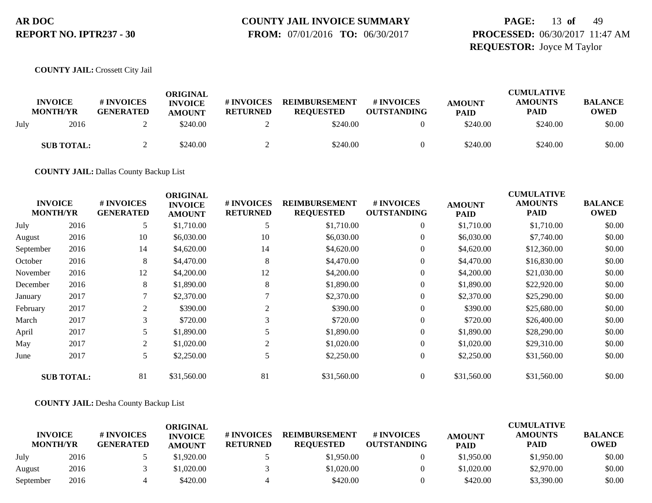# **COUNTY JAIL INVOICE SUMMARY**

 **FROM:** 07/01/2016 **TO:** 06/30/2017

# **PAGE:** 13 **of** 49 **PROCESSED:** 06/30/2017 11:47 AM **REQUESTOR:** Joyce M Taylor

**COUNTY JAIL:** Crossett City Jail

|      | <b>INVOICE</b><br><b>MONTH/YR</b> | # INVOICES<br><b>GENERATED</b> | ORIGINAL<br><b>INVOICE</b><br><b>AMOUNT</b> | # INVOICES<br><b>RETURNED</b> | <b>REIMBURSEMENT</b><br><b>REQUESTED</b> | # INVOICES<br><b>OUTSTANDING</b> | <b>AMOUNT</b><br><b>PAID</b> | <b>CUMULATIVE</b><br><b>AMOUNTS</b><br><b>PAID</b> | <b>BALANCE</b><br><b>OWED</b> |
|------|-----------------------------------|--------------------------------|---------------------------------------------|-------------------------------|------------------------------------------|----------------------------------|------------------------------|----------------------------------------------------|-------------------------------|
| July | 2016                              |                                | \$240.00                                    |                               | \$240.00                                 |                                  | \$240.00                     | \$240.00                                           | \$0.00                        |
|      | <b>SUB TOTAL:</b>                 |                                | \$240.00                                    |                               | \$240.00                                 |                                  | \$240.00                     | \$240.00                                           | \$0.00                        |

**COUNTY JAIL:** Dallas County Backup List

| <b>INVOICE</b><br><b>MONTH/YR</b> |                   | # INVOICES<br><b>GENERATED</b> | <b>ORIGINAL</b><br><b>INVOICE</b><br><b>AMOUNT</b> | # INVOICES<br><b>RETURNED</b> | <b>REIMBURSEMENT</b><br><b>REQUESTED</b> | # INVOICES<br><b>OUTSTANDING</b> | <b>AMOUNT</b><br><b>PAID</b> | <b>CUMULATIVE</b><br><b>AMOUNTS</b><br><b>PAID</b> | <b>BALANCE</b><br><b>OWED</b> |
|-----------------------------------|-------------------|--------------------------------|----------------------------------------------------|-------------------------------|------------------------------------------|----------------------------------|------------------------------|----------------------------------------------------|-------------------------------|
| July                              | 2016              | 5                              | \$1,710.00                                         | 5                             | \$1,710.00                               | $\boldsymbol{0}$                 | \$1,710.00                   | \$1,710.00                                         | \$0.00                        |
| August                            | 2016              | 10                             | \$6,030.00                                         | 10                            | \$6,030.00                               | $\boldsymbol{0}$                 | \$6,030.00                   | \$7,740.00                                         | \$0.00                        |
| September                         | 2016              | 14                             | \$4,620.00                                         | 14                            | \$4,620.00                               | $\overline{0}$                   | \$4,620.00                   | \$12,360.00                                        | \$0.00                        |
| October                           | 2016              | 8                              | \$4,470.00                                         | 8                             | \$4,470.00                               | $\boldsymbol{0}$                 | \$4,470.00                   | \$16,830.00                                        | \$0.00                        |
| November                          | 2016              | 12                             | \$4,200.00                                         | 12                            | \$4,200.00                               | $\theta$                         | \$4,200.00                   | \$21,030.00                                        | \$0.00                        |
| December                          | 2016              | 8                              | \$1,890.00                                         | 8                             | \$1,890.00                               | $\overline{0}$                   | \$1,890.00                   | \$22,920.00                                        | \$0.00                        |
| January                           | 2017              | 7                              | \$2,370.00                                         |                               | \$2,370.00                               | $\boldsymbol{0}$                 | \$2,370.00                   | \$25,290.00                                        | \$0.00                        |
| February                          | 2017              | 2                              | \$390.00                                           | 2                             | \$390.00                                 | $\mathbf{0}$                     | \$390.00                     | \$25,680.00                                        | \$0.00                        |
| March                             | 2017              | 3                              | \$720.00                                           | 3                             | \$720.00                                 | $\mathbf{0}$                     | \$720.00                     | \$26,400.00                                        | \$0.00                        |
| April                             | 2017              | 5                              | \$1,890.00                                         |                               | \$1,890.00                               | $\mathbf{0}$                     | \$1,890.00                   | \$28,290.00                                        | \$0.00                        |
| May                               | 2017              | 2                              | \$1,020.00                                         | 2                             | \$1,020.00                               | $\overline{0}$                   | \$1,020.00                   | \$29,310.00                                        | \$0.00                        |
| June                              | 2017              | 5                              | \$2,250.00                                         | 5                             | \$2,250.00                               | $\boldsymbol{0}$                 | \$2,250.00                   | \$31,560.00                                        | \$0.00                        |
|                                   | <b>SUB TOTAL:</b> | 81                             | \$31,560.00                                        | 81                            | \$31,560.00                              | $\overline{0}$                   | \$31,560.00                  | \$31,560.00                                        | \$0.00                        |

#### **COUNTY JAIL:** Desha County Backup List

|                                   |      |                                | ORIGINAL                        |                               |                                          |                                  |                              | <b>CUMULATIVE</b>             |                               |
|-----------------------------------|------|--------------------------------|---------------------------------|-------------------------------|------------------------------------------|----------------------------------|------------------------------|-------------------------------|-------------------------------|
| <b>INVOICE</b><br><b>MONTH/YR</b> |      | # INVOICES<br><b>GENERATED</b> | <b>INVOICE</b><br><b>AMOUNT</b> | # INVOICES<br><b>RETURNED</b> | <b>REIMBURSEMENT</b><br><b>REOUESTED</b> | # INVOICES<br><b>OUTSTANDING</b> | <b>AMOUNT</b><br><b>PAID</b> | <b>AMOUNTS</b><br><b>PAID</b> | <b>BALANCE</b><br><b>OWED</b> |
| July                              | 2016 |                                | \$1,920.00                      |                               | \$1,950.00                               |                                  | \$1,950.00                   | \$1,950.00                    | \$0.00                        |
| August                            | 2016 |                                | \$1,020.00                      |                               | \$1,020.00                               |                                  | \$1,020.00                   | \$2,970.00                    | \$0.00                        |
| September                         | 2016 |                                | \$420.00                        |                               | \$420.00                                 |                                  | \$420.00                     | \$3,390.00                    | \$0.00                        |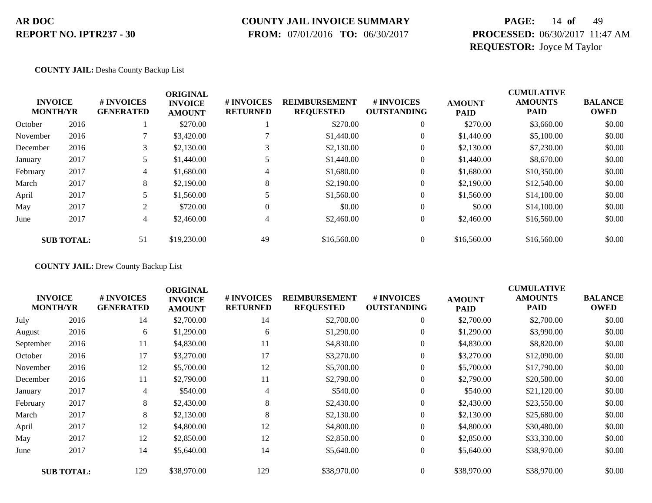### **COUNTY JAIL INVOICE SUMMARY**

 **FROM:** 07/01/2016 **TO:** 06/30/2017

# **PAGE:** 14 **of** 49 **PROCESSED:** 06/30/2017 11:47 AM **REQUESTOR:** Joyce M Taylor

#### **COUNTY JAIL:** Desha County Backup List

|          | <b>INVOICE</b><br><b>MONTH/YR</b> | # INVOICES<br><b>GENERATED</b> | <b>ORIGINAL</b><br><b>INVOICE</b><br><b>AMOUNT</b> | # INVOICES<br><b>RETURNED</b> | <b>REIMBURSEMENT</b><br><b>REQUESTED</b> | # INVOICES<br><b>OUTSTANDING</b> | <b>AMOUNT</b><br><b>PAID</b> | <b>CUMULATIVE</b><br><b>AMOUNTS</b><br><b>PAID</b> | <b>BALANCE</b><br><b>OWED</b> |
|----------|-----------------------------------|--------------------------------|----------------------------------------------------|-------------------------------|------------------------------------------|----------------------------------|------------------------------|----------------------------------------------------|-------------------------------|
| October  | 2016                              |                                | \$270.00                                           |                               | \$270.00                                 | $\theta$                         | \$270.00                     | \$3,660.00                                         | \$0.00                        |
| November | 2016                              |                                | \$3,420.00                                         |                               | \$1,440.00                               | $\theta$                         | \$1,440.00                   | \$5,100.00                                         | \$0.00                        |
| December | 2016                              | 3                              | \$2,130.00                                         |                               | \$2,130.00                               | $\theta$                         | \$2,130.00                   | \$7,230.00                                         | \$0.00                        |
| January  | 2017                              |                                | \$1,440.00                                         |                               | \$1,440.00                               | $\theta$                         | \$1,440.00                   | \$8,670.00                                         | \$0.00                        |
| February | 2017                              | 4                              | \$1,680.00                                         | 4                             | \$1,680.00                               | $\overline{0}$                   | \$1,680.00                   | \$10,350.00                                        | \$0.00                        |
| March    | 2017                              | 8                              | \$2,190.00                                         | 8                             | \$2,190.00                               | $\overline{0}$                   | \$2,190.00                   | \$12,540.00                                        | \$0.00                        |
| April    | 2017                              |                                | \$1,560.00                                         |                               | \$1,560.00                               | $\theta$                         | \$1,560.00                   | \$14,100.00                                        | \$0.00                        |
| May      | 2017                              | 2                              | \$720.00                                           | $\Omega$                      | \$0.00                                   | $\theta$                         | \$0.00                       | \$14,100.00                                        | \$0.00                        |
| June     | 2017                              | 4                              | \$2,460.00                                         | 4                             | \$2,460.00                               | $\overline{0}$                   | \$2,460.00                   | \$16,560.00                                        | \$0.00                        |
|          | <b>SUB TOTAL:</b>                 | 51                             | \$19,230.00                                        | 49                            | \$16,560.00                              | $\theta$                         | \$16,560.00                  | \$16,560.00                                        | \$0.00                        |

#### **COUNTY JAIL:** Drew County Backup List

|                                   |                   |                                | <b>ORIGINAL</b>                 |                               |                                          |                                  |                              | <b>CUMULATIVE</b>             |                               |
|-----------------------------------|-------------------|--------------------------------|---------------------------------|-------------------------------|------------------------------------------|----------------------------------|------------------------------|-------------------------------|-------------------------------|
| <b>INVOICE</b><br><b>MONTH/YR</b> |                   | # INVOICES<br><b>GENERATED</b> | <b>INVOICE</b><br><b>AMOUNT</b> | # INVOICES<br><b>RETURNED</b> | <b>REIMBURSEMENT</b><br><b>REQUESTED</b> | # INVOICES<br><b>OUTSTANDING</b> | <b>AMOUNT</b><br><b>PAID</b> | <b>AMOUNTS</b><br><b>PAID</b> | <b>BALANCE</b><br><b>OWED</b> |
| July                              | 2016              | 14                             | \$2,700.00                      | 14                            | \$2,700.00                               | $\boldsymbol{0}$                 | \$2,700.00                   | \$2,700.00                    | \$0.00                        |
| August                            | 2016              | 6                              | \$1,290.00                      | 6                             | \$1,290.00                               | 0                                | \$1,290.00                   | \$3,990.00                    | \$0.00                        |
| September                         | 2016              | 11                             | \$4,830.00                      | 11                            | \$4,830.00                               | $\overline{0}$                   | \$4,830.00                   | \$8,820.00                    | \$0.00                        |
| October                           | 2016              | 17                             | \$3,270.00                      | 17                            | \$3,270.00                               | $\mathbf{0}$                     | \$3,270.00                   | \$12,090.00                   | \$0.00                        |
| November                          | 2016              | 12                             | \$5,700.00                      | 12                            | \$5,700.00                               | $\overline{0}$                   | \$5,700.00                   | \$17,790.00                   | \$0.00                        |
| December                          | 2016              | 11                             | \$2,790.00                      | 11                            | \$2,790.00                               | $\overline{0}$                   | \$2,790.00                   | \$20,580.00                   | \$0.00                        |
| January                           | 2017              | 4                              | \$540.00                        | 4                             | \$540.00                                 | 0                                | \$540.00                     | \$21,120.00                   | \$0.00                        |
| February                          | 2017              | 8                              | \$2,430.00                      | 8                             | \$2,430.00                               | $\boldsymbol{0}$                 | \$2,430.00                   | \$23,550.00                   | \$0.00                        |
| March                             | 2017              | 8                              | \$2,130.00                      | 8                             | \$2,130.00                               | 0                                | \$2,130.00                   | \$25,680.00                   | \$0.00                        |
| April                             | 2017              | 12                             | \$4,800.00                      | 12                            | \$4,800.00                               | $\overline{0}$                   | \$4,800.00                   | \$30,480.00                   | \$0.00                        |
| May                               | 2017              | 12                             | \$2,850.00                      | 12                            | \$2,850.00                               | $\overline{0}$                   | \$2,850.00                   | \$33,330.00                   | \$0.00                        |
| June                              | 2017              | 14                             | \$5,640.00                      | 14                            | \$5,640.00                               | $\overline{0}$                   | \$5,640.00                   | \$38,970.00                   | \$0.00                        |
|                                   | <b>SUB TOTAL:</b> | 129                            | \$38,970.00                     | 129                           | \$38,970.00                              | $\overline{0}$                   | \$38,970.00                  | \$38,970.00                   | \$0.00                        |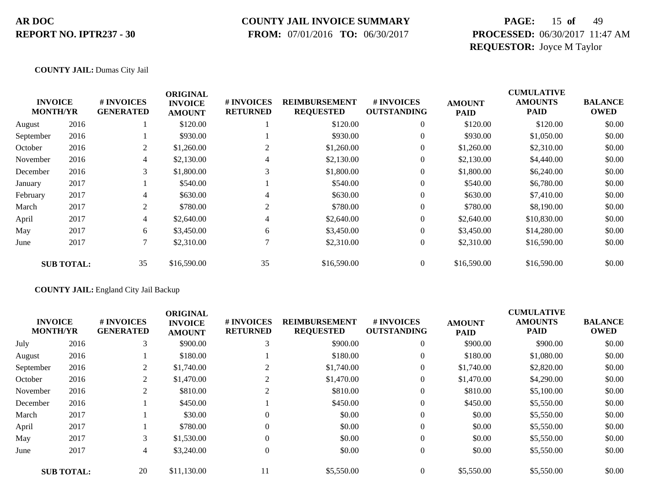### **COUNTY JAIL INVOICE SUMMARY**

 **FROM:** 07/01/2016 **TO:** 06/30/2017

# **PAGE:** 15 **of** 49 **PROCESSED:** 06/30/2017 11:47 AM **REQUESTOR:** Joyce M Taylor

#### **COUNTY JAIL:** Dumas City Jail

|           |                                   |                                | <b>ORIGINAL</b>                 |                               |                                          |                                  |                              | <b>CUMULATIVE</b>             |                               |
|-----------|-----------------------------------|--------------------------------|---------------------------------|-------------------------------|------------------------------------------|----------------------------------|------------------------------|-------------------------------|-------------------------------|
|           | <b>INVOICE</b><br><b>MONTH/YR</b> | # INVOICES<br><b>GENERATED</b> | <b>INVOICE</b><br><b>AMOUNT</b> | # INVOICES<br><b>RETURNED</b> | <b>REIMBURSEMENT</b><br><b>REQUESTED</b> | # INVOICES<br><b>OUTSTANDING</b> | <b>AMOUNT</b><br><b>PAID</b> | <b>AMOUNTS</b><br><b>PAID</b> | <b>BALANCE</b><br><b>OWED</b> |
| August    | 2016                              |                                | \$120.00                        |                               | \$120.00                                 | $\theta$                         | \$120.00                     | \$120.00                      | \$0.00                        |
| September | 2016                              |                                | \$930.00                        |                               | \$930.00                                 | $\overline{0}$                   | \$930.00                     | \$1,050.00                    | \$0.00                        |
| October   | 2016                              | 2                              | \$1,260.00                      | 2                             | \$1,260.00                               | $\overline{0}$                   | \$1,260.00                   | \$2,310.00                    | \$0.00                        |
| November  | 2016                              | 4                              | \$2,130.00                      | 4                             | \$2,130.00                               | $\overline{0}$                   | \$2,130.00                   | \$4,440.00                    | \$0.00                        |
| December  | 2016                              | 3                              | \$1,800.00                      | 3                             | \$1,800.00                               | $\overline{0}$                   | \$1,800.00                   | \$6,240.00                    | \$0.00                        |
| January   | 2017                              |                                | \$540.00                        |                               | \$540.00                                 | $\boldsymbol{0}$                 | \$540.00                     | \$6,780.00                    | \$0.00                        |
| February  | 2017                              | 4                              | \$630.00                        | 4                             | \$630.00                                 | $\theta$                         | \$630.00                     | \$7,410.00                    | \$0.00                        |
| March     | 2017                              | 2                              | \$780.00                        | 2                             | \$780.00                                 | $\overline{0}$                   | \$780.00                     | \$8,190.00                    | \$0.00                        |
| April     | 2017                              | 4                              | \$2,640.00                      | 4                             | \$2,640.00                               | $\overline{0}$                   | \$2,640.00                   | \$10,830.00                   | \$0.00                        |
| May       | 2017                              | 6                              | \$3,450.00                      | 6                             | \$3,450.00                               | $\overline{0}$                   | \$3,450.00                   | \$14,280.00                   | \$0.00                        |
| June      | 2017                              | 7                              | \$2,310.00                      |                               | \$2,310.00                               | $\overline{0}$                   | \$2,310.00                   | \$16,590.00                   | \$0.00                        |
|           | <b>SUB TOTAL:</b>                 | 35                             | \$16,590.00                     | 35                            | \$16,590.00                              | $\overline{0}$                   | \$16,590.00                  | \$16,590.00                   | \$0.00                        |

#### **COUNTY JAIL:** England City Jail Backup

|           | <b>INVOICE</b><br><b>MONTH/YR</b> | # INVOICES<br><b>GENERATED</b> | <b>ORIGINAL</b><br><b>INVOICE</b><br><b>AMOUNT</b> | # INVOICES<br><b>RETURNED</b> | <b>REIMBURSEMENT</b><br><b>REQUESTED</b> | <b>#INVOICES</b><br><b>OUTSTANDING</b> | <b>AMOUNT</b><br><b>PAID</b> | <b>CUMULATIVE</b><br><b>AMOUNTS</b><br><b>PAID</b> | <b>BALANCE</b><br><b>OWED</b> |
|-----------|-----------------------------------|--------------------------------|----------------------------------------------------|-------------------------------|------------------------------------------|----------------------------------------|------------------------------|----------------------------------------------------|-------------------------------|
| July      | 2016                              | 3                              | \$900.00                                           | 3                             | \$900.00                                 | $\overline{0}$                         | \$900.00                     | \$900.00                                           | \$0.00                        |
| August    | 2016                              |                                | \$180.00                                           |                               | \$180.00                                 | $\overline{0}$                         | \$180.00                     | \$1,080.00                                         | \$0.00                        |
| September | 2016                              | 2                              | \$1,740.00                                         |                               | \$1,740.00                               | $\overline{0}$                         | \$1,740.00                   | \$2,820.00                                         | \$0.00                        |
| October   | 2016                              | 2                              | \$1,470.00                                         | 2                             | \$1,470.00                               | $\overline{0}$                         | \$1,470.00                   | \$4,290.00                                         | \$0.00                        |
| November  | 2016                              | 2                              | \$810.00                                           | $\overline{c}$                | \$810.00                                 | $\overline{0}$                         | \$810.00                     | \$5,100.00                                         | \$0.00                        |
| December  | 2016                              |                                | \$450.00                                           |                               | \$450.00                                 | $\overline{0}$                         | \$450.00                     | \$5,550.00                                         | \$0.00                        |
| March     | 2017                              |                                | \$30.00                                            | $\Omega$                      | \$0.00                                   | $\overline{0}$                         | \$0.00                       | \$5,550.00                                         | \$0.00                        |
| April     | 2017                              |                                | \$780.00                                           | $\Omega$                      | \$0.00                                   | $\overline{0}$                         | \$0.00                       | \$5,550.00                                         | \$0.00                        |
| May       | 2017                              | 3                              | \$1,530.00                                         | $\Omega$                      | \$0.00                                   | $\overline{0}$                         | \$0.00                       | \$5,550.00                                         | \$0.00                        |
| June      | 2017                              | $\overline{4}$                 | \$3,240.00                                         | $\theta$                      | \$0.00                                   | $\overline{0}$                         | \$0.00                       | \$5,550.00                                         | \$0.00                        |
|           | <b>SUB TOTAL:</b>                 | 20                             | \$11,130.00                                        | 11                            | \$5,550.00                               | $\Omega$                               | \$5,550.00                   | \$5,550.00                                         | \$0.00                        |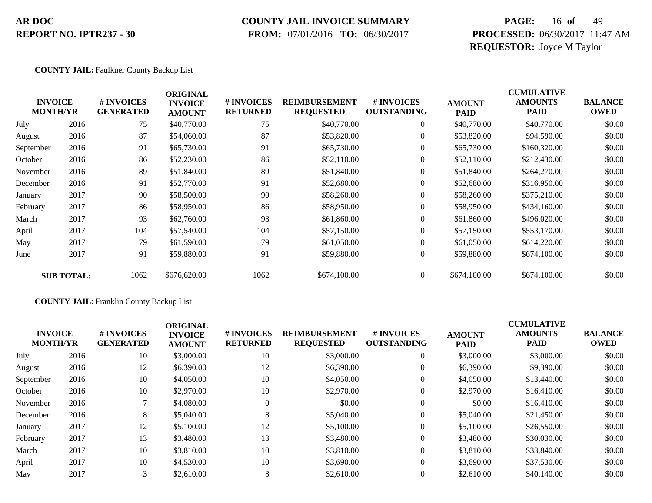### **COUNTY JAIL INVOICE SUMMARY**

 **FROM:** 07/01/2016 **TO:** 06/30/2017

# **PAGE:** 16 **of** 49 **PROCESSED:** 06/30/2017 11:47 AM **REQUESTOR:** Joyce M Taylor

#### **COUNTY JAIL:** Faulkner County Backup List

|           | <b>INVOICE</b><br><b>MONTH/YR</b> | # INVOICES<br><b>GENERATED</b> | <b>ORIGINAL</b><br><b>INVOICE</b><br><b>AMOUNT</b> | # INVOICES<br><b>RETURNED</b> | <b>REIMBURSEMENT</b><br><b>REQUESTED</b> | # INVOICES<br><b>OUTSTANDING</b> | <b>AMOUNT</b><br><b>PAID</b> | <b>CUMULATIVE</b><br><b>AMOUNTS</b><br><b>PAID</b> | <b>BALANCE</b><br><b>OWED</b> |
|-----------|-----------------------------------|--------------------------------|----------------------------------------------------|-------------------------------|------------------------------------------|----------------------------------|------------------------------|----------------------------------------------------|-------------------------------|
| July      | 2016                              | 75                             | \$40,770.00                                        | 75                            | \$40,770.00                              | $\overline{0}$                   | \$40,770.00                  | \$40,770.00                                        | \$0.00                        |
| August    | 2016                              | 87                             | \$54,060.00                                        | 87                            | \$53,820.00                              | $\overline{0}$                   | \$53,820.00                  | \$94,590.00                                        | \$0.00                        |
| September | 2016                              | 91                             | \$65,730.00                                        | 91                            | \$65,730.00                              | $\overline{0}$                   | \$65,730.00                  | \$160,320.00                                       | \$0.00                        |
| October   | 2016                              | 86                             | \$52,230.00                                        | 86                            | \$52,110.00                              | $\overline{0}$                   | \$52,110.00                  | \$212,430.00                                       | \$0.00                        |
| November  | 2016                              | 89                             | \$51,840.00                                        | 89                            | \$51,840.00                              | $\overline{0}$                   | \$51,840.00                  | \$264,270.00                                       | \$0.00                        |
| December  | 2016                              | 91                             | \$52,770.00                                        | 91                            | \$52,680.00                              | $\overline{0}$                   | \$52,680.00                  | \$316,950.00                                       | \$0.00                        |
| January   | 2017                              | 90                             | \$58,500.00                                        | 90                            | \$58,260.00                              | $\overline{0}$                   | \$58,260.00                  | \$375,210.00                                       | \$0.00                        |
| February  | 2017                              | 86                             | \$58,950.00                                        | 86                            | \$58,950.00                              | $\overline{0}$                   | \$58,950.00                  | \$434,160.00                                       | \$0.00                        |
| March     | 2017                              | 93                             | \$62,760.00                                        | 93                            | \$61,860.00                              | $\overline{0}$                   | \$61,860.00                  | \$496,020.00                                       | \$0.00                        |
| April     | 2017                              | 104                            | \$57,540.00                                        | 104                           | \$57,150.00                              | $\overline{0}$                   | \$57,150.00                  | \$553,170.00                                       | \$0.00                        |
| May       | 2017                              | 79                             | \$61,590.00                                        | 79                            | \$61,050.00                              | $\overline{0}$                   | \$61,050.00                  | \$614,220.00                                       | \$0.00                        |
| June      | 2017                              | 91                             | \$59,880.00                                        | 91                            | \$59,880.00                              | $\overline{0}$                   | \$59,880.00                  | \$674,100.00                                       | \$0.00                        |
|           | <b>SUB TOTAL:</b>                 | 1062                           | \$676,620.00                                       | 1062                          | \$674,100.00                             | $\overline{0}$                   | \$674,100.00                 | \$674,100.00                                       | \$0.00                        |

#### **COUNTY JAIL:** Franklin County Backup List

|           | <b>INVOICE</b><br><b>MONTH/YR</b> | # INVOICES<br><b>GENERATED</b> | <b>ORIGINAL</b><br><b>INVOICE</b><br><b>AMOUNT</b> | # INVOICES<br><b>RETURNED</b> | <b>REIMBURSEMENT</b><br><b>REQUESTED</b> | # INVOICES<br><b>OUTSTANDING</b> | <b>AMOUNT</b><br><b>PAID</b> | <b>CUMULATIVE</b><br><b>AMOUNTS</b><br><b>PAID</b> | <b>BALANCE</b><br><b>OWED</b> |
|-----------|-----------------------------------|--------------------------------|----------------------------------------------------|-------------------------------|------------------------------------------|----------------------------------|------------------------------|----------------------------------------------------|-------------------------------|
| July      | 2016                              | 10                             | \$3,000.00                                         | 10                            | \$3,000.00                               | $\theta$                         | \$3,000.00                   | \$3,000.00                                         | \$0.00                        |
| August    | 2016                              | 12                             | \$6,390.00                                         | 12                            | \$6,390.00                               |                                  | \$6,390.00                   | \$9,390.00                                         | \$0.00                        |
| September | 2016                              | 10                             | \$4,050.00                                         | 10                            | \$4,050.00                               |                                  | \$4,050.00                   | \$13,440.00                                        | \$0.00                        |
| October   | 2016                              | 10                             | \$2,970.00                                         | 10                            | \$2,970.00                               |                                  | \$2,970.00                   | \$16,410.00                                        | \$0.00                        |
| November  | 2016                              |                                | \$4,080.00                                         | $\Omega$                      | \$0.00                                   |                                  | \$0.00                       | \$16,410.00                                        | \$0.00                        |
| December  | 2016                              | 8                              | \$5,040.00                                         | 8                             | \$5,040.00                               |                                  | \$5,040.00                   | \$21,450.00                                        | \$0.00                        |
| January   | 2017                              | 12                             | \$5,100.00                                         | 12                            | \$5,100.00                               |                                  | \$5,100.00                   | \$26,550.00                                        | \$0.00                        |
| February  | 2017                              | 13                             | \$3,480.00                                         | 13                            | \$3,480.00                               |                                  | \$3,480.00                   | \$30,030.00                                        | \$0.00                        |
| March     | 2017                              | 10                             | \$3,810.00                                         | 10                            | \$3,810.00                               |                                  | \$3,810.00                   | \$33,840.00                                        | \$0.00                        |
| April     | 2017                              | 10                             | \$4,530.00                                         | 10                            | \$3,690.00                               |                                  | \$3,690.00                   | \$37,530.00                                        | \$0.00                        |
| May       | 2017                              | 3                              | \$2,610.00                                         | $\sim$                        | \$2,610.00                               |                                  | \$2,610.00                   | \$40,140.00                                        | \$0.00                        |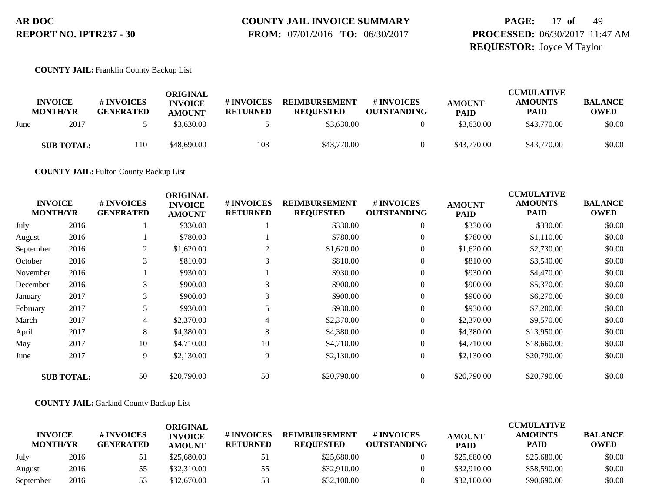# **COUNTY JAIL INVOICE SUMMARY**

 **FROM:** 07/01/2016 **TO:** 06/30/2017

### **PAGE:** 17 **of** 49 **PROCESSED:** 06/30/2017 11:47 AM **REQUESTOR:** Joyce M Taylor

#### **COUNTY JAIL:** Franklin County Backup List

|      | <b>INVOICE</b><br><b>MONTH/YR</b> | # INVOICES<br><b>GENERATED</b> | ORIGINAL<br><b>INVOICE</b><br><b>AMOUNT</b> | # INVOICES<br><b>RETURNED</b> | <b>REIMBURSEMENT</b><br><b>REQUESTED</b> | # INVOICES<br><b>OUTSTANDING</b> | <b>AMOUNT</b><br><b>PAID</b> | <b>CUMULATIVE</b><br><b>AMOUNTS</b><br><b>PAID</b> | <b>BALANCE</b><br><b>OWED</b> |
|------|-----------------------------------|--------------------------------|---------------------------------------------|-------------------------------|------------------------------------------|----------------------------------|------------------------------|----------------------------------------------------|-------------------------------|
| June | 2017                              |                                | \$3.630.00                                  |                               | \$3,630.00                               |                                  | \$3,630.00                   | \$43,770.00                                        | \$0.00                        |
|      | <b>SUB TOTAL:</b>                 | 110                            | \$48,690.00                                 | 103                           | \$43,770.00                              |                                  | \$43,770.00                  | \$43,770.00                                        | \$0.00                        |

**COUNTY JAIL:** Fulton County Backup List

| <b>INVOICE</b><br><b>MONTH/YR</b> |                   | # INVOICES<br><b>GENERATED</b> | <b>ORIGINAL</b><br><b>INVOICE</b><br><b>AMOUNT</b> | <b>#INVOICES</b><br><b>RETURNED</b> | <b>REIMBURSEMENT</b><br><b>REQUESTED</b> | # INVOICES<br><b>OUTSTANDING</b> | <b>AMOUNT</b><br><b>PAID</b> | <b>CUMULATIVE</b><br><b>AMOUNTS</b><br><b>PAID</b> | <b>BALANCE</b><br><b>OWED</b> |
|-----------------------------------|-------------------|--------------------------------|----------------------------------------------------|-------------------------------------|------------------------------------------|----------------------------------|------------------------------|----------------------------------------------------|-------------------------------|
| July                              | 2016              |                                | \$330.00                                           |                                     | \$330.00                                 | $\overline{0}$                   | \$330.00                     | \$330.00                                           | \$0.00                        |
| August                            | 2016              |                                | \$780.00                                           |                                     | \$780.00                                 | $\boldsymbol{0}$                 | \$780.00                     | \$1,110.00                                         | \$0.00                        |
| September                         | 2016              | 2                              | \$1,620.00                                         | $\overline{2}$                      | \$1,620.00                               | $\overline{0}$                   | \$1,620.00                   | \$2,730.00                                         | \$0.00                        |
| October                           | 2016              | 3                              | \$810.00                                           | 3                                   | \$810.00                                 | $\theta$                         | \$810.00                     | \$3,540.00                                         | \$0.00                        |
| November                          | 2016              |                                | \$930.00                                           |                                     | \$930.00                                 | $\overline{0}$                   | \$930.00                     | \$4,470.00                                         | \$0.00                        |
| December                          | 2016              | 3                              | \$900.00                                           | 3                                   | \$900.00                                 | $\overline{0}$                   | \$900.00                     | \$5,370.00                                         | \$0.00                        |
| January                           | 2017              | 3                              | \$900.00                                           | 3                                   | \$900.00                                 | $\boldsymbol{0}$                 | \$900.00                     | \$6,270.00                                         | \$0.00                        |
| February                          | 2017              | 5                              | \$930.00                                           | 5                                   | \$930.00                                 | $\overline{0}$                   | \$930.00                     | \$7,200.00                                         | \$0.00                        |
| March                             | 2017              | 4                              | \$2,370.00                                         | 4                                   | \$2,370.00                               | $\theta$                         | \$2,370.00                   | \$9,570.00                                         | \$0.00                        |
| April                             | 2017              | 8                              | \$4,380.00                                         | 8                                   | \$4,380.00                               | $\boldsymbol{0}$                 | \$4,380.00                   | \$13,950.00                                        | \$0.00                        |
| May                               | 2017              | 10                             | \$4,710.00                                         | 10                                  | \$4,710.00                               | $\boldsymbol{0}$                 | \$4,710.00                   | \$18,660.00                                        | \$0.00                        |
| June                              | 2017              | 9                              | \$2,130.00                                         | 9                                   | \$2,130.00                               | $\boldsymbol{0}$                 | \$2,130.00                   | \$20,790.00                                        | \$0.00                        |
|                                   | <b>SUB TOTAL:</b> | 50                             | \$20,790.00                                        | 50                                  | \$20,790.00                              | $\overline{0}$                   | \$20,790.00                  | \$20,790.00                                        | \$0.00                        |

#### **COUNTY JAIL:** Garland County Backup List

|                                   |      |                                       | ORIGINAL                        |                               |                                          |                                  |                              | <b>CUMULATIVE</b>             |                               |
|-----------------------------------|------|---------------------------------------|---------------------------------|-------------------------------|------------------------------------------|----------------------------------|------------------------------|-------------------------------|-------------------------------|
| <b>INVOICE</b><br><b>MONTH/YR</b> |      | <b># INVOICES</b><br><b>GENERATED</b> | <b>INVOICE</b><br><b>AMOUNT</b> | # INVOICES<br><b>RETURNED</b> | <b>REIMBURSEMENT</b><br><b>REOUESTED</b> | # INVOICES<br><b>OUTSTANDING</b> | <b>AMOUNT</b><br><b>PAID</b> | <b>AMOUNTS</b><br><b>PAID</b> | <b>BALANCE</b><br><b>OWED</b> |
| July                              | 2016 |                                       | \$25,680.00                     | 51                            | \$25,680.00                              |                                  | \$25,680.00                  | \$25,680.00                   | \$0.00                        |
| August                            | 2016 | 55                                    | \$32,310.00                     | 55                            | \$32,910.00                              |                                  | \$32,910.00                  | \$58,590.00                   | \$0.00                        |
| September                         | 2016 | 53                                    | \$32,670.00                     | 53                            | \$32,100.00                              |                                  | \$32,100.00                  | \$90,690.00                   | \$0.00                        |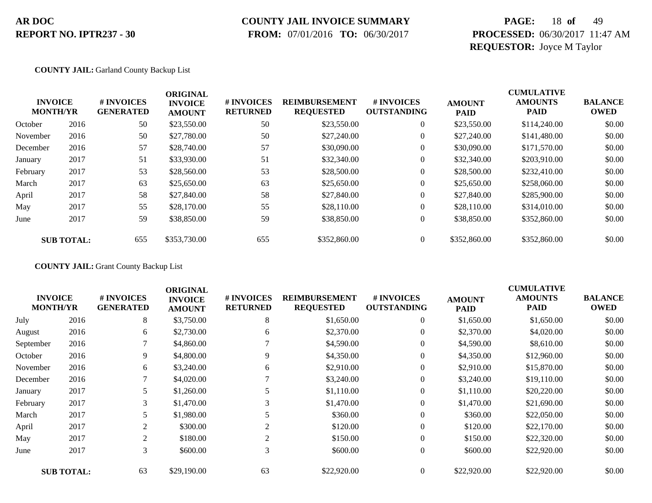### **COUNTY JAIL INVOICE SUMMARY**

 **FROM:** 07/01/2016 **TO:** 06/30/2017

# **PAGE:** 18 **of** 49 **PROCESSED:** 06/30/2017 11:47 AM **REQUESTOR:** Joyce M Taylor

#### **COUNTY JAIL:** Garland County Backup List

|          | <b>INVOICE</b><br><b>MONTH/YR</b> | # INVOICES<br><b>GENERATED</b> | <b>ORIGINAL</b><br><b>INVOICE</b><br><b>AMOUNT</b> | # INVOICES<br><b>RETURNED</b> | <b>REIMBURSEMENT</b><br><b>REQUESTED</b> | <b>#INVOICES</b><br><b>OUTSTANDING</b> | <b>AMOUNT</b><br><b>PAID</b> | <b>CUMULATIVE</b><br><b>AMOUNTS</b><br><b>PAID</b> | <b>BALANCE</b><br><b>OWED</b> |
|----------|-----------------------------------|--------------------------------|----------------------------------------------------|-------------------------------|------------------------------------------|----------------------------------------|------------------------------|----------------------------------------------------|-------------------------------|
| October  | 2016                              | 50                             | \$23,550.00                                        | 50                            | \$23,550.00                              | $\overline{0}$                         | \$23,550.00                  | \$114,240.00                                       | \$0.00                        |
| November | 2016                              | 50                             | \$27,780.00                                        | 50                            | \$27,240.00                              | $\overline{0}$                         | \$27,240.00                  | \$141,480.00                                       | \$0.00                        |
| December | 2016                              | 57                             | \$28,740.00                                        | 57                            | \$30,090.00                              | 0                                      | \$30,090.00                  | \$171,570.00                                       | \$0.00                        |
| January  | 2017                              | 51                             | \$33,930.00                                        | 51                            | \$32,340.00                              | 0                                      | \$32,340.00                  | \$203,910.00                                       | \$0.00                        |
| February | 2017                              | 53                             | \$28,560.00                                        | 53                            | \$28,500.00                              | $\boldsymbol{0}$                       | \$28,500.00                  | \$232,410.00                                       | \$0.00                        |
| March    | 2017                              | 63                             | \$25,650.00                                        | 63                            | \$25,650.00                              | $\overline{0}$                         | \$25,650.00                  | \$258,060.00                                       | \$0.00                        |
| April    | 2017                              | 58                             | \$27,840.00                                        | 58                            | \$27,840.00                              | $\overline{0}$                         | \$27,840.00                  | \$285,900.00                                       | \$0.00                        |
| May      | 2017                              | 55                             | \$28,170.00                                        | 55                            | \$28,110.00                              | $\overline{0}$                         | \$28,110.00                  | \$314,010.00                                       | \$0.00                        |
| June     | 2017                              | 59                             | \$38,850.00                                        | 59                            | \$38,850.00                              | $\boldsymbol{0}$                       | \$38,850.00                  | \$352,860.00                                       | \$0.00                        |
|          | <b>SUB TOTAL:</b>                 | 655                            | \$353,730.00                                       | 655                           | \$352,860.00                             | $\overline{0}$                         | \$352,860.00                 | \$352,860.00                                       | \$0.00                        |

#### **COUNTY JAIL:** Grant County Backup List

|                                   |                   |                                | <b>ORIGINAL</b>                 |                               |                                          |                                  |                              | <b>CUMULATIVE</b>             |                               |
|-----------------------------------|-------------------|--------------------------------|---------------------------------|-------------------------------|------------------------------------------|----------------------------------|------------------------------|-------------------------------|-------------------------------|
| <b>INVOICE</b><br><b>MONTH/YR</b> |                   | # INVOICES<br><b>GENERATED</b> | <b>INVOICE</b><br><b>AMOUNT</b> | # INVOICES<br><b>RETURNED</b> | <b>REIMBURSEMENT</b><br><b>REQUESTED</b> | # INVOICES<br><b>OUTSTANDING</b> | <b>AMOUNT</b><br><b>PAID</b> | <b>AMOUNTS</b><br><b>PAID</b> | <b>BALANCE</b><br><b>OWED</b> |
| July                              | 2016              | 8                              | \$3,750.00                      | 8                             | \$1,650.00                               | $\overline{0}$                   | \$1,650.00                   | \$1,650.00                    | \$0.00                        |
| August                            | 2016              | 6                              | \$2,730.00                      | 6                             | \$2,370.00                               | $\overline{0}$                   | \$2,370.00                   | \$4,020.00                    | \$0.00                        |
| September                         | 2016              | 7                              | \$4,860.00                      |                               | \$4,590.00                               | $\overline{0}$                   | \$4,590.00                   | \$8,610.00                    | \$0.00                        |
| October                           | 2016              | 9                              | \$4,800.00                      | 9                             | \$4,350.00                               | $\boldsymbol{0}$                 | \$4,350.00                   | \$12,960.00                   | \$0.00                        |
| November                          | 2016              | 6                              | \$3,240.00                      | 6                             | \$2,910.00                               | $\overline{0}$                   | \$2,910.00                   | \$15,870.00                   | \$0.00                        |
| December                          | 2016              | 7                              | \$4,020.00                      |                               | \$3,240.00                               | $\overline{0}$                   | \$3,240.00                   | \$19,110.00                   | \$0.00                        |
| January                           | 2017              | 5.                             | \$1,260.00                      |                               | \$1,110.00                               | $\theta$                         | \$1,110.00                   | \$20,220.00                   | \$0.00                        |
| February                          | 2017              | 3                              | \$1,470.00                      | 3                             | \$1,470.00                               | $\overline{0}$                   | \$1,470.00                   | \$21,690.00                   | \$0.00                        |
| March                             | 2017              | 5                              | \$1,980.00                      |                               | \$360.00                                 | $\overline{0}$                   | \$360.00                     | \$22,050.00                   | \$0.00                        |
| April                             | 2017              | 2                              | \$300.00                        | $\overline{2}$                | \$120.00                                 | $\theta$                         | \$120.00                     | \$22,170.00                   | \$0.00                        |
| May                               | 2017              | 2                              | \$180.00                        | $\overline{2}$                | \$150.00                                 | $\overline{0}$                   | \$150.00                     | \$22,320.00                   | \$0.00                        |
| June                              | 2017              | 3                              | \$600.00                        | 3                             | \$600.00                                 | $\theta$                         | \$600.00                     | \$22,920.00                   | \$0.00                        |
|                                   | <b>SUB TOTAL:</b> | 63                             | \$29,190.00                     | 63                            | \$22,920.00                              | $\theta$                         | \$22,920.00                  | \$22,920.00                   | \$0.00                        |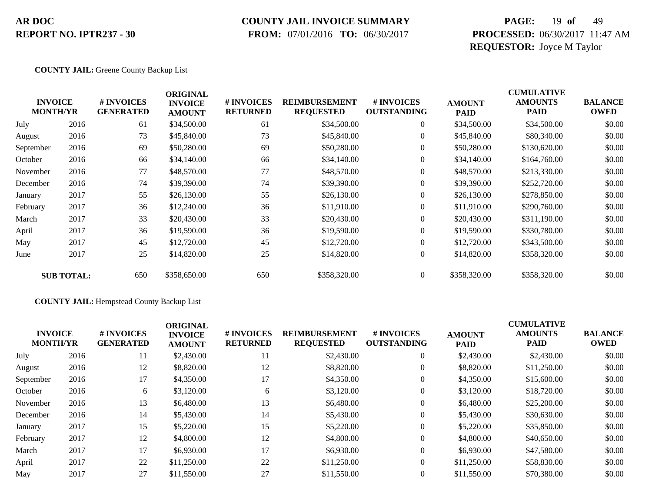### **COUNTY JAIL INVOICE SUMMARY**

 **FROM:** 07/01/2016 **TO:** 06/30/2017

# **PAGE:** 19 **of** 49 **PROCESSED:** 06/30/2017 11:47 AM **REQUESTOR:** Joyce M Taylor

**COUNTY JAIL:** Greene County Backup List

|           | <b>INVOICE</b><br><b>MONTH/YR</b> | # INVOICES<br><b>GENERATED</b> | <b>ORIGINAL</b><br><b>INVOICE</b><br><b>AMOUNT</b> | # INVOICES<br><b>RETURNED</b> | <b>REIMBURSEMENT</b><br><b>REQUESTED</b> | # INVOICES<br><b>OUTSTANDING</b> | <b>AMOUNT</b><br><b>PAID</b> | <b>CUMULATIVE</b><br><b>AMOUNTS</b><br><b>PAID</b> | <b>BALANCE</b><br><b>OWED</b> |
|-----------|-----------------------------------|--------------------------------|----------------------------------------------------|-------------------------------|------------------------------------------|----------------------------------|------------------------------|----------------------------------------------------|-------------------------------|
| July      | 2016                              | 61                             | \$34,500.00                                        | 61                            | \$34,500.00                              | $\overline{0}$                   | \$34,500.00                  | \$34,500.00                                        | \$0.00                        |
| August    | 2016                              | 73                             | \$45,840.00                                        | 73                            | \$45,840.00                              | $\overline{0}$                   | \$45,840.00                  | \$80,340.00                                        | \$0.00                        |
| September | 2016                              | 69                             | \$50,280.00                                        | 69                            | \$50,280.00                              | $\overline{0}$                   | \$50,280.00                  | \$130,620.00                                       | \$0.00                        |
| October   | 2016                              | 66                             | \$34,140.00                                        | 66                            | \$34,140.00                              | $\overline{0}$                   | \$34,140.00                  | \$164,760.00                                       | \$0.00                        |
| November  | 2016                              | 77                             | \$48,570.00                                        | 77                            | \$48,570.00                              | $\overline{0}$                   | \$48,570.00                  | \$213,330.00                                       | \$0.00                        |
| December  | 2016                              | 74                             | \$39,390.00                                        | 74                            | \$39,390.00                              | $\overline{0}$                   | \$39,390.00                  | \$252,720.00                                       | \$0.00                        |
| January   | 2017                              | 55                             | \$26,130.00                                        | 55                            | \$26,130.00                              | $\overline{0}$                   | \$26,130.00                  | \$278,850.00                                       | \$0.00                        |
| February  | 2017                              | 36                             | \$12,240.00                                        | 36                            | \$11,910.00                              | $\overline{0}$                   | \$11,910.00                  | \$290,760.00                                       | \$0.00                        |
| March     | 2017                              | 33                             | \$20,430.00                                        | 33                            | \$20,430.00                              | $\overline{0}$                   | \$20,430.00                  | \$311,190.00                                       | \$0.00                        |
| April     | 2017                              | 36                             | \$19,590.00                                        | 36                            | \$19,590.00                              | $\overline{0}$                   | \$19,590.00                  | \$330,780.00                                       | \$0.00                        |
| May       | 2017                              | 45                             | \$12,720.00                                        | 45                            | \$12,720.00                              | $\overline{0}$                   | \$12,720.00                  | \$343,500.00                                       | \$0.00                        |
| June      | 2017                              | 25                             | \$14,820.00                                        | 25                            | \$14,820.00                              | $\boldsymbol{0}$                 | \$14,820.00                  | \$358,320.00                                       | \$0.00                        |
|           | <b>SUB TOTAL:</b>                 | 650                            | \$358,650.00                                       | 650                           | \$358,320.00                             | $\overline{0}$                   | \$358,320.00                 | \$358,320.00                                       | \$0.00                        |

**COUNTY JAIL:** Hempstead County Backup List

| <b>INVOICE</b><br><b>MONTH/YR</b> |      | # INVOICES<br><b>GENERATED</b> | <b>ORIGINAL</b><br><b>INVOICE</b><br><b>AMOUNT</b> | <b>#INVOICES</b><br><b>RETURNED</b> | <b>REIMBURSEMENT</b><br><b>REQUESTED</b> | # INVOICES<br><b>OUTSTANDING</b> | <b>AMOUNT</b><br><b>PAID</b> | <b>CUMULATIVE</b><br><b>AMOUNTS</b><br><b>PAID</b> | <b>BALANCE</b><br><b>OWED</b> |
|-----------------------------------|------|--------------------------------|----------------------------------------------------|-------------------------------------|------------------------------------------|----------------------------------|------------------------------|----------------------------------------------------|-------------------------------|
| July                              | 2016 | 11                             | \$2,430.00                                         | 11                                  | \$2,430.00                               | $\theta$                         | \$2,430.00                   | \$2,430.00                                         | \$0.00                        |
| August                            | 2016 | 12                             | \$8,820.00                                         | 12                                  | \$8,820.00                               | $\theta$                         | \$8,820.00                   | \$11,250.00                                        | \$0.00                        |
| September                         | 2016 | 17                             | \$4,350.00                                         | 17                                  | \$4,350.00                               | $\boldsymbol{0}$                 | \$4,350.00                   | \$15,600.00                                        | \$0.00                        |
| October                           | 2016 | 6                              | \$3,120.00                                         | 6                                   | \$3,120.00                               | $\theta$                         | \$3,120.00                   | \$18,720.00                                        | \$0.00                        |
| November                          | 2016 | 13                             | \$6,480.00                                         | 13                                  | \$6,480.00                               | $\theta$                         | \$6,480.00                   | \$25,200.00                                        | \$0.00                        |
| December                          | 2016 | 14                             | \$5,430.00                                         | 14                                  | \$5,430.00                               | $\theta$                         | \$5,430.00                   | \$30,630.00                                        | \$0.00                        |
| January                           | 2017 | 15                             | \$5,220.00                                         | 15                                  | \$5,220.00                               | $\theta$                         | \$5,220.00                   | \$35,850.00                                        | \$0.00                        |
| February                          | 2017 | 12                             | \$4,800.00                                         | 12                                  | \$4,800.00                               | $\theta$                         | \$4,800.00                   | \$40,650.00                                        | \$0.00                        |
| March                             | 2017 | 17                             | \$6,930.00                                         | 17                                  | \$6,930.00                               | $\Omega$                         | \$6,930.00                   | \$47,580.00                                        | \$0.00                        |
| April                             | 2017 | 22                             | \$11,250.00                                        | 22                                  | \$11,250.00                              | $\theta$                         | \$11,250.00                  | \$58,830.00                                        | \$0.00                        |
| May                               | 2017 | 27                             | \$11,550.00                                        | 27                                  | \$11,550.00                              | $\theta$                         | \$11,550.00                  | \$70,380.00                                        | \$0.00                        |
|                                   |      |                                |                                                    |                                     |                                          |                                  |                              |                                                    |                               |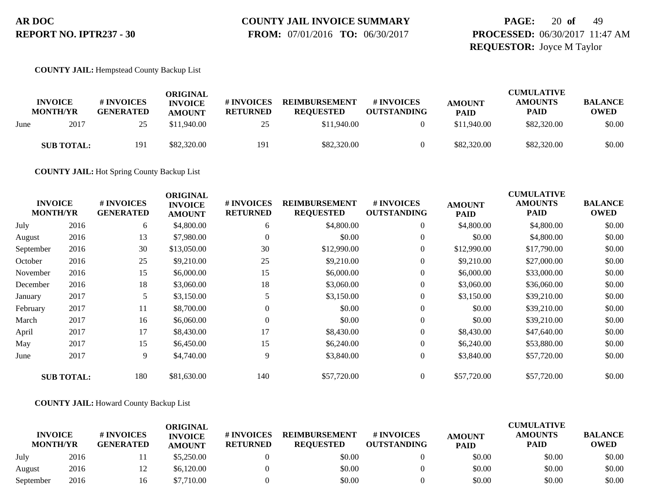# **COUNTY JAIL INVOICE SUMMARY**

 **FROM:** 07/01/2016 **TO:** 06/30/2017

# **PAGE:** 20 **of** 49 **PROCESSED:** 06/30/2017 11:47 AM **REQUESTOR:** Joyce M Taylor

#### **COUNTY JAIL:** Hempstead County Backup List

|      | <b>INVOICE</b><br><b>MONTH/YR</b> | # INVOICES<br><b>GENERATED</b> | ORIGINAL<br><b>INVOICE</b><br><b>AMOUNT</b> | # INVOICES<br><b>RETURNED</b> | <b>REIMBURSEMENT</b><br><b>REOUESTED</b> | # INVOICES<br><b>OUTSTANDING</b> | <b>AMOUNT</b><br><b>PAID</b> | <b>CUMULATIVE</b><br><b>AMOUNTS</b><br><b>PAID</b> | <b>BALANCE</b><br><b>OWED</b> |
|------|-----------------------------------|--------------------------------|---------------------------------------------|-------------------------------|------------------------------------------|----------------------------------|------------------------------|----------------------------------------------------|-------------------------------|
| June | 2017                              | 25                             | \$11,940.00                                 | 25                            | \$11,940.00                              |                                  | \$11,940.00                  | \$82,320.00                                        | \$0.00                        |
|      | <b>SUB TOTAL:</b>                 | 191                            | \$82,320.00                                 | 191                           | \$82,320.00                              |                                  | \$82,320.00                  | \$82,320.00                                        | \$0.00                        |

**COUNTY JAIL:** Hot Spring County Backup List

| <b>INVOICE</b><br><b>MONTH/YR</b> |                   | # INVOICES<br><b>GENERATED</b> | <b>ORIGINAL</b><br><b>INVOICE</b><br><b>AMOUNT</b> | <b>#INVOICES</b><br><b>RETURNED</b> | <b>REIMBURSEMENT</b><br><b>REQUESTED</b> | # INVOICES<br><b>OUTSTANDING</b> | <b>AMOUNT</b><br><b>PAID</b> | <b>CUMULATIVE</b><br><b>AMOUNTS</b><br><b>PAID</b> | <b>BALANCE</b><br><b>OWED</b> |
|-----------------------------------|-------------------|--------------------------------|----------------------------------------------------|-------------------------------------|------------------------------------------|----------------------------------|------------------------------|----------------------------------------------------|-------------------------------|
| July                              | 2016              | 6                              | \$4,800.00                                         | 6                                   | \$4,800.00                               | $\boldsymbol{0}$                 | \$4,800.00                   | \$4,800.00                                         | \$0.00                        |
| August                            | 2016              | 13                             | \$7,980.00                                         | 0                                   | \$0.00                                   | $\boldsymbol{0}$                 | \$0.00                       | \$4,800.00                                         | \$0.00                        |
| September                         | 2016              | 30                             | \$13,050.00                                        | 30                                  | \$12,990.00                              | $\overline{0}$                   | \$12,990.00                  | \$17,790.00                                        | \$0.00                        |
| October                           | 2016              | 25                             | \$9,210.00                                         | 25                                  | \$9,210.00                               | $\boldsymbol{0}$                 | \$9,210.00                   | \$27,000.00                                        | \$0.00                        |
| November                          | 2016              | 15                             | \$6,000.00                                         | 15                                  | \$6,000.00                               | $\overline{0}$                   | \$6,000.00                   | \$33,000.00                                        | \$0.00                        |
| December                          | 2016              | 18                             | \$3,060.00                                         | 18                                  | \$3,060.00                               | $\boldsymbol{0}$                 | \$3,060.00                   | \$36,060.00                                        | \$0.00                        |
| January                           | 2017              |                                | \$3,150.00                                         |                                     | \$3,150.00                               | $\boldsymbol{0}$                 | \$3,150.00                   | \$39,210.00                                        | \$0.00                        |
| February                          | 2017              | 11                             | \$8,700.00                                         | $\Omega$                            | \$0.00                                   | $\overline{0}$                   | \$0.00                       | \$39,210.00                                        | \$0.00                        |
| March                             | 2017              | 16                             | \$6,060.00                                         | $\theta$                            | \$0.00                                   | $\boldsymbol{0}$                 | \$0.00                       | \$39,210.00                                        | \$0.00                        |
| April                             | 2017              | 17                             | \$8,430.00                                         | 17                                  | \$8,430.00                               | $\boldsymbol{0}$                 | \$8,430.00                   | \$47,640.00                                        | \$0.00                        |
| May                               | 2017              | 15                             | \$6,450.00                                         | 15                                  | \$6,240.00                               | $\overline{0}$                   | \$6,240.00                   | \$53,880.00                                        | \$0.00                        |
| June                              | 2017              | 9                              | \$4,740.00                                         | 9                                   | \$3,840.00                               | $\overline{0}$                   | \$3,840.00                   | \$57,720.00                                        | \$0.00                        |
|                                   | <b>SUB TOTAL:</b> | 180                            | \$81,630.00                                        | 140                                 | \$57,720.00                              | $\overline{0}$                   | \$57,720.00                  | \$57,720.00                                        | \$0.00                        |

### **COUNTY JAIL:** Howard County Backup List

| <b>INVOICE</b><br><b>MONTH/YR</b> | # INVOICES<br><b>GENERATED</b> | ORIGINAL<br><b>INVOICE</b><br><b>AMOUNT</b> | # INVOICES<br><b>RETURNED</b> | <b>REIMBURSEMENT</b><br><b>REOUESTED</b> | # INVOICES<br><b>OUTSTANDING</b> | <b>AMOUNT</b> | <b>CUMULATIVE</b><br><b>AMOUNTS</b><br><b>PAID</b> | <b>BALANCE</b><br><b>OWED</b> |        |
|-----------------------------------|--------------------------------|---------------------------------------------|-------------------------------|------------------------------------------|----------------------------------|---------------|----------------------------------------------------|-------------------------------|--------|
|                                   |                                |                                             |                               |                                          |                                  |               | <b>PAID</b>                                        |                               |        |
| July                              | 2016                           |                                             | \$5,250.00                    |                                          | \$0.00                           |               | \$0.00                                             | \$0.00                        | \$0.00 |
| August                            | 2016                           | 12                                          | \$6,120.00                    |                                          | \$0.00                           |               | \$0.00                                             | \$0.00                        | \$0.00 |
| September                         | 2016                           | Iб                                          | \$7.710.00                    |                                          | \$0.00                           |               | \$0.00                                             | \$0.00                        | \$0.00 |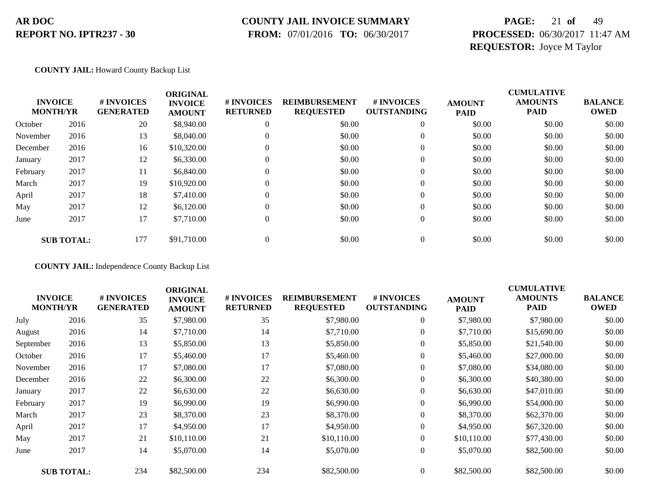### **COUNTY JAIL INVOICE SUMMARY**

 **FROM:** 07/01/2016 **TO:** 06/30/2017

# **PAGE:** 21 **of** 49 **PROCESSED:** 06/30/2017 11:47 AM **REQUESTOR:** Joyce M Taylor

#### **COUNTY JAIL:** Howard County Backup List

| <b>INVOICE</b><br><b>MONTH/YR</b> |                   | # INVOICES<br><b>GENERATED</b> | <b>ORIGINAL</b><br><b>INVOICE</b><br><b>AMOUNT</b> | # INVOICES<br><b>RETURNED</b> | <b>REIMBURSEMENT</b><br><b>REQUESTED</b> | # INVOICES<br><b>OUTSTANDING</b> | <b>AMOUNT</b><br><b>PAID</b> | <b>CUMULATIVE</b><br><b>AMOUNTS</b><br><b>PAID</b> | <b>BALANCE</b><br><b>OWED</b> |
|-----------------------------------|-------------------|--------------------------------|----------------------------------------------------|-------------------------------|------------------------------------------|----------------------------------|------------------------------|----------------------------------------------------|-------------------------------|
| October                           | 2016              | 20                             | \$8,940.00                                         | $\theta$                      | \$0.00                                   | $\theta$                         | \$0.00                       | \$0.00                                             | \$0.00                        |
| November                          | 2016              | 13                             | \$8,040.00                                         | $\theta$                      | \$0.00                                   | $\theta$                         | \$0.00                       | \$0.00                                             | \$0.00                        |
| December                          | 2016              | 16                             | \$10,320.00                                        | $\Omega$                      | \$0.00                                   | $\theta$                         | \$0.00                       | \$0.00                                             | \$0.00                        |
| January                           | 2017              | 12                             | \$6,330.00                                         | $\theta$                      | \$0.00                                   | $\theta$                         | \$0.00                       | \$0.00                                             | \$0.00                        |
| February                          | 2017              | 11                             | \$6,840.00                                         | $\Omega$                      | \$0.00                                   | $\theta$                         | \$0.00                       | \$0.00                                             | \$0.00                        |
| March                             | 2017              | 19                             | \$10,920.00                                        | $\Omega$                      | \$0.00                                   | $\theta$                         | \$0.00                       | \$0.00                                             | \$0.00                        |
| April                             | 2017              | 18                             | \$7,410.00                                         | $\Omega$                      | \$0.00                                   | $\mathbf{0}$                     | \$0.00                       | \$0.00                                             | \$0.00                        |
| May                               | 2017              | 12                             | \$6,120.00                                         | $\Omega$                      | \$0.00                                   | $\boldsymbol{0}$                 | \$0.00                       | \$0.00                                             | \$0.00                        |
| June                              | 2017              | 17                             | \$7,710.00                                         | $\mathbf{0}$                  | \$0.00                                   | $\boldsymbol{0}$                 | \$0.00                       | \$0.00                                             | \$0.00                        |
|                                   | <b>SUB TOTAL:</b> | 177                            | \$91,710.00                                        | $\mathbf{0}$                  | \$0.00                                   | 0                                | \$0.00                       | \$0.00                                             | \$0.00                        |

#### **COUNTY JAIL:** Independence County Backup List

| <b>INVOICE</b><br><b>MONTH/YR</b> |                   | # INVOICES<br><b>GENERATED</b> | <b>ORIGINAL</b><br><b>INVOICE</b><br><b>AMOUNT</b> | # INVOICES<br><b>RETURNED</b> | <b>REIMBURSEMENT</b><br><b>REQUESTED</b> | # INVOICES<br><b>OUTSTANDING</b> | <b>AMOUNT</b><br>PAID | <b>CUMULATIVE</b><br><b>AMOUNTS</b><br><b>PAID</b> | <b>BALANCE</b><br><b>OWED</b> |
|-----------------------------------|-------------------|--------------------------------|----------------------------------------------------|-------------------------------|------------------------------------------|----------------------------------|-----------------------|----------------------------------------------------|-------------------------------|
| July                              | 2016              | 35                             | \$7,980.00                                         | 35                            | \$7,980.00                               | $\boldsymbol{0}$                 | \$7,980.00            | \$7,980.00                                         | \$0.00                        |
| August                            | 2016              | 14                             | \$7,710.00                                         | 14                            | \$7,710.00                               | $\overline{0}$                   | \$7,710.00            | \$15,690.00                                        | \$0.00                        |
| September                         | 2016              | 13                             | \$5,850.00                                         | 13                            | \$5,850.00                               | $\overline{0}$                   | \$5,850.00            | \$21,540.00                                        | \$0.00                        |
| October                           | 2016              | 17                             | \$5,460.00                                         | 17                            | \$5,460.00                               | 0                                | \$5,460.00            | \$27,000.00                                        | \$0.00                        |
| November                          | 2016              | 17                             | \$7,080.00                                         | 17                            | \$7,080.00                               | $\overline{0}$                   | \$7,080.00            | \$34,080.00                                        | \$0.00                        |
| December                          | 2016              | 22                             | \$6,300.00                                         | 22                            | \$6,300.00                               | $\overline{0}$                   | \$6,300.00            | \$40,380.00                                        | \$0.00                        |
| January                           | 2017              | 22                             | \$6,630.00                                         | 22                            | \$6,630.00                               | $\overline{0}$                   | \$6,630.00            | \$47,010.00                                        | \$0.00                        |
| February                          | 2017              | 19                             | \$6,990.00                                         | 19                            | \$6,990.00                               | $\boldsymbol{0}$                 | \$6,990.00            | \$54,000.00                                        | \$0.00                        |
| March                             | 2017              | 23                             | \$8,370.00                                         | 23                            | \$8,370.00                               | $\overline{0}$                   | \$8,370.00            | \$62,370.00                                        | \$0.00                        |
| April                             | 2017              | 17                             | \$4,950.00                                         | 17                            | \$4,950.00                               | $\overline{0}$                   | \$4,950.00            | \$67,320.00                                        | \$0.00                        |
| May                               | 2017              | 21                             | \$10,110.00                                        | 21                            | \$10,110.00                              | $\boldsymbol{0}$                 | \$10,110.00           | \$77,430.00                                        | \$0.00                        |
| June                              | 2017              | 14                             | \$5,070.00                                         | 14                            | \$5,070.00                               | $\overline{0}$                   | \$5,070.00            | \$82,500.00                                        | \$0.00                        |
|                                   | <b>SUB TOTAL:</b> | 234                            | \$82,500.00                                        | 234                           | \$82,500.00                              | $\boldsymbol{0}$                 | \$82,500.00           | \$82,500.00                                        | \$0.00                        |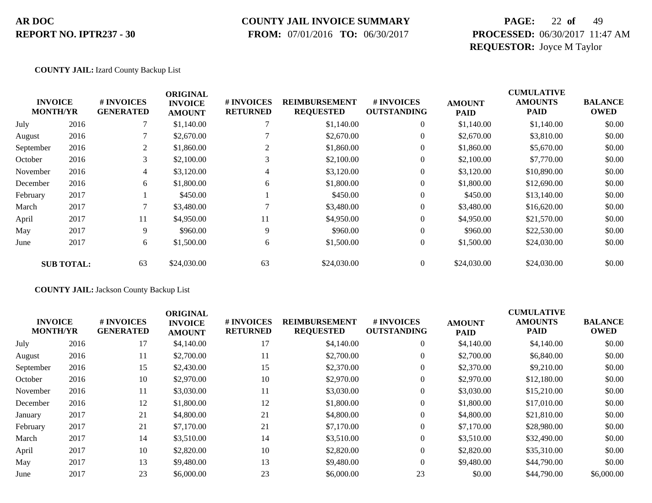### **COUNTY JAIL INVOICE SUMMARY**

 **FROM:** 07/01/2016 **TO:** 06/30/2017

# **PAGE:** 22 **of** 49 **PROCESSED:** 06/30/2017 11:47 AM **REQUESTOR:** Joyce M Taylor

**COUNTY JAIL:** Izard County Backup List

|           | <b>INVOICE</b><br><b>MONTH/YR</b> | # INVOICES<br><b>GENERATED</b> | <b>ORIGINAL</b><br><b>INVOICE</b><br><b>AMOUNT</b> | # INVOICES<br><b>RETURNED</b> | <b>REIMBURSEMENT</b><br><b>REQUESTED</b> | # INVOICES<br><b>OUTSTANDING</b> | <b>AMOUNT</b><br><b>PAID</b> | <b>CUMULATIVE</b><br><b>AMOUNTS</b><br><b>PAID</b> | <b>BALANCE</b><br><b>OWED</b> |
|-----------|-----------------------------------|--------------------------------|----------------------------------------------------|-------------------------------|------------------------------------------|----------------------------------|------------------------------|----------------------------------------------------|-------------------------------|
| July      | 2016                              |                                | \$1,140.00                                         |                               | \$1,140.00                               | $\overline{0}$                   | \$1,140.00                   | \$1,140.00                                         | \$0.00                        |
| August    | 2016                              |                                | \$2,670.00                                         |                               | \$2,670.00                               | $\overline{0}$                   | \$2,670.00                   | \$3,810.00                                         | \$0.00                        |
| September | 2016                              | 2                              | \$1,860.00                                         | 2                             | \$1,860.00                               | $\overline{0}$                   | \$1,860.00                   | \$5,670.00                                         | \$0.00                        |
| October   | 2016                              | 3                              | \$2,100.00                                         |                               | \$2,100.00                               | $\overline{0}$                   | \$2,100.00                   | \$7,770.00                                         | \$0.00                        |
| November  | 2016                              | 4                              | \$3,120.00                                         | 4                             | \$3,120.00                               | $\mathbf{0}$                     | \$3,120.00                   | \$10,890.00                                        | \$0.00                        |
| December  | 2016                              | 6                              | \$1,800.00                                         | 6                             | \$1,800.00                               | $\overline{0}$                   | \$1,800.00                   | \$12,690.00                                        | \$0.00                        |
| February  | 2017                              |                                | \$450.00                                           |                               | \$450.00                                 | $\overline{0}$                   | \$450.00                     | \$13,140.00                                        | \$0.00                        |
| March     | 2017                              | 7                              | \$3,480.00                                         |                               | \$3,480.00                               | $\overline{0}$                   | \$3,480.00                   | \$16,620.00                                        | \$0.00                        |
| April     | 2017                              | 11                             | \$4,950.00                                         | 11                            | \$4,950.00                               | $\overline{0}$                   | \$4,950.00                   | \$21,570.00                                        | \$0.00                        |
| May       | 2017                              | 9                              | \$960.00                                           | 9                             | \$960.00                                 | $\boldsymbol{0}$                 | \$960.00                     | \$22,530.00                                        | \$0.00                        |
| June      | 2017                              | 6                              | \$1,500.00                                         | 6                             | \$1,500.00                               | $\boldsymbol{0}$                 | \$1,500.00                   | \$24,030.00                                        | \$0.00                        |
|           | <b>SUB TOTAL:</b>                 | 63                             | \$24,030.00                                        | 63                            | \$24,030.00                              | $\Omega$                         | \$24,030.00                  | \$24,030.00                                        | \$0.00                        |

**COUNTY JAIL:** Jackson County Backup List

| <b>INVOICE</b><br><b>MONTH/YR</b> |      | # INVOICES<br><b>GENERATED</b> | <b>ORIGINAL</b><br><b>INVOICE</b><br><b>AMOUNT</b> | # INVOICES<br><b>RETURNED</b> | <b>REIMBURSEMENT</b><br><b>REQUESTED</b> | <b>#INVOICES</b><br><b>OUTSTANDING</b> | <b>AMOUNT</b><br><b>PAID</b> | <b>CUMULATIVE</b><br><b>AMOUNTS</b><br>PAID | <b>BALANCE</b><br><b>OWED</b> |
|-----------------------------------|------|--------------------------------|----------------------------------------------------|-------------------------------|------------------------------------------|----------------------------------------|------------------------------|---------------------------------------------|-------------------------------|
| July                              | 2016 | 17                             | \$4,140.00                                         | 17                            | \$4,140.00                               | $\mathbf{0}$                           | \$4,140.00                   | \$4,140.00                                  | \$0.00                        |
| August                            | 2016 | 11                             | \$2,700.00                                         | 11                            | \$2,700.00                               | $\overline{0}$                         | \$2,700.00                   | \$6,840.00                                  | \$0.00                        |
| September                         | 2016 | 15                             | \$2,430.00                                         | 15                            | \$2,370.00                               | $\overline{0}$                         | \$2,370.00                   | \$9,210.00                                  | \$0.00                        |
| October                           | 2016 | 10                             | \$2,970.00                                         | 10                            | \$2,970.00                               | $\overline{0}$                         | \$2,970.00                   | \$12,180.00                                 | \$0.00                        |
| November                          | 2016 | 11                             | \$3,030.00                                         | 11                            | \$3,030.00                               | $\overline{0}$                         | \$3,030.00                   | \$15,210.00                                 | \$0.00                        |
| December                          | 2016 | 12                             | \$1,800.00                                         | 12                            | \$1,800.00                               | $\overline{0}$                         | \$1,800.00                   | \$17,010.00                                 | \$0.00                        |
| January                           | 2017 | 21                             | \$4,800.00                                         | 21                            | \$4,800.00                               | $\overline{0}$                         | \$4,800.00                   | \$21,810.00                                 | \$0.00                        |
| February                          | 2017 | 21                             | \$7,170.00                                         | 21                            | \$7,170.00                               | $\overline{0}$                         | \$7,170.00                   | \$28,980.00                                 | \$0.00                        |
| March                             | 2017 | 14                             | \$3,510.00                                         | 14                            | \$3,510.00                               | $\overline{0}$                         | \$3,510.00                   | \$32,490.00                                 | \$0.00                        |
| April                             | 2017 | 10                             | \$2,820.00                                         | 10                            | \$2,820.00                               | $\overline{0}$                         | \$2,820.00                   | \$35,310.00                                 | \$0.00                        |
| May                               | 2017 | 13                             | \$9,480.00                                         | 13                            | \$9,480.00                               | $\Omega$                               | \$9,480.00                   | \$44,790.00                                 | \$0.00                        |
| June                              | 2017 | 23                             | \$6,000.00                                         | 23                            | \$6,000.00                               | 23                                     | \$0.00                       | \$44,790.00                                 | \$6,000.00                    |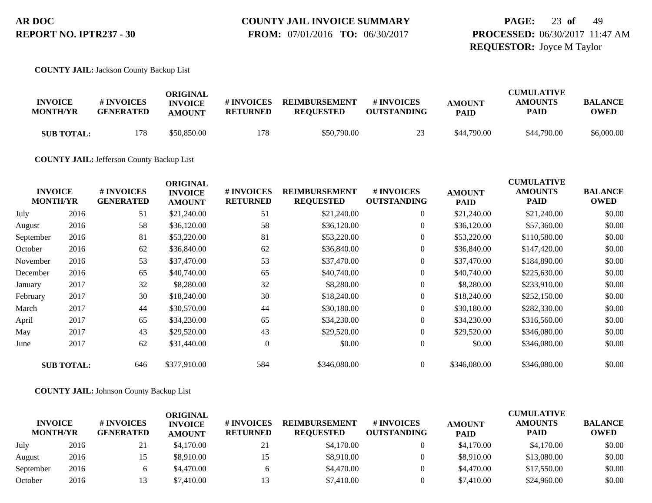# **COUNTY JAIL INVOICE SUMMARY**

 **FROM:** 07/01/2016 **TO:** 06/30/2017

# **PAGE:** 23 **of** 49 **PROCESSED:** 06/30/2017 11:47 AM **REQUESTOR:** Joyce M Taylor

**COUNTY JAIL:** Jackson County Backup List

| <b>INVOICE</b><br><b>MONTH/YR</b> | # INVOICES<br><b>GENERATED</b> | ORIGINAL<br><b>INVOICE</b><br><b>AMOUNT</b> | # INVOICES<br><b>RETURNED</b> | <b>REIMBURSEMENT</b><br><b>REQUESTED</b> | # INVOICES<br><b>OUTSTANDING</b> | <b>AMOUNT</b><br><b>PAID</b> | <b>CUMULATIVE</b><br><b>AMOUNTS</b><br>PAID | BALANCE<br><b>OWED</b> |
|-----------------------------------|--------------------------------|---------------------------------------------|-------------------------------|------------------------------------------|----------------------------------|------------------------------|---------------------------------------------|------------------------|
| <b>SUB TOTAL:</b>                 | 178                            | \$50,850.00                                 | 178.                          | \$50,790.00                              | 23                               | \$44,790.00                  | \$44,790.00                                 | \$6,000.00             |

**COUNTY JAIL:** Jefferson County Backup List

|           | <b>INVOICE</b><br><b>MONTH/YR</b> | # INVOICES<br><b>GENERATED</b> | <b>ORIGINAL</b><br><b>INVOICE</b><br><b>AMOUNT</b> | # INVOICES<br><b>RETURNED</b> | <b>REIMBURSEMENT</b><br><b>REQUESTED</b> | <b>#INVOICES</b><br><b>OUTSTANDING</b> | <b>AMOUNT</b><br><b>PAID</b> | <b>CUMULATIVE</b><br><b>AMOUNTS</b><br><b>PAID</b> | <b>BALANCE</b><br><b>OWED</b> |
|-----------|-----------------------------------|--------------------------------|----------------------------------------------------|-------------------------------|------------------------------------------|----------------------------------------|------------------------------|----------------------------------------------------|-------------------------------|
| July      | 2016                              | 51                             | \$21,240.00                                        | 51                            | \$21,240.00                              | $\overline{0}$                         | \$21,240.00                  | \$21,240.00                                        | \$0.00                        |
| August    | 2016                              | 58                             | \$36,120.00                                        | 58                            | \$36,120.00                              | $\overline{0}$                         | \$36,120.00                  | \$57,360.00                                        | \$0.00                        |
| September | 2016                              | 81                             | \$53,220.00                                        | 81                            | \$53,220.00                              | $\overline{0}$                         | \$53,220.00                  | \$110,580.00                                       | \$0.00                        |
| October   | 2016                              | 62                             | \$36,840.00                                        | 62                            | \$36,840.00                              | $\overline{0}$                         | \$36,840.00                  | \$147,420.00                                       | \$0.00                        |
| November  | 2016                              | 53                             | \$37,470.00                                        | 53                            | \$37,470.00                              | $\overline{0}$                         | \$37,470.00                  | \$184,890.00                                       | \$0.00                        |
| December  | 2016                              | 65                             | \$40,740.00                                        | 65                            | \$40,740.00                              | $\overline{0}$                         | \$40,740.00                  | \$225,630.00                                       | \$0.00                        |
| January   | 2017                              | 32                             | \$8,280.00                                         | 32                            | \$8,280.00                               | $\overline{0}$                         | \$8,280.00                   | \$233,910.00                                       | \$0.00                        |
| February  | 2017                              | 30                             | \$18,240.00                                        | 30                            | \$18,240.00                              | $\boldsymbol{0}$                       | \$18,240.00                  | \$252,150.00                                       | \$0.00                        |
| March     | 2017                              | 44                             | \$30,570.00                                        | 44                            | \$30,180.00                              | $\overline{0}$                         | \$30,180.00                  | \$282,330.00                                       | \$0.00                        |
| April     | 2017                              | 65                             | \$34,230.00                                        | 65                            | \$34,230.00                              | $\overline{0}$                         | \$34,230.00                  | \$316,560.00                                       | \$0.00                        |
| May       | 2017                              | 43                             | \$29,520.00                                        | 43                            | \$29,520.00                              | $\overline{0}$                         | \$29,520.00                  | \$346,080.00                                       | \$0.00                        |
| June      | 2017                              | 62                             | \$31,440.00                                        | $\overline{0}$                | \$0.00                                   | $\overline{0}$                         | \$0.00                       | \$346,080.00                                       | \$0.00                        |
|           | <b>SUB TOTAL:</b>                 | 646                            | \$377,910.00                                       | 584                           | \$346,080.00                             | $\overline{0}$                         | \$346,080.00                 | \$346,080.00                                       | \$0.00                        |

**COUNTY JAIL:** Johnson County Backup List

| <b>INVOICE</b><br><b>MONTH/YR</b> |      | <b># INVOICES</b><br><b>GENERATED</b> | ORIGINAL<br><b>INVOICE</b><br><b>AMOUNT</b> | # INVOICES<br><b>RETURNED</b> | <b>REIMBURSEMENT</b><br><b>REOUESTED</b> | # INVOICES<br><b>OUTSTANDING</b> | <b>AMOUNT</b><br><b>PAID</b> | <b>CUMULATIVE</b><br><b>AMOUNTS</b><br><b>PAID</b> | <b>BALANCE</b><br><b>OWED</b> |
|-----------------------------------|------|---------------------------------------|---------------------------------------------|-------------------------------|------------------------------------------|----------------------------------|------------------------------|----------------------------------------------------|-------------------------------|
| July                              | 2016 | 21                                    | \$4,170.00                                  | 21                            | \$4,170.00                               |                                  | \$4,170.00                   | \$4,170.00                                         | \$0.00                        |
| August                            | 2016 | 15                                    | \$8,910.00                                  | 15                            | \$8,910.00                               |                                  | \$8,910.00                   | \$13,080.00                                        | \$0.00                        |
| September                         | 2016 |                                       | \$4,470.00                                  |                               | \$4,470.00                               |                                  | \$4,470.00                   | \$17,550.00                                        | \$0.00                        |
| October                           | 2016 | 13                                    | \$7,410.00                                  | 13                            | \$7,410.00                               |                                  | \$7,410.00                   | \$24,960.00                                        | \$0.00                        |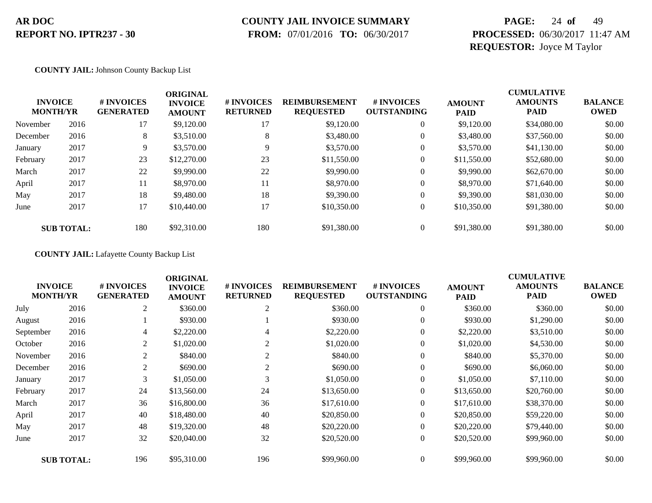### **COUNTY JAIL INVOICE SUMMARY**

 **FROM:** 07/01/2016 **TO:** 06/30/2017

# **PAGE:** 24 **of** 49 **PROCESSED:** 06/30/2017 11:47 AM **REQUESTOR:** Joyce M Taylor

#### **COUNTY JAIL:** Johnson County Backup List

|          | <b>INVOICE</b><br><b>MONTH/YR</b> | # INVOICES<br><b>GENERATED</b> | <b>ORIGINAL</b><br><b>INVOICE</b><br><b>AMOUNT</b> | # INVOICES<br><b>RETURNED</b> | <b>REIMBURSEMENT</b><br><b>REQUESTED</b> | # INVOICES<br><b>OUTSTANDING</b> | <b>AMOUNT</b><br><b>PAID</b> | <b>CUMULATIVE</b><br><b>AMOUNTS</b><br><b>PAID</b> | <b>BALANCE</b><br><b>OWED</b> |
|----------|-----------------------------------|--------------------------------|----------------------------------------------------|-------------------------------|------------------------------------------|----------------------------------|------------------------------|----------------------------------------------------|-------------------------------|
| November | 2016                              | 17                             | \$9,120.00                                         | 17                            | \$9,120.00                               | $\theta$                         | \$9,120.00                   | \$34,080.00                                        | \$0.00                        |
| December | 2016                              | 8                              | \$3,510.00                                         | 8                             | \$3,480.00                               | $\theta$                         | \$3,480.00                   | \$37,560.00                                        | \$0.00                        |
| January  | 2017                              | 9                              | \$3,570.00                                         | 9                             | \$3,570.00                               | $\theta$                         | \$3,570.00                   | \$41,130.00                                        | \$0.00                        |
| February | 2017                              | 23                             | \$12,270.00                                        | 23                            | \$11,550.00                              | 0                                | \$11,550.00                  | \$52,680.00                                        | \$0.00                        |
| March    | 2017                              | 22                             | \$9,990.00                                         | 22                            | \$9,990.00                               | 0                                | \$9,990.00                   | \$62,670.00                                        | \$0.00                        |
| April    | 2017                              | 11                             | \$8,970.00                                         | 11                            | \$8,970.00                               | 0                                | \$8,970.00                   | \$71,640.00                                        | \$0.00                        |
| May      | 2017                              | 18                             | \$9,480.00                                         | 18                            | \$9,390.00                               | $\theta$                         | \$9,390.00                   | \$81,030.00                                        | \$0.00                        |
| June     | 2017                              | 17                             | \$10,440.00                                        | 17                            | \$10,350.00                              | $\boldsymbol{0}$                 | \$10,350.00                  | \$91,380.00                                        | \$0.00                        |
|          | <b>SUB TOTAL:</b>                 | 180                            | \$92,310.00                                        | 180                           | \$91,380.00                              | $\Omega$                         | \$91,380.00                  | \$91,380.00                                        | \$0.00                        |

#### **COUNTY JAIL:** Lafayette County Backup List

| <b>INVOICE</b><br><b>MONTH/YR</b> |                   | # INVOICES<br><b>GENERATED</b> | <b>ORIGINAL</b><br><b>INVOICE</b><br><b>AMOUNT</b> | # INVOICES<br><b>RETURNED</b> | <b>REIMBURSEMENT</b><br><b>REQUESTED</b> | # INVOICES<br><b>OUTSTANDING</b> | <b>AMOUNT</b><br><b>PAID</b> | <b>CUMULATIVE</b><br><b>AMOUNTS</b><br><b>PAID</b> | <b>BALANCE</b><br><b>OWED</b> |
|-----------------------------------|-------------------|--------------------------------|----------------------------------------------------|-------------------------------|------------------------------------------|----------------------------------|------------------------------|----------------------------------------------------|-------------------------------|
| July                              | 2016              | 2                              | \$360.00                                           | 2                             | \$360.00                                 | $\overline{0}$                   | \$360.00                     | \$360.00                                           | \$0.00                        |
| August                            | 2016              |                                | \$930.00                                           |                               | \$930.00                                 | $\overline{0}$                   | \$930.00                     | \$1,290.00                                         | \$0.00                        |
| September                         | 2016              | 4                              | \$2,220.00                                         | 4                             | \$2,220.00                               | $\overline{0}$                   | \$2,220.00                   | \$3,510.00                                         | \$0.00                        |
| October                           | 2016              | 2                              | \$1,020.00                                         | 2                             | \$1,020.00                               | $\theta$                         | \$1,020.00                   | \$4,530.00                                         | \$0.00                        |
| November                          | 2016              | 2                              | \$840.00                                           | 2                             | \$840.00                                 | $\theta$                         | \$840.00                     | \$5,370.00                                         | \$0.00                        |
| December                          | 2016              | $\overline{2}$                 | \$690.00                                           | $\overline{2}$                | \$690.00                                 | $\overline{0}$                   | \$690.00                     | \$6,060.00                                         | \$0.00                        |
| January                           | 2017              | 3                              | \$1,050.00                                         |                               | \$1,050.00                               | $\boldsymbol{0}$                 | \$1,050.00                   | \$7,110.00                                         | \$0.00                        |
| February                          | 2017              | 24                             | \$13,560.00                                        | 24                            | \$13,650.00                              | $\overline{0}$                   | \$13,650.00                  | \$20,760.00                                        | \$0.00                        |
| March                             | 2017              | 36                             | \$16,800.00                                        | 36                            | \$17,610.00                              | $\overline{0}$                   | \$17,610.00                  | \$38,370.00                                        | \$0.00                        |
| April                             | 2017              | 40                             | \$18,480.00                                        | 40                            | \$20,850.00                              | $\overline{0}$                   | \$20,850.00                  | \$59,220.00                                        | \$0.00                        |
| May                               | 2017              | 48                             | \$19,320.00                                        | 48                            | \$20,220.00                              | $\overline{0}$                   | \$20,220.00                  | \$79,440.00                                        | \$0.00                        |
| June                              | 2017              | 32                             | \$20,040.00                                        | 32                            | \$20,520.00                              | $\boldsymbol{0}$                 | \$20,520.00                  | \$99,960.00                                        | \$0.00                        |
|                                   | <b>SUB TOTAL:</b> | 196                            | \$95,310.00                                        | 196                           | \$99,960.00                              | $\overline{0}$                   | \$99,960.00                  | \$99,960.00                                        | \$0.00                        |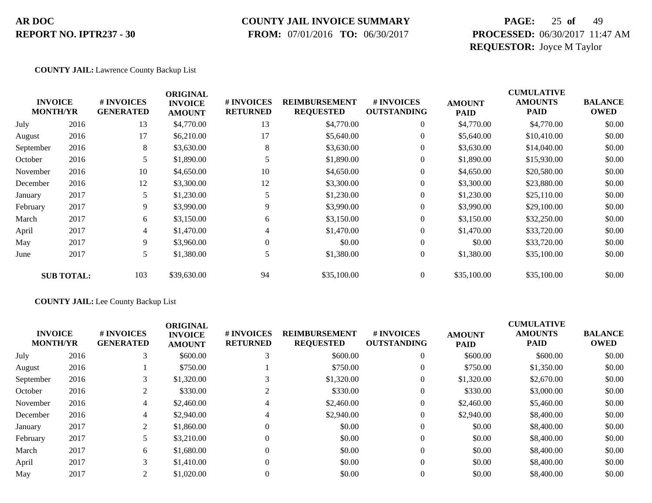### **COUNTY JAIL INVOICE SUMMARY**

 **FROM:** 07/01/2016 **TO:** 06/30/2017

# **PAGE:** 25 **of** 49 **PROCESSED:** 06/30/2017 11:47 AM **REQUESTOR:** Joyce M Taylor

#### **COUNTY JAIL:** Lawrence County Backup List

|           | <b>INVOICE</b><br><b>MONTH/YR</b> | # INVOICES<br><b>GENERATED</b> | <b>ORIGINAL</b><br><b>INVOICE</b><br><b>AMOUNT</b> | # INVOICES<br><b>RETURNED</b> | <b>REIMBURSEMENT</b><br><b>REQUESTED</b> | # INVOICES<br><b>OUTSTANDING</b> | <b>AMOUNT</b><br><b>PAID</b> | <b>CUMULATIVE</b><br><b>AMOUNTS</b><br><b>PAID</b> | <b>BALANCE</b><br><b>OWED</b> |
|-----------|-----------------------------------|--------------------------------|----------------------------------------------------|-------------------------------|------------------------------------------|----------------------------------|------------------------------|----------------------------------------------------|-------------------------------|
| July      | 2016                              | 13                             | \$4,770.00                                         | 13                            | \$4,770.00                               | 0                                | \$4,770.00                   | \$4,770.00                                         | \$0.00                        |
| August    | 2016                              | 17                             | \$6,210.00                                         | 17                            | \$5,640.00                               | $\overline{0}$                   | \$5,640.00                   | \$10,410.00                                        | \$0.00                        |
| September | 2016                              | 8                              | \$3,630.00                                         | 8                             | \$3,630.00                               | $\overline{0}$                   | \$3,630.00                   | \$14,040.00                                        | \$0.00                        |
| October   | 2016                              | 5                              | \$1,890.00                                         |                               | \$1,890.00                               | 0                                | \$1,890.00                   | \$15,930.00                                        | \$0.00                        |
| November  | 2016                              | 10                             | \$4,650.00                                         | 10                            | \$4,650.00                               | $\overline{0}$                   | \$4,650.00                   | \$20,580.00                                        | \$0.00                        |
| December  | 2016                              | 12                             | \$3,300.00                                         | 12                            | \$3,300.00                               | $\overline{0}$                   | \$3,300.00                   | \$23,880.00                                        | \$0.00                        |
| January   | 2017                              | 5                              | \$1,230.00                                         |                               | \$1,230.00                               | $\overline{0}$                   | \$1,230.00                   | \$25,110.00                                        | \$0.00                        |
| February  | 2017                              | 9                              | \$3,990.00                                         | 9                             | \$3,990.00                               | $\overline{0}$                   | \$3,990.00                   | \$29,100.00                                        | \$0.00                        |
| March     | 2017                              | 6                              | \$3,150.00                                         | 6                             | \$3,150.00                               | $\overline{0}$                   | \$3,150.00                   | \$32,250.00                                        | \$0.00                        |
| April     | 2017                              | 4                              | \$1,470.00                                         | 4                             | \$1,470.00                               | $\overline{0}$                   | \$1,470.00                   | \$33,720.00                                        | \$0.00                        |
| May       | 2017                              | 9.                             | \$3,960.00                                         | $\Omega$                      | \$0.00                                   | $\overline{0}$                   | \$0.00                       | \$33,720.00                                        | \$0.00                        |
| June      | 2017                              | 5                              | \$1,380.00                                         |                               | \$1,380.00                               | $\boldsymbol{0}$                 | \$1,380.00                   | \$35,100.00                                        | \$0.00                        |
|           | <b>SUB TOTAL:</b>                 | 103                            | \$39,630.00                                        | 94                            | \$35,100.00                              | $\overline{0}$                   | \$35,100.00                  | \$35,100.00                                        | \$0.00                        |

#### **COUNTY JAIL:** Lee County Backup List

| <b>INVOICE</b><br><b>MONTH/YR</b> |      | <b>#INVOICES</b><br><b>GENERATED</b> | <b>ORIGINAL</b><br><b>INVOICE</b><br><b>AMOUNT</b> | # INVOICES<br><b>RETURNED</b> | <b>REIMBURSEMENT</b><br><b>REQUESTED</b> | # INVOICES<br><b>OUTSTANDING</b> | <b>AMOUNT</b><br><b>PAID</b> | <b>CUMULATIVE</b><br><b>AMOUNTS</b><br><b>PAID</b> | <b>BALANCE</b><br><b>OWED</b> |
|-----------------------------------|------|--------------------------------------|----------------------------------------------------|-------------------------------|------------------------------------------|----------------------------------|------------------------------|----------------------------------------------------|-------------------------------|
| July                              | 2016 | 3                                    | \$600.00                                           |                               | \$600.00                                 | $\overline{0}$                   | \$600.00                     | \$600.00                                           | \$0.00                        |
| August                            | 2016 |                                      | \$750.00                                           |                               | \$750.00                                 | $\overline{0}$                   | \$750.00                     | \$1,350.00                                         | \$0.00                        |
| September                         | 2016 | 3                                    | \$1,320.00                                         |                               | \$1,320.00                               | $\overline{0}$                   | \$1,320.00                   | \$2,670.00                                         | \$0.00                        |
| October                           | 2016 | 2                                    | \$330.00                                           |                               | \$330.00                                 | $\overline{0}$                   | \$330.00                     | \$3,000.00                                         | \$0.00                        |
| November                          | 2016 | 4                                    | \$2,460.00                                         | 4                             | \$2,460.00                               | $\overline{0}$                   | \$2,460.00                   | \$5,460.00                                         | \$0.00                        |
| December                          | 2016 | 4                                    | \$2,940.00                                         | 4                             | \$2,940.00                               | $\overline{0}$                   | \$2,940.00                   | \$8,400.00                                         | \$0.00                        |
| January                           | 2017 | 2                                    | \$1,860.00                                         |                               | \$0.00                                   | $\overline{0}$                   | \$0.00                       | \$8,400.00                                         | \$0.00                        |
| February                          | 2017 |                                      | \$3,210.00                                         |                               | \$0.00                                   | $\overline{0}$                   | \$0.00                       | \$8,400.00                                         | \$0.00                        |
| March                             | 2017 | 6                                    | \$1,680.00                                         | $\Omega$                      | \$0.00                                   | $\overline{0}$                   | \$0.00                       | \$8,400.00                                         | \$0.00                        |
| April                             | 2017 | 3                                    | \$1,410.00                                         | $\Omega$                      | \$0.00                                   | $\Omega$                         | \$0.00                       | \$8,400.00                                         | \$0.00                        |
| May                               | 2017 | 2                                    | \$1,020.00                                         |                               | \$0.00                                   | $\Omega$                         | \$0.00                       | \$8,400.00                                         | \$0.00                        |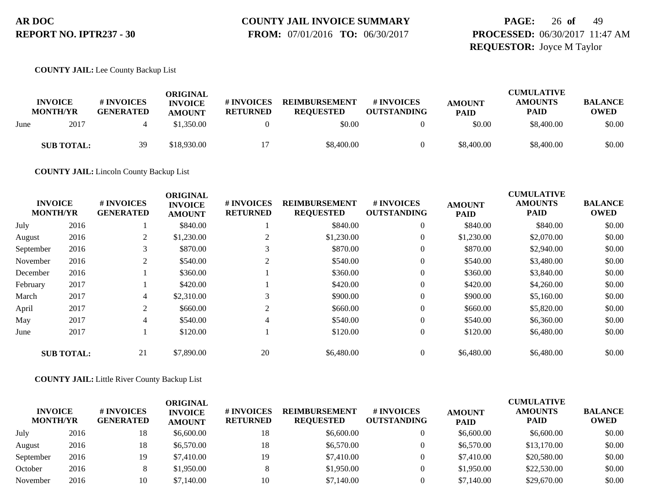# **COUNTY JAIL INVOICE SUMMARY**

 **FROM:** 07/01/2016 **TO:** 06/30/2017

# **PAGE:** 26 **of** 49 **PROCESSED:** 06/30/2017 11:47 AM **REQUESTOR:** Joyce M Taylor

#### **COUNTY JAIL:** Lee County Backup List

|      | <b>INVOICE</b><br><b>MONTH/YR</b> | # INVOICES<br><b>GENERATED</b> | ORIGINAL<br><b>INVOICE</b><br><b>AMOUNT</b> | <b># INVOICES</b><br><b>RETURNED</b> | <b>REIMBURSEMENT</b><br><b>REQUESTED</b> | # INVOICES<br><b>OUTSTANDING</b> | <b>AMOUNT</b><br><b>PAID</b> | <b>CUMULATIVE</b><br><b>AMOUNTS</b><br><b>PAID</b> | <b>BALANCE</b><br><b>OWED</b> |
|------|-----------------------------------|--------------------------------|---------------------------------------------|--------------------------------------|------------------------------------------|----------------------------------|------------------------------|----------------------------------------------------|-------------------------------|
| June | 2017                              |                                | \$1,350.00                                  |                                      | \$0.00                                   |                                  | \$0.00                       | \$8,400.00                                         | \$0.00                        |
|      | <b>SUB TOTAL:</b>                 | 39                             | \$18,930.00                                 |                                      | \$8,400.00                               |                                  | \$8,400.00                   | \$8,400.00                                         | \$0.00                        |

**COUNTY JAIL:** Lincoln County Backup List

|                                   |                   |                                | <b>ORIGINAL</b>                 |                               |                                          |                                  |                              | <b>CUMULATIVE</b>             |                               |
|-----------------------------------|-------------------|--------------------------------|---------------------------------|-------------------------------|------------------------------------------|----------------------------------|------------------------------|-------------------------------|-------------------------------|
| <b>INVOICE</b><br><b>MONTH/YR</b> |                   | # INVOICES<br><b>GENERATED</b> | <b>INVOICE</b><br><b>AMOUNT</b> | # INVOICES<br><b>RETURNED</b> | <b>REIMBURSEMENT</b><br><b>REQUESTED</b> | # INVOICES<br><b>OUTSTANDING</b> | <b>AMOUNT</b><br><b>PAID</b> | <b>AMOUNTS</b><br><b>PAID</b> | <b>BALANCE</b><br><b>OWED</b> |
| July                              | 2016              |                                | \$840.00                        |                               | \$840.00                                 | $\theta$                         | \$840.00                     | \$840.00                      | \$0.00                        |
| August                            | 2016              | 2                              | \$1,230.00                      | $\bigcap$                     | \$1,230.00                               | $\overline{0}$                   | \$1,230.00                   | \$2,070.00                    | \$0.00                        |
| September                         | 2016              | $\rightarrow$                  | \$870.00                        | C.                            | \$870.00                                 | 0                                | \$870.00                     | \$2,940.00                    | \$0.00                        |
| November                          | 2016              | ↑                              | \$540.00                        | $\bigcap$                     | \$540.00                                 | $\overline{0}$                   | \$540.00                     | \$3,480.00                    | \$0.00                        |
| December                          | 2016              |                                | \$360.00                        |                               | \$360.00                                 | $\overline{0}$                   | \$360.00                     | \$3,840.00                    | \$0.00                        |
| February                          | 2017              |                                | \$420.00                        |                               | \$420.00                                 | $\overline{0}$                   | \$420.00                     | \$4,260.00                    | \$0.00                        |
| March                             | 2017              | 4                              | \$2,310.00                      | $\rightarrow$                 | \$900.00                                 | $\overline{0}$                   | \$900.00                     | \$5,160.00                    | \$0.00                        |
| April                             | 2017              | 2                              | \$660.00                        | 2                             | \$660.00                                 | $\overline{0}$                   | \$660.00                     | \$5,820.00                    | \$0.00                        |
| May                               | 2017              | 4                              | \$540.00                        | 4                             | \$540.00                                 | $\overline{0}$                   | \$540.00                     | \$6,360.00                    | \$0.00                        |
| June                              | 2017              |                                | \$120.00                        |                               | \$120.00                                 | $\boldsymbol{0}$                 | \$120.00                     | \$6,480.00                    | \$0.00                        |
|                                   | <b>SUB TOTAL:</b> | 21                             | \$7,890.00                      | 20                            | \$6,480.00                               | 0                                | \$6,480.00                   | \$6,480.00                    | \$0.00                        |

#### **COUNTY JAIL:** Little River County Backup List

| <b>INVOICE</b><br><b>MONTH/YR</b> |      | # INVOICES<br><b>GENERATED</b> | ORIGINAL<br><b>INVOICE</b><br><b>AMOUNT</b> | # INVOICES<br><b>RETURNED</b> | <b>REIMBURSEMENT</b><br><b>REQUESTED</b> | # INVOICES<br><b>OUTSTANDING</b> | <b>AMOUNT</b><br><b>PAID</b> | <b>CUMULATIVE</b><br><b>AMOUNTS</b><br><b>PAID</b> | <b>BALANCE</b><br><b>OWED</b> |
|-----------------------------------|------|--------------------------------|---------------------------------------------|-------------------------------|------------------------------------------|----------------------------------|------------------------------|----------------------------------------------------|-------------------------------|
| July                              | 2016 | 18                             | \$6,600.00                                  | 18                            | \$6,600.00                               |                                  | \$6,600.00                   | \$6,600.00                                         | \$0.00                        |
| August                            | 2016 | 18                             | \$6,570.00                                  | 18                            | \$6,570.00                               |                                  | \$6,570.00                   | \$13,170.00                                        | \$0.00                        |
| September                         | 2016 | 19                             | \$7,410.00                                  | 19                            | \$7,410.00                               |                                  | \$7,410.00                   | \$20,580.00                                        | \$0.00                        |
| October                           | 2016 |                                | \$1,950.00                                  |                               | \$1,950.00                               |                                  | \$1,950.00                   | \$22,530.00                                        | \$0.00                        |
| November                          | 2016 | 10                             | \$7,140.00                                  | 10                            | \$7,140.00                               |                                  | \$7,140.00                   | \$29,670.00                                        | \$0.00                        |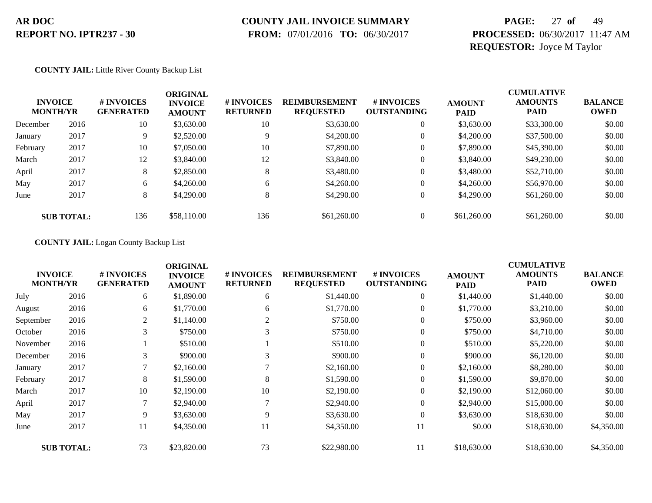### **COUNTY JAIL INVOICE SUMMARY**

 **FROM:** 07/01/2016 **TO:** 06/30/2017

# **PAGE:** 27 **of** 49 **PROCESSED:** 06/30/2017 11:47 AM **REQUESTOR:** Joyce M Taylor

#### **COUNTY JAIL:** Little River County Backup List

| <b>INVOICE</b><br><b>MONTH/YR</b> |                   | # INVOICES<br><b>GENERATED</b> | ORIGINAL<br><b>INVOICE</b><br><b>AMOUNT</b> | # INVOICES<br><b>RETURNED</b> | <b>REIMBURSEMENT</b><br><b>REQUESTED</b> | # INVOICES<br><b>OUTSTANDING</b> | <b>AMOUNT</b><br><b>PAID</b> | <b>CUMULATIVE</b><br><b>AMOUNTS</b><br><b>PAID</b> | <b>BALANCE</b><br><b>OWED</b> |
|-----------------------------------|-------------------|--------------------------------|---------------------------------------------|-------------------------------|------------------------------------------|----------------------------------|------------------------------|----------------------------------------------------|-------------------------------|
| December                          | 2016              | 10                             | \$3,630.00                                  | 10                            | \$3,630.00                               | $\theta$                         | \$3,630.00                   | \$33,300.00                                        | \$0.00                        |
| January                           | 2017              | 9                              | \$2,520.00                                  | Q                             | \$4,200.00                               | $\theta$                         | \$4,200.00                   | \$37,500.00                                        | \$0.00                        |
| February                          | 2017              | 10                             | \$7,050.00                                  | 10                            | \$7,890.00                               | $\mathbf{0}$                     | \$7,890.00                   | \$45,390.00                                        | \$0.00                        |
| March                             | 2017              | 12                             | \$3,840.00                                  | 12                            | \$3,840.00                               | $\overline{0}$                   | \$3,840.00                   | \$49,230.00                                        | \$0.00                        |
| April                             | 2017              | 8                              | \$2,850.00                                  | 8                             | \$3,480.00                               | $\theta$                         | \$3,480.00                   | \$52,710.00                                        | \$0.00                        |
| May                               | 2017              | 6                              | \$4,260.00                                  | 6                             | \$4,260.00                               | $\theta$                         | \$4,260.00                   | \$56,970.00                                        | \$0.00                        |
| June                              | 2017              | 8                              | \$4,290.00                                  | 8                             | \$4,290.00                               | $\theta$                         | \$4,290.00                   | \$61,260.00                                        | \$0.00                        |
|                                   | <b>SUB TOTAL:</b> | 136                            | \$58,110.00                                 | 136                           | \$61,260.00                              | $\theta$                         | \$61,260.00                  | \$61,260.00                                        | \$0.00                        |

#### **COUNTY JAIL:** Logan County Backup List

| <b>INVOICE</b><br><b>MONTH/YR</b> |                   | # INVOICES<br><b>GENERATED</b> | <b>ORIGINAL</b><br><b>INVOICE</b><br><b>AMOUNT</b> | # INVOICES<br><b>RETURNED</b> | <b>REIMBURSEMENT</b><br><b>REQUESTED</b> | # INVOICES<br><b>OUTSTANDING</b> | <b>AMOUNT</b><br><b>PAID</b> | <b>CUMULATIVE</b><br><b>AMOUNTS</b><br><b>PAID</b> | <b>BALANCE</b><br><b>OWED</b> |
|-----------------------------------|-------------------|--------------------------------|----------------------------------------------------|-------------------------------|------------------------------------------|----------------------------------|------------------------------|----------------------------------------------------|-------------------------------|
| July                              | 2016              | 6                              | \$1,890.00                                         | 6                             | \$1,440.00                               | 0                                | \$1,440.00                   | \$1,440.00                                         | \$0.00                        |
| August                            | 2016              | 6                              | \$1,770.00                                         | 6                             | \$1,770.00                               | $\overline{0}$                   | \$1,770.00                   | \$3,210.00                                         | \$0.00                        |
| September                         | 2016              | 2                              | \$1,140.00                                         | 2                             | \$750.00                                 | $\overline{0}$                   | \$750.00                     | \$3,960.00                                         | \$0.00                        |
| October                           | 2016              | 3                              | \$750.00                                           |                               | \$750.00                                 | 0                                | \$750.00                     | \$4,710.00                                         | \$0.00                        |
| November                          | 2016              |                                | \$510.00                                           |                               | \$510.00                                 | $\overline{0}$                   | \$510.00                     | \$5,220.00                                         | \$0.00                        |
| December                          | 2016              | 3                              | \$900.00                                           | 3                             | \$900.00                                 | $\overline{0}$                   | \$900.00                     | \$6,120.00                                         | \$0.00                        |
| January                           | 2017              |                                | \$2,160.00                                         |                               | \$2,160.00                               | 0                                | \$2,160.00                   | \$8,280.00                                         | \$0.00                        |
| February                          | 2017              | 8                              | \$1,590.00                                         | 8                             | \$1,590.00                               | $\mathbf{0}$                     | \$1,590.00                   | \$9,870.00                                         | \$0.00                        |
| March                             | 2017              | 10                             | \$2,190.00                                         | 10                            | \$2,190.00                               | 0                                | \$2,190.00                   | \$12,060.00                                        | \$0.00                        |
| April                             | 2017              | 7                              | \$2,940.00                                         |                               | \$2,940.00                               | $\overline{0}$                   | \$2,940.00                   | \$15,000.00                                        | \$0.00                        |
| May                               | 2017              | 9                              | \$3,630.00                                         | 9                             | \$3,630.00                               | $\overline{0}$                   | \$3,630.00                   | \$18,630.00                                        | \$0.00                        |
| June                              | 2017              | 11                             | \$4,350.00                                         | 11                            | \$4,350.00                               | 11                               | \$0.00                       | \$18,630.00                                        | \$4,350.00                    |
|                                   | <b>SUB TOTAL:</b> | 73                             | \$23,820.00                                        | 73                            | \$22,980.00                              | 11                               | \$18,630.00                  | \$18,630.00                                        | \$4,350.00                    |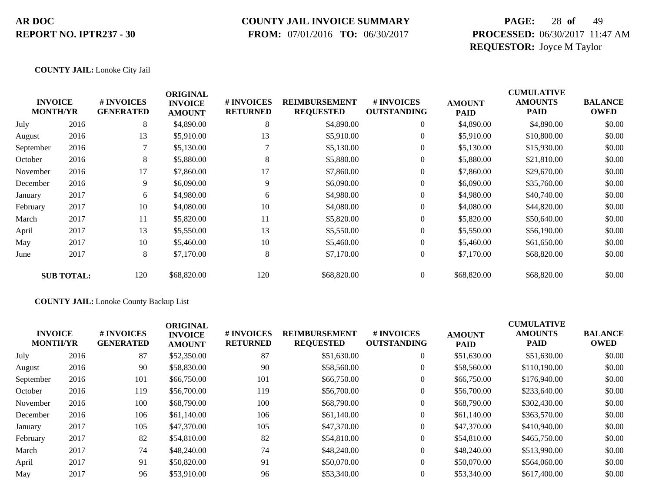### **COUNTY JAIL INVOICE SUMMARY**

 **FROM:** 07/01/2016 **TO:** 06/30/2017

# **PAGE:** 28 **of** 49 **PROCESSED:** 06/30/2017 11:47 AM **REQUESTOR:** Joyce M Taylor

#### **COUNTY JAIL:** Lonoke City Jail

|           | <b>INVOICE</b><br><b>MONTH/YR</b> | # INVOICES<br><b>GENERATED</b> | <b>ORIGINAL</b><br><b>INVOICE</b><br><b>AMOUNT</b> | # INVOICES<br><b>RETURNED</b> | <b>REIMBURSEMENT</b><br><b>REQUESTED</b> | # INVOICES<br><b>OUTSTANDING</b> | <b>AMOUNT</b><br><b>PAID</b> | <b>CUMULATIVE</b><br><b>AMOUNTS</b><br><b>PAID</b> | <b>BALANCE</b><br><b>OWED</b> |
|-----------|-----------------------------------|--------------------------------|----------------------------------------------------|-------------------------------|------------------------------------------|----------------------------------|------------------------------|----------------------------------------------------|-------------------------------|
| July      | 2016                              | 8                              | \$4,890.00                                         | 8                             | \$4,890.00                               | 0                                | \$4,890.00                   | \$4,890.00                                         | \$0.00                        |
| August    | 2016                              | 13                             | \$5,910.00                                         | 13                            | \$5,910.00                               | $\overline{0}$                   | \$5,910.00                   | \$10,800.00                                        | \$0.00                        |
| September | 2016                              | 7                              | \$5,130.00                                         |                               | \$5,130.00                               | $\overline{0}$                   | \$5,130.00                   | \$15,930.00                                        | \$0.00                        |
| October   | 2016                              | 8                              | \$5,880.00                                         | 8                             | \$5,880.00                               | $\mathbf{0}$                     | \$5,880.00                   | \$21,810.00                                        | \$0.00                        |
| November  | 2016                              | 17                             | \$7,860.00                                         | 17                            | \$7,860.00                               | $\overline{0}$                   | \$7,860.00                   | \$29,670.00                                        | \$0.00                        |
| December  | 2016                              | 9                              | \$6,090.00                                         | 9                             | \$6,090.00                               | $\overline{0}$                   | \$6,090.00                   | \$35,760.00                                        | \$0.00                        |
| January   | 2017                              | 6                              | \$4,980.00                                         | 6                             | \$4,980.00                               | $\overline{0}$                   | \$4,980.00                   | \$40,740.00                                        | \$0.00                        |
| February  | 2017                              | 10                             | \$4,080.00                                         | 10                            | \$4,080.00                               | $\boldsymbol{0}$                 | \$4,080.00                   | \$44,820.00                                        | \$0.00                        |
| March     | 2017                              | 11                             | \$5,820.00                                         | 11                            | \$5,820.00                               | $\overline{0}$                   | \$5,820.00                   | \$50,640.00                                        | \$0.00                        |
| April     | 2017                              | 13                             | \$5,550.00                                         | 13                            | \$5,550.00                               | $\overline{0}$                   | \$5,550.00                   | \$56,190.00                                        | \$0.00                        |
| May       | 2017                              | 10                             | \$5,460.00                                         | 10                            | \$5,460.00                               | $\overline{0}$                   | \$5,460.00                   | \$61,650.00                                        | \$0.00                        |
| June      | 2017                              | 8                              | \$7,170.00                                         | 8                             | \$7,170.00                               | $\boldsymbol{0}$                 | \$7,170.00                   | \$68,820.00                                        | \$0.00                        |
|           | <b>SUB TOTAL:</b>                 | 120                            | \$68,820.00                                        | 120                           | \$68,820.00                              | $\mathbf{0}$                     | \$68,820.00                  | \$68,820.00                                        | \$0.00                        |

#### **COUNTY JAIL:** Lonoke County Backup List

|                                   |      |                                      | <b>ORIGINAL</b>                 |                               |                                          |                                  |                              | <b>CUMULATIVE</b>      |                               |
|-----------------------------------|------|--------------------------------------|---------------------------------|-------------------------------|------------------------------------------|----------------------------------|------------------------------|------------------------|-------------------------------|
| <b>INVOICE</b><br><b>MONTH/YR</b> |      | <b>#INVOICES</b><br><b>GENERATED</b> | <b>INVOICE</b><br><b>AMOUNT</b> | # INVOICES<br><b>RETURNED</b> | <b>REIMBURSEMENT</b><br><b>REQUESTED</b> | # INVOICES<br><b>OUTSTANDING</b> | <b>AMOUNT</b><br><b>PAID</b> | <b>AMOUNTS</b><br>PAID | <b>BALANCE</b><br><b>OWED</b> |
| July                              | 2016 | 87                                   | \$52,350.00                     | 87                            | \$51,630.00                              | $\overline{0}$                   | \$51,630.00                  | \$51,630.00            | \$0.00                        |
| August                            | 2016 | 90                                   | \$58,830.00                     | 90                            | \$58,560.00                              | $\overline{0}$                   | \$58,560.00                  | \$110,190.00           | \$0.00                        |
| September                         | 2016 | 101                                  | \$66,750.00                     | 101                           | \$66,750.00                              | $\overline{0}$                   | \$66,750.00                  | \$176,940.00           | \$0.00                        |
| October                           | 2016 | 119                                  | \$56,700.00                     | 119                           | \$56,700.00                              | $\overline{0}$                   | \$56,700.00                  | \$233,640.00           | \$0.00                        |
| November                          | 2016 | 100                                  | \$68,790.00                     | 100                           | \$68,790.00                              | $\overline{0}$                   | \$68,790.00                  | \$302,430.00           | \$0.00                        |
| December                          | 2016 | 106                                  | \$61,140.00                     | 106                           | \$61,140.00                              | $\overline{0}$                   | \$61,140.00                  | \$363,570.00           | \$0.00                        |
| January                           | 2017 | 105                                  | \$47,370.00                     | 105                           | \$47,370.00                              | $\overline{0}$                   | \$47,370.00                  | \$410,940.00           | \$0.00                        |
| February                          | 2017 | 82                                   | \$54,810.00                     | 82                            | \$54,810.00                              | $\overline{0}$                   | \$54,810.00                  | \$465,750.00           | \$0.00                        |
| March                             | 2017 | 74                                   | \$48,240.00                     | 74                            | \$48,240.00                              | $\overline{0}$                   | \$48,240.00                  | \$513,990.00           | \$0.00                        |
| April                             | 2017 | 91                                   | \$50,820.00                     | 91                            | \$50,070.00                              | $\Omega$                         | \$50,070.00                  | \$564,060.00           | \$0.00                        |
| May                               | 2017 | 96                                   | \$53,910.00                     | 96                            | \$53,340.00                              | $\overline{0}$                   | \$53,340.00                  | \$617,400.00           | \$0.00                        |
|                                   |      |                                      |                                 |                               |                                          |                                  |                              |                        |                               |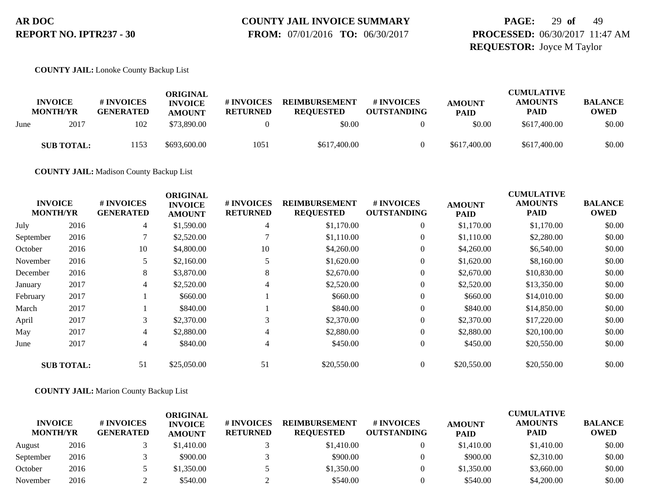# **COUNTY JAIL INVOICE SUMMARY**

 **FROM:** 07/01/2016 **TO:** 06/30/2017

# **PAGE:** 29 **of** 49 **PROCESSED:** 06/30/2017 11:47 AM **REQUESTOR:** Joyce M Taylor

#### **COUNTY JAIL:** Lonoke County Backup List

|      | <b>INVOICE</b><br><b>MONTH/YR</b> | # INVOICES<br><b>GENERATED</b> | ORIGINAL<br><b>INVOICE</b><br><b>AMOUNT</b> | <b># INVOICES</b><br><b>RETURNED</b> | <b>REIMBURSEMENT</b><br><b>REQUESTED</b> | # INVOICES<br><b>OUTSTANDING</b> | <b>AMOUNT</b><br><b>PAID</b> | <b>CUMULATIVE</b><br><b>AMOUNTS</b><br><b>PAID</b> | <b>BALANCE</b><br><b>OWED</b> |
|------|-----------------------------------|--------------------------------|---------------------------------------------|--------------------------------------|------------------------------------------|----------------------------------|------------------------------|----------------------------------------------------|-------------------------------|
| June | 2017                              | 102                            | \$73,890.00                                 |                                      | \$0.00                                   |                                  | \$0.00                       | \$617,400.00                                       | \$0.00                        |
|      | <b>SUB TOTAL:</b>                 | 1153                           | \$693,600.00                                | 1051                                 | \$617,400.00                             |                                  | \$617,400.00                 | \$617,400.00                                       | \$0.00                        |

**COUNTY JAIL:** Madison County Backup List

|                |                   |                                | <b>ORIGINAL</b>                 |                               |                                          |                                  |                              | <b>CUMULATIVE</b>             |                               |
|----------------|-------------------|--------------------------------|---------------------------------|-------------------------------|------------------------------------------|----------------------------------|------------------------------|-------------------------------|-------------------------------|
| <b>INVOICE</b> | <b>MONTH/YR</b>   | # INVOICES<br><b>GENERATED</b> | <b>INVOICE</b><br><b>AMOUNT</b> | # INVOICES<br><b>RETURNED</b> | <b>REIMBURSEMENT</b><br><b>REQUESTED</b> | # INVOICES<br><b>OUTSTANDING</b> | <b>AMOUNT</b><br><b>PAID</b> | <b>AMOUNTS</b><br><b>PAID</b> | <b>BALANCE</b><br><b>OWED</b> |
| July           | 2016              | 4                              | \$1,590.00                      | 4                             | \$1,170.00                               | $\overline{0}$                   | \$1,170.00                   | \$1,170.00                    | \$0.00                        |
| September      | 2016              | 7                              | \$2,520.00                      |                               | \$1,110.00                               | 0                                | \$1,110.00                   | \$2,280.00                    | \$0.00                        |
| October        | 2016              | 10                             | \$4,800.00                      | 10                            | \$4,260.00                               | $\overline{0}$                   | \$4,260.00                   | \$6,540.00                    | \$0.00                        |
| November       | 2016              |                                | \$2,160.00                      |                               | \$1,620.00                               | $\overline{0}$                   | \$1,620.00                   | \$8,160.00                    | \$0.00                        |
| December       | 2016              | 8                              | \$3,870.00                      | 8                             | \$2,670.00                               | $\overline{0}$                   | \$2,670.00                   | \$10,830.00                   | \$0.00                        |
| January        | 2017              | $\overline{4}$                 | \$2,520.00                      | 4                             | \$2,520.00                               | $\overline{0}$                   | \$2,520.00                   | \$13,350.00                   | \$0.00                        |
| February       | 2017              |                                | \$660.00                        |                               | \$660.00                                 | $\overline{0}$                   | \$660.00                     | \$14,010.00                   | \$0.00                        |
| March          | 2017              |                                | \$840.00                        |                               | \$840.00                                 | $\theta$                         | \$840.00                     | \$14,850.00                   | \$0.00                        |
| April          | 2017              | 3                              | \$2,370.00                      | 3                             | \$2,370.00                               | 0                                | \$2,370.00                   | \$17,220.00                   | \$0.00                        |
| May            | 2017              | 4                              | \$2,880.00                      | 4                             | \$2,880.00                               | $\overline{0}$                   | \$2,880.00                   | \$20,100.00                   | \$0.00                        |
| June           | 2017              | 4                              | \$840.00                        | 4                             | \$450.00                                 | $\overline{0}$                   | \$450.00                     | \$20,550.00                   | \$0.00                        |
|                | <b>SUB TOTAL:</b> | 51                             | \$25,050.00                     | 51                            | \$20,550.00                              | $\overline{0}$                   | \$20,550.00                  | \$20,550.00                   | \$0.00                        |

#### **COUNTY JAIL:** Marion County Backup List

| <b>INVOICE</b><br><b>MONTH/YR</b> |      | # INVOICES<br><b>GENERATED</b> | <b>ORIGINAL</b><br><b>INVOICE</b><br><b>AMOUNT</b> | # INVOICES<br><b>RETURNED</b> | <b>REIMBURSEMENT</b><br><b>REQUESTED</b> | # INVOICES<br><b>OUTSTANDING</b> | <b>AMOUNT</b><br><b>PAID</b> | <b>CUMULATIVE</b><br><b>AMOUNTS</b><br><b>PAID</b> | <b>BALANCE</b><br><b>OWED</b> |
|-----------------------------------|------|--------------------------------|----------------------------------------------------|-------------------------------|------------------------------------------|----------------------------------|------------------------------|----------------------------------------------------|-------------------------------|
| August                            | 2016 |                                | \$1,410.00                                         |                               | \$1,410.00                               |                                  | \$1,410.00                   | \$1,410.00                                         | \$0.00                        |
| September                         | 2016 |                                | \$900.00                                           |                               | \$900.00                                 |                                  | \$900.00                     | \$2,310.00                                         | \$0.00                        |
| October                           | 2016 |                                | \$1,350.00                                         |                               | \$1,350.00                               |                                  | \$1,350.00                   | \$3,660.00                                         | \$0.00                        |
| November                          | 2016 |                                | \$540.00                                           |                               | \$540.00                                 |                                  | \$540.00                     | \$4,200.00                                         | \$0.00                        |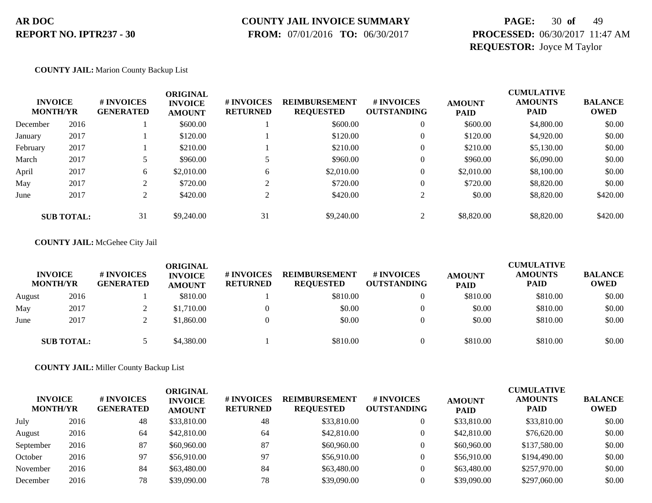### **COUNTY JAIL INVOICE SUMMARY**

 **FROM:** 07/01/2016 **TO:** 06/30/2017

# **PAGE:** 30 **of** 49 **PROCESSED:** 06/30/2017 11:47 AM **REQUESTOR:** Joyce M Taylor

#### **COUNTY JAIL:** Marion County Backup List

| <b>INVOICE</b><br><b>MONTH/YR</b> |                   | # INVOICES<br><b>GENERATED</b> | ORIGINAL<br><b>INVOICE</b><br><b>AMOUNT</b> | # INVOICES<br><b>RETURNED</b> | <b>REIMBURSEMENT</b><br><b>REQUESTED</b> | # INVOICES<br><b>OUTSTANDING</b> | <b>AMOUNT</b><br><b>PAID</b> | <b>CUMULATIVE</b><br><b>AMOUNTS</b><br><b>PAID</b> | <b>BALANCE</b><br>OWED |
|-----------------------------------|-------------------|--------------------------------|---------------------------------------------|-------------------------------|------------------------------------------|----------------------------------|------------------------------|----------------------------------------------------|------------------------|
| December                          | 2016              |                                | \$600.00                                    |                               | \$600.00                                 | 0                                | \$600.00                     | \$4,800.00                                         | \$0.00                 |
| January                           | 2017              |                                | \$120.00                                    |                               | \$120.00                                 | 0                                | \$120.00                     | \$4,920.00                                         | \$0.00                 |
| February                          | 2017              |                                | \$210.00                                    |                               | \$210.00                                 | 0                                | \$210.00                     | \$5,130.00                                         | \$0.00                 |
| March                             | 2017              |                                | \$960.00                                    |                               | \$960.00                                 | 0                                | \$960.00                     | \$6,090.00                                         | \$0.00                 |
| April                             | 2017              | 6                              | \$2,010.00                                  | 6                             | \$2,010.00                               | 0                                | \$2,010.00                   | \$8,100.00                                         | \$0.00                 |
| May                               | 2017              | ◠                              | \$720.00                                    | $\sim$                        | \$720.00                                 | 0                                | \$720.00                     | \$8,820.00                                         | \$0.00                 |
| June                              | 2017              | ◠                              | \$420.00                                    |                               | \$420.00                                 |                                  | \$0.00                       | \$8,820.00                                         | \$420.00               |
|                                   | <b>SUB TOTAL:</b> | 31                             | \$9,240.00                                  | 31                            | \$9,240.00                               |                                  | \$8,820.00                   | \$8,820.00                                         | \$420.00               |

#### **COUNTY JAIL:** McGehee City Jail

|        | <b>INVOICE</b><br><b>MONTH/YR</b> | # INVOICES<br><b>GENERATED</b> | ORIGINAL<br><b>INVOICE</b><br><b>AMOUNT</b> | # INVOICES<br><b>RETURNED</b> | <b>REIMBURSEMENT</b><br><b>REQUESTED</b> | <b>#INVOICES</b><br><b>OUTSTANDING</b> | <b>AMOUNT</b><br><b>PAID</b> | <b>CUMULATIVE</b><br><b>AMOUNTS</b><br><b>PAID</b> | <b>BALANCE</b><br><b>OWED</b> |
|--------|-----------------------------------|--------------------------------|---------------------------------------------|-------------------------------|------------------------------------------|----------------------------------------|------------------------------|----------------------------------------------------|-------------------------------|
| August | 2016                              |                                | \$810.00                                    |                               | \$810.00                                 |                                        | \$810.00                     | \$810.00                                           | \$0.00                        |
| May    | 2017                              | ∠                              | \$1,710.00                                  |                               | \$0.00                                   |                                        | \$0.00                       | \$810.00                                           | \$0.00                        |
| June   | 2017                              |                                | \$1,860.00                                  |                               | \$0.00                                   |                                        | \$0.00                       | \$810.00                                           | \$0.00                        |
|        | <b>SUB TOTAL:</b>                 |                                | \$4,380.00                                  |                               | \$810.00                                 |                                        | \$810.00                     | \$810.00                                           | \$0.00                        |

**COUNTY JAIL:** Miller County Backup List

| <b>INVOICE</b><br><b>MONTH/YR</b> |      | # INVOICES<br><b>GENERATED</b> | ORIGINAL<br><b>INVOICE</b><br><b>AMOUNT</b> | <b># INVOICES</b><br><b>RETURNED</b> | <b>REIMBURSEMENT</b><br><b>REQUESTED</b> | # INVOICES<br><b>OUTSTANDING</b> | <b>AMOUNT</b><br><b>PAID</b> | <b>CUMULATIVE</b><br><b>AMOUNTS</b><br><b>PAID</b> | <b>BALANCE</b><br><b>OWED</b> |
|-----------------------------------|------|--------------------------------|---------------------------------------------|--------------------------------------|------------------------------------------|----------------------------------|------------------------------|----------------------------------------------------|-------------------------------|
| July                              | 2016 | 48                             | \$33,810.00                                 | 48                                   | \$33,810.00                              |                                  | \$33,810.00                  | \$33,810.00                                        | \$0.00                        |
| August                            | 2016 | 64                             | \$42,810.00                                 | 64                                   | \$42,810.00                              |                                  | \$42,810.00                  | \$76,620.00                                        | \$0.00                        |
| September                         | 2016 | 87                             | \$60,960.00                                 | 87                                   | \$60,960.00                              |                                  | \$60,960.00                  | \$137,580.00                                       | \$0.00                        |
| October                           | 2016 | 97                             | \$56,910.00                                 | 97                                   | \$56,910.00                              |                                  | \$56,910.00                  | \$194,490.00                                       | \$0.00                        |
| November                          | 2016 | 84                             | \$63,480.00                                 | 84                                   | \$63,480.00                              |                                  | \$63,480.00                  | \$257,970.00                                       | \$0.00                        |
| December                          | 2016 | 78                             | \$39,090.00                                 | 78                                   | \$39,090.00                              |                                  | \$39,090.00                  | \$297,060.00                                       | \$0.00                        |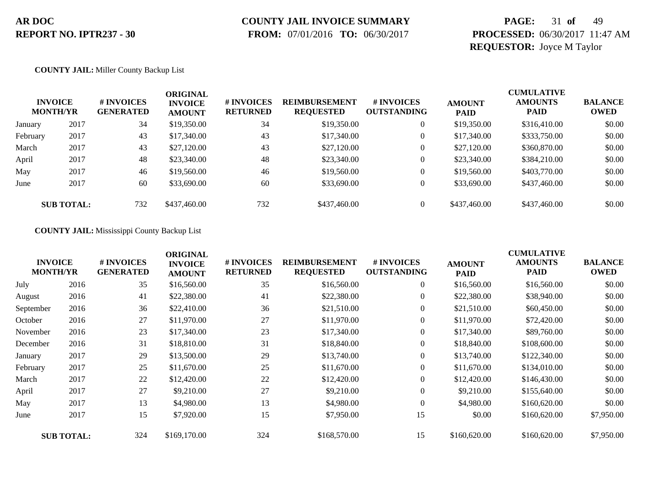### **COUNTY JAIL INVOICE SUMMARY**

 **FROM:** 07/01/2016 **TO:** 06/30/2017

# **PAGE:** 31 **of** 49 **PROCESSED:** 06/30/2017 11:47 AM **REQUESTOR:** Joyce M Taylor

#### **COUNTY JAIL:** Miller County Backup List

|          | <b>INVOICE</b><br><b>MONTH/YR</b> | # INVOICES<br><b>GENERATED</b> | <b>ORIGINAL</b><br><b>INVOICE</b><br><b>AMOUNT</b> | # INVOICES<br><b>RETURNED</b> | <b>REIMBURSEMENT</b><br><b>REQUESTED</b> | <b># INVOICES</b><br><b>OUTSTANDING</b> | <b>AMOUNT</b><br><b>PAID</b> | <b>CUMULATIVE</b><br><b>AMOUNTS</b><br><b>PAID</b> | <b>BALANCE</b><br><b>OWED</b> |
|----------|-----------------------------------|--------------------------------|----------------------------------------------------|-------------------------------|------------------------------------------|-----------------------------------------|------------------------------|----------------------------------------------------|-------------------------------|
| January  | 2017                              | 34                             | \$19,350.00                                        | 34                            | \$19,350.00                              | $\overline{0}$                          | \$19,350.00                  | \$316,410.00                                       | \$0.00                        |
| February | 2017                              | 43                             | \$17,340.00                                        | 43                            | \$17,340.00                              | $\overline{0}$                          | \$17,340.00                  | \$333,750.00                                       | \$0.00                        |
| March    | 2017                              | 43                             | \$27,120.00                                        | 43                            | \$27,120.00                              | $\overline{0}$                          | \$27,120.00                  | \$360,870.00                                       | \$0.00                        |
| April    | 2017                              | 48                             | \$23,340.00                                        | 48                            | \$23,340.00                              | $\overline{0}$                          | \$23,340.00                  | \$384,210.00                                       | \$0.00                        |
| May      | 2017                              | 46                             | \$19,560.00                                        | 46                            | \$19,560.00                              | $\overline{0}$                          | \$19,560.00                  | \$403,770.00                                       | \$0.00                        |
| June     | 2017                              | 60                             | \$33,690.00                                        | 60                            | \$33,690.00                              | $\overline{0}$                          | \$33,690.00                  | \$437,460.00                                       | \$0.00                        |
|          | <b>SUB TOTAL:</b>                 | 732                            | \$437,460.00                                       | 732                           | \$437,460.00                             | $\Omega$                                | \$437,460.00                 | \$437,460.00                                       | \$0.00                        |

**COUNTY JAIL:** Mississippi County Backup List

|           | <b>INVOICE</b><br><b>MONTH/YR</b> | # INVOICES<br><b>GENERATED</b> | <b>ORIGINAL</b><br><b>INVOICE</b><br><b>AMOUNT</b> | # INVOICES<br><b>RETURNED</b> | <b>REIMBURSEMENT</b><br><b>REQUESTED</b> | # INVOICES<br><b>OUTSTANDING</b> | <b>AMOUNT</b><br><b>PAID</b> | <b>CUMULATIVE</b><br><b>AMOUNTS</b><br><b>PAID</b> | <b>BALANCE</b><br><b>OWED</b> |
|-----------|-----------------------------------|--------------------------------|----------------------------------------------------|-------------------------------|------------------------------------------|----------------------------------|------------------------------|----------------------------------------------------|-------------------------------|
| July      | 2016                              | 35                             | \$16,560.00                                        | 35                            | \$16,560.00                              | $\overline{0}$                   | \$16,560.00                  | \$16,560.00                                        | \$0.00                        |
| August    | 2016                              | 41                             | \$22,380.00                                        | 41                            | \$22,380.00                              | $\overline{0}$                   | \$22,380.00                  | \$38,940.00                                        | \$0.00                        |
| September | 2016                              | 36                             | \$22,410.00                                        | 36                            | \$21,510.00                              | $\overline{0}$                   | \$21,510.00                  | \$60,450.00                                        | \$0.00                        |
| October   | 2016                              | 27                             | \$11,970.00                                        | 27                            | \$11,970.00                              | $\overline{0}$                   | \$11,970.00                  | \$72,420.00                                        | \$0.00                        |
| November  | 2016                              | 23                             | \$17,340.00                                        | 23                            | \$17,340.00                              | $\overline{0}$                   | \$17,340.00                  | \$89,760.00                                        | \$0.00                        |
| December  | 2016                              | 31                             | \$18,810.00                                        | 31                            | \$18,840.00                              | $\overline{0}$                   | \$18,840.00                  | \$108,600.00                                       | \$0.00                        |
| January   | 2017                              | 29                             | \$13,500.00                                        | 29                            | \$13,740.00                              | $\overline{0}$                   | \$13,740.00                  | \$122,340.00                                       | \$0.00                        |
| February  | 2017                              | 25                             | \$11,670.00                                        | 25                            | \$11,670.00                              | $\overline{0}$                   | \$11,670.00                  | \$134,010.00                                       | \$0.00                        |
| March     | 2017                              | 22                             | \$12,420.00                                        | 22                            | \$12,420.00                              | $\overline{0}$                   | \$12,420.00                  | \$146,430.00                                       | \$0.00                        |
| April     | 2017                              | 27                             | \$9,210.00                                         | 27                            | \$9,210.00                               | $\overline{0}$                   | \$9,210.00                   | \$155,640.00                                       | \$0.00                        |
| May       | 2017                              | 13                             | \$4,980.00                                         | 13                            | \$4,980.00                               | $\overline{0}$                   | \$4,980.00                   | \$160,620.00                                       | \$0.00                        |
| June      | 2017                              | 15                             | \$7,920.00                                         | 15                            | \$7,950.00                               | 15                               | \$0.00                       | \$160,620.00                                       | \$7,950.00                    |
|           | <b>SUB TOTAL:</b>                 | 324                            | \$169,170.00                                       | 324                           | \$168,570.00                             | 15                               | \$160,620.00                 | \$160,620.00                                       | \$7,950.00                    |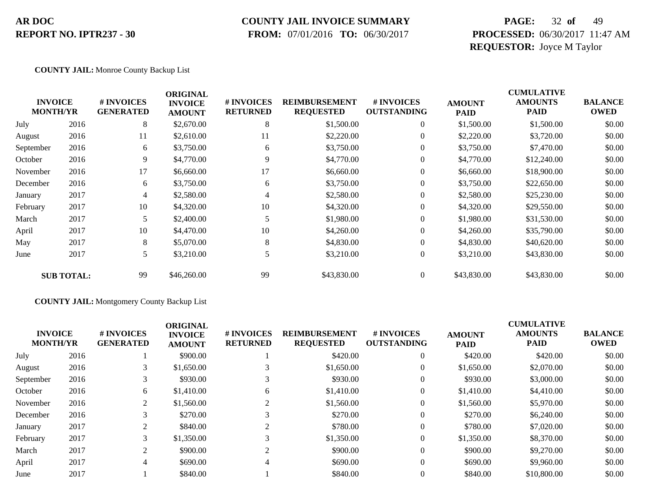### **COUNTY JAIL INVOICE SUMMARY**

 **FROM:** 07/01/2016 **TO:** 06/30/2017

# **PAGE:** 32 **of** 49 **PROCESSED:** 06/30/2017 11:47 AM **REQUESTOR:** Joyce M Taylor

#### **COUNTY JAIL:** Monroe County Backup List

|           | <b>INVOICE</b><br><b>MONTH/YR</b> | # INVOICES<br><b>GENERATED</b> | <b>ORIGINAL</b><br><b>INVOICE</b><br><b>AMOUNT</b> | # INVOICES<br><b>RETURNED</b> | <b>REIMBURSEMENT</b><br><b>REQUESTED</b> | # INVOICES<br><b>OUTSTANDING</b> | <b>AMOUNT</b><br><b>PAID</b> | <b>CUMULATIVE</b><br><b>AMOUNTS</b><br><b>PAID</b> | <b>BALANCE</b><br><b>OWED</b> |
|-----------|-----------------------------------|--------------------------------|----------------------------------------------------|-------------------------------|------------------------------------------|----------------------------------|------------------------------|----------------------------------------------------|-------------------------------|
| July      | 2016                              | 8                              | \$2,670.00                                         | 8                             | \$1,500.00                               | $\overline{0}$                   | \$1,500.00                   | \$1,500.00                                         | \$0.00                        |
| August    | 2016                              | 11                             | \$2,610.00                                         | 11                            | \$2,220.00                               | $\overline{0}$                   | \$2,220.00                   | \$3,720.00                                         | \$0.00                        |
| September | 2016                              | 6                              | \$3,750.00                                         | 6                             | \$3,750.00                               | $\theta$                         | \$3,750.00                   | \$7,470.00                                         | \$0.00                        |
| October   | 2016                              | 9                              | \$4,770.00                                         | 9                             | \$4,770.00                               | $\theta$                         | \$4,770.00                   | \$12,240.00                                        | \$0.00                        |
| November  | 2016                              | 17                             | \$6,660.00                                         | 17                            | \$6,660.00                               | $\boldsymbol{0}$                 | \$6,660.00                   | \$18,900.00                                        | \$0.00                        |
| December  | 2016                              | 6                              | \$3,750.00                                         | 6                             | \$3,750.00                               | $\boldsymbol{0}$                 | \$3,750.00                   | \$22,650.00                                        | \$0.00                        |
| January   | 2017                              | 4                              | \$2,580.00                                         | 4                             | \$2,580.00                               | $\overline{0}$                   | \$2,580.00                   | \$25,230.00                                        | \$0.00                        |
| February  | 2017                              | 10                             | \$4,320.00                                         | 10                            | \$4,320.00                               | $\theta$                         | \$4,320.00                   | \$29,550.00                                        | \$0.00                        |
| March     | 2017                              | 5                              | \$2,400.00                                         | 5                             | \$1,980.00                               | $\overline{0}$                   | \$1,980.00                   | \$31,530.00                                        | \$0.00                        |
| April     | 2017                              | 10                             | \$4,470.00                                         | 10                            | \$4,260.00                               | $\theta$                         | \$4,260.00                   | \$35,790.00                                        | \$0.00                        |
| May       | 2017                              | 8                              | \$5,070.00                                         | 8                             | \$4,830.00                               | $\overline{0}$                   | \$4,830.00                   | \$40,620.00                                        | \$0.00                        |
| June      | 2017                              | 5                              | \$3,210.00                                         | 5                             | \$3,210.00                               | $\boldsymbol{0}$                 | \$3,210.00                   | \$43,830.00                                        | \$0.00                        |
|           | <b>SUB TOTAL:</b>                 | 99                             | \$46,260.00                                        | 99                            | \$43,830.00                              | $\overline{0}$                   | \$43,830.00                  | \$43,830.00                                        | \$0.00                        |

#### **COUNTY JAIL:** Montgomery County Backup List

|           | <b>INVOICE</b><br><b>MONTH/YR</b> | # INVOICES<br><b>GENERATED</b> | <b>ORIGINAL</b><br><b>INVOICE</b><br><b>AMOUNT</b> | <b># INVOICES</b><br><b>RETURNED</b> | <b>REIMBURSEMENT</b><br><b>REQUESTED</b> | # INVOICES<br><b>OUTSTANDING</b> | <b>AMOUNT</b><br><b>PAID</b> | <b>CUMULATIVE</b><br><b>AMOUNTS</b><br><b>PAID</b> | <b>BALANCE</b><br><b>OWED</b> |
|-----------|-----------------------------------|--------------------------------|----------------------------------------------------|--------------------------------------|------------------------------------------|----------------------------------|------------------------------|----------------------------------------------------|-------------------------------|
| July      | 2016                              |                                | \$900.00                                           |                                      | \$420.00                                 | $\Omega$                         | \$420.00                     | \$420.00                                           | \$0.00                        |
| August    | 2016                              | 3                              | \$1,650.00                                         |                                      | \$1,650.00                               |                                  | \$1,650.00                   | \$2,070.00                                         | \$0.00                        |
| September | 2016                              | 3                              | \$930.00                                           |                                      | \$930.00                                 |                                  | \$930.00                     | \$3,000.00                                         | \$0.00                        |
| October   | 2016                              | 6                              | \$1,410.00                                         | 6                                    | \$1,410.00                               |                                  | \$1,410.00                   | \$4,410.00                                         | \$0.00                        |
| November  | 2016                              | 2                              | \$1,560.00                                         |                                      | \$1,560.00                               |                                  | \$1,560.00                   | \$5,970.00                                         | \$0.00                        |
| December  | 2016                              | 3                              | \$270.00                                           |                                      | \$270.00                                 | $\overline{0}$                   | \$270.00                     | \$6,240.00                                         | \$0.00                        |
| January   | 2017                              | 2                              | \$840.00                                           |                                      | \$780.00                                 |                                  | \$780.00                     | \$7,020.00                                         | \$0.00                        |
| February  | 2017                              | 3                              | \$1,350.00                                         |                                      | \$1,350.00                               |                                  | \$1,350.00                   | \$8,370.00                                         | \$0.00                        |
| March     | 2017                              | 2                              | \$900.00                                           |                                      | \$900.00                                 | $\Omega$                         | \$900.00                     | \$9,270.00                                         | \$0.00                        |
| April     | 2017                              | 4                              | \$690.00                                           |                                      | \$690.00                                 | $\theta$                         | \$690.00                     | \$9,960.00                                         | \$0.00                        |
| June      | 2017                              |                                | \$840.00                                           |                                      | \$840.00                                 |                                  | \$840.00                     | \$10,800.00                                        | \$0.00                        |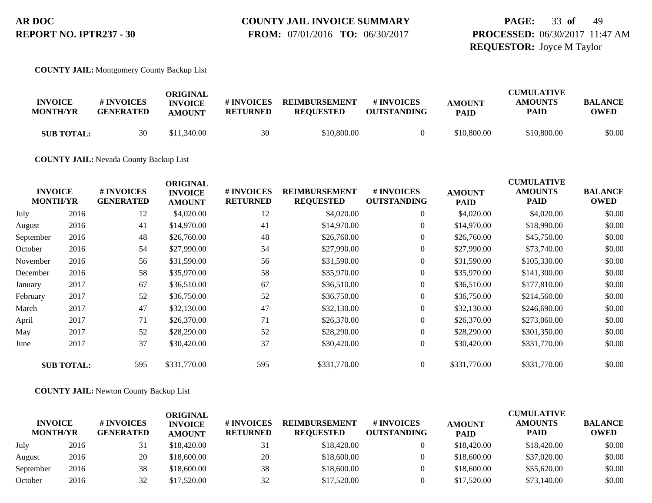# **COUNTY JAIL INVOICE SUMMARY**

 **FROM:** 07/01/2016 **TO:** 06/30/2017

# **PAGE:** 33 **of** 49 **PROCESSED:** 06/30/2017 11:47 AM **REQUESTOR:** Joyce M Taylor

**COUNTY JAIL:** Montgomery County Backup List

| <b>INVOICE</b><br><b>MONTH/YR</b> | # INVOICES<br><b>GENERATED</b> | ORIGINAL<br><b>INVOICE</b><br><b>AMOUNT</b> | # INVOICES<br><b>RETURNED</b> | <b>REIMBURSEMENT</b><br><b>REQUESTED</b> | <b>#INVOICES</b><br><b>OUTSTANDING</b> | <b>AMOUNT</b><br><b>PAID</b> | <b>CUMULATIVE</b><br><b>AMOUNTS</b><br><b>PAID</b> | BALANCE<br><b>OWED</b> |
|-----------------------------------|--------------------------------|---------------------------------------------|-------------------------------|------------------------------------------|----------------------------------------|------------------------------|----------------------------------------------------|------------------------|
| <b>SUB TOTAL:</b>                 | 30                             | \$11,340.00                                 | 30                            | \$10,800.00                              |                                        | \$10,800.00                  | \$10,800.00                                        | \$0.00                 |

**COUNTY JAIL:** Nevada County Backup List

|           | <b>INVOICE</b><br><b>MONTH/YR</b> | # INVOICES<br><b>GENERATED</b> | <b>ORIGINAL</b><br><b>INVOICE</b><br><b>AMOUNT</b> | # INVOICES<br><b>RETURNED</b> | <b>REIMBURSEMENT</b><br><b>REQUESTED</b> | # INVOICES<br><b>OUTSTANDING</b> | <b>AMOUNT</b><br><b>PAID</b> | <b>CUMULATIVE</b><br><b>AMOUNTS</b><br><b>PAID</b> | <b>BALANCE</b><br><b>OWED</b> |
|-----------|-----------------------------------|--------------------------------|----------------------------------------------------|-------------------------------|------------------------------------------|----------------------------------|------------------------------|----------------------------------------------------|-------------------------------|
| July      | 2016                              | 12                             | \$4,020.00                                         | 12                            | \$4,020.00                               | $\overline{0}$                   | \$4,020.00                   | \$4,020.00                                         | \$0.00                        |
| August    | 2016                              | 41                             | \$14,970.00                                        | 41                            | \$14,970.00                              | $\overline{0}$                   | \$14,970.00                  | \$18,990.00                                        | \$0.00                        |
| September | 2016                              | 48                             | \$26,760.00                                        | 48                            | \$26,760.00                              | $\overline{0}$                   | \$26,760.00                  | \$45,750.00                                        | \$0.00                        |
| October   | 2016                              | 54                             | \$27,990.00                                        | 54                            | \$27,990.00                              | $\overline{0}$                   | \$27,990.00                  | \$73,740.00                                        | \$0.00                        |
| November  | 2016                              | 56                             | \$31,590.00                                        | 56                            | \$31,590.00                              | $\boldsymbol{0}$                 | \$31,590.00                  | \$105,330.00                                       | \$0.00                        |
| December  | 2016                              | 58                             | \$35,970.00                                        | 58                            | \$35,970.00                              | $\overline{0}$                   | \$35,970.00                  | \$141,300.00                                       | \$0.00                        |
| January   | 2017                              | 67                             | \$36,510.00                                        | 67                            | \$36,510.00                              | $\overline{0}$                   | \$36,510.00                  | \$177,810.00                                       | \$0.00                        |
| February  | 2017                              | 52                             | \$36,750.00                                        | 52                            | \$36,750.00                              | $\overline{0}$                   | \$36,750.00                  | \$214,560.00                                       | \$0.00                        |
| March     | 2017                              | 47                             | \$32,130.00                                        | 47                            | \$32,130.00                              | $\overline{0}$                   | \$32,130.00                  | \$246,690.00                                       | \$0.00                        |
| April     | 2017                              | 71                             | \$26,370.00                                        | 71                            | \$26,370.00                              | $\overline{0}$                   | \$26,370.00                  | \$273,060.00                                       | \$0.00                        |
| May       | 2017                              | 52                             | \$28,290.00                                        | 52                            | \$28,290.00                              | $\overline{0}$                   | \$28,290.00                  | \$301,350.00                                       | \$0.00                        |
| June      | 2017                              | 37                             | \$30,420.00                                        | 37                            | \$30,420.00                              | $\overline{0}$                   | \$30,420.00                  | \$331,770.00                                       | \$0.00                        |
|           | <b>SUB TOTAL:</b>                 | 595                            | \$331,770.00                                       | 595                           | \$331,770.00                             | $\overline{0}$                   | \$331,770.00                 | \$331,770.00                                       | \$0.00                        |

**COUNTY JAIL:** Newton County Backup List

| <b>INVOICE</b><br><b>MONTH/YR</b> |      | # INVOICES<br><b>GENERATED</b> | ORIGINAL<br><b>INVOICE</b><br><b>AMOUNT</b> | <b># INVOICES</b><br><b>RETURNED</b> | <b>REIMBURSEMENT</b><br><b>REOUESTED</b> | # INVOICES<br><b>OUTSTANDING</b> | <b>AMOUNT</b><br><b>PAID</b> | <b>CUMULATIVE</b><br><b>AMOUNTS</b><br><b>PAID</b> | <b>BALANCE</b><br><b>OWED</b> |
|-----------------------------------|------|--------------------------------|---------------------------------------------|--------------------------------------|------------------------------------------|----------------------------------|------------------------------|----------------------------------------------------|-------------------------------|
| July                              | 2016 | 31                             | \$18,420.00                                 | 31                                   | \$18,420.00                              | $\Omega$                         | \$18,420.00                  | \$18,420.00                                        | \$0.00                        |
| August                            | 2016 | 20                             | \$18,600.00                                 | 20                                   | \$18,600.00                              |                                  | \$18,600.00                  | \$37,020.00                                        | \$0.00                        |
| September                         | 2016 | 38                             | \$18,600.00                                 | 38                                   | \$18,600.00                              | $\overline{0}$                   | \$18,600.00                  | \$55,620.00                                        | \$0.00                        |
| October                           | 2016 | 32                             | \$17,520.00                                 | 32                                   | \$17,520.00                              |                                  | \$17,520.00                  | \$73,140.00                                        | \$0.00                        |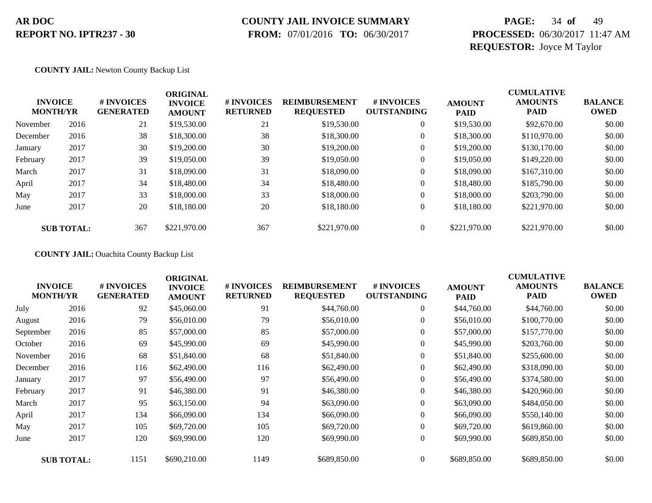### **COUNTY JAIL INVOICE SUMMARY**

 **FROM:** 07/01/2016 **TO:** 06/30/2017

# **PAGE:** 34 **of** 49 **PROCESSED:** 06/30/2017 11:47 AM **REQUESTOR:** Joyce M Taylor

#### **COUNTY JAIL:** Newton County Backup List

|          | <b>INVOICE</b><br><b>MONTH/YR</b> | # INVOICES<br><b>GENERATED</b> | <b>ORIGINAL</b><br><b>INVOICE</b><br><b>AMOUNT</b> | # INVOICES<br><b>RETURNED</b> | <b>REIMBURSEMENT</b><br><b>REQUESTED</b> | # INVOICES<br><b>OUTSTANDING</b> | <b>AMOUNT</b><br><b>PAID</b> | <b>CUMULATIVE</b><br><b>AMOUNTS</b><br><b>PAID</b> | <b>BALANCE</b><br><b>OWED</b> |
|----------|-----------------------------------|--------------------------------|----------------------------------------------------|-------------------------------|------------------------------------------|----------------------------------|------------------------------|----------------------------------------------------|-------------------------------|
| November | 2016                              | 21                             | \$19,530.00                                        | 21                            | \$19,530.00                              | $\overline{0}$                   | \$19,530.00                  | \$92,670.00                                        | \$0.00                        |
| December | 2016                              | 38                             | \$18,300.00                                        | 38                            | \$18,300.00                              | 0                                | \$18,300.00                  | \$110,970.00                                       | \$0.00                        |
| January  | 2017                              | 30                             | \$19,200.00                                        | 30                            | \$19,200.00                              | $\boldsymbol{0}$                 | \$19,200.00                  | \$130,170.00                                       | \$0.00                        |
| February | 2017                              | 39                             | \$19,050.00                                        | 39                            | \$19,050.00                              | $\overline{0}$                   | \$19,050.00                  | \$149,220.00                                       | \$0.00                        |
| March    | 2017                              | 31                             | \$18,090.00                                        | 31                            | \$18,090.00                              | $\overline{0}$                   | \$18,090.00                  | \$167,310.00                                       | \$0.00                        |
| April    | 2017                              | 34                             | \$18,480.00                                        | 34                            | \$18,480.00                              | $\overline{0}$                   | \$18,480.00                  | \$185,790.00                                       | \$0.00                        |
| May      | 2017                              | 33                             | \$18,000.00                                        | 33                            | \$18,000.00                              | $\overline{0}$                   | \$18,000.00                  | \$203,790.00                                       | \$0.00                        |
| June     | 2017                              | 20                             | \$18,180.00                                        | 20                            | \$18,180,00                              | $\overline{0}$                   | \$18,180.00                  | \$221,970.00                                       | \$0.00                        |
|          | <b>SUB TOTAL:</b>                 | 367                            | \$221,970.00                                       | 367                           | \$221,970.00                             | $\theta$                         | \$221,970.00                 | \$221,970.00                                       | \$0.00                        |

#### **COUNTY JAIL:** Ouachita County Backup List

|           | <b>INVOICE</b><br><b>MONTH/YR</b> | # INVOICES<br><b>GENERATED</b> | <b>ORIGINAL</b><br><b>INVOICE</b><br><b>AMOUNT</b> | # INVOICES<br><b>RETURNED</b> | <b>REIMBURSEMENT</b><br><b>REQUESTED</b> | # INVOICES<br><b>OUTSTANDING</b> | <b>AMOUNT</b><br><b>PAID</b> | <b>CUMULATIVE</b><br><b>AMOUNTS</b><br><b>PAID</b> | <b>BALANCE</b><br><b>OWED</b> |
|-----------|-----------------------------------|--------------------------------|----------------------------------------------------|-------------------------------|------------------------------------------|----------------------------------|------------------------------|----------------------------------------------------|-------------------------------|
| July      | 2016                              | 92                             | \$45,060.00                                        | 91                            | \$44,760.00                              | $\overline{0}$                   | \$44,760.00                  | \$44,760.00                                        | \$0.00                        |
| August    | 2016                              | 79                             | \$56,010.00                                        | 79                            | \$56,010.00                              | $\overline{0}$                   | \$56,010.00                  | \$100,770.00                                       | \$0.00                        |
| September | 2016                              | 85                             | \$57,000.00                                        | 85                            | \$57,000.00                              | $\boldsymbol{0}$                 | \$57,000.00                  | \$157,770.00                                       | \$0.00                        |
| October   | 2016                              | 69                             | \$45,990.00                                        | 69                            | \$45,990.00                              | $\overline{0}$                   | \$45,990.00                  | \$203,760.00                                       | \$0.00                        |
| November  | 2016                              | 68                             | \$51,840.00                                        | 68                            | \$51,840.00                              | $\overline{0}$                   | \$51,840.00                  | \$255,600.00                                       | \$0.00                        |
| December  | 2016                              | 116                            | \$62,490.00                                        | 116                           | \$62,490.00                              | $\overline{0}$                   | \$62,490.00                  | \$318,090.00                                       | \$0.00                        |
| January   | 2017                              | 97                             | \$56,490.00                                        | 97                            | \$56,490.00                              | $\overline{0}$                   | \$56,490.00                  | \$374,580.00                                       | \$0.00                        |
| February  | 2017                              | 91                             | \$46,380.00                                        | 91                            | \$46,380.00                              | $\overline{0}$                   | \$46,380.00                  | \$420,960.00                                       | \$0.00                        |
| March     | 2017                              | 95                             | \$63,150.00                                        | 94                            | \$63,090.00                              | $\overline{0}$                   | \$63,090.00                  | \$484,050.00                                       | \$0.00                        |
| April     | 2017                              | 134                            | \$66,090.00                                        | 134                           | \$66,090.00                              | $\overline{0}$                   | \$66,090.00                  | \$550,140.00                                       | \$0.00                        |
| May       | 2017                              | 105                            | \$69,720.00                                        | 105                           | \$69,720.00                              | $\boldsymbol{0}$                 | \$69,720.00                  | \$619,860.00                                       | \$0.00                        |
| June      | 2017                              | 120                            | \$69,990.00                                        | 120                           | \$69,990.00                              | $\overline{0}$                   | \$69,990.00                  | \$689,850.00                                       | \$0.00                        |
|           | <b>SUB TOTAL:</b>                 | 1151                           | \$690,210.00                                       | 1149                          | \$689,850.00                             | $\theta$                         | \$689,850.00                 | \$689,850.00                                       | \$0.00                        |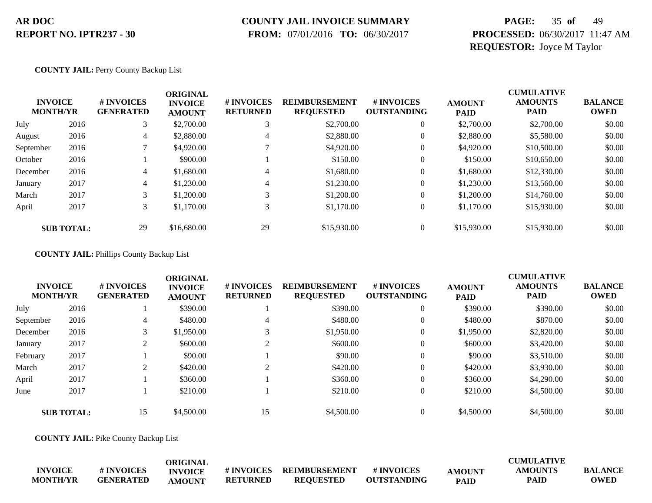### **COUNTY JAIL INVOICE SUMMARY**

 **FROM:** 07/01/2016 **TO:** 06/30/2017

# **PAGE:** 35 **of** 49 **PROCESSED:** 06/30/2017 11:47 AM **REQUESTOR:** Joyce M Taylor

**COUNTY JAIL:** Perry County Backup List

| <b>INVOICE</b><br><b>MONTH/YR</b> |                   | # INVOICES<br><b>GENERATED</b> | <b>ORIGINAL</b><br><b>INVOICE</b><br><b>AMOUNT</b> | # INVOICES<br><b>RETURNED</b> | <b>REIMBURSEMENT</b><br><b>REQUESTED</b> | # INVOICES<br><b>OUTSTANDING</b> | <b>AMOUNT</b><br><b>PAID</b> | <b>CUMULATIVE</b><br><b>AMOUNTS</b><br><b>PAID</b> | <b>BALANCE</b><br><b>OWED</b> |
|-----------------------------------|-------------------|--------------------------------|----------------------------------------------------|-------------------------------|------------------------------------------|----------------------------------|------------------------------|----------------------------------------------------|-------------------------------|
| July                              | 2016              | 3                              | \$2,700.00                                         |                               | \$2,700.00                               | $\theta$                         | \$2,700.00                   | \$2,700.00                                         | \$0.00                        |
| August                            | 2016              | 4                              | \$2,880.00                                         | 4                             | \$2,880.00                               | $\theta$                         | \$2,880.00                   | \$5,580.00                                         | \$0.00                        |
| September                         | 2016              |                                | \$4,920.00                                         |                               | \$4,920.00                               | $\mathbf{0}$                     | \$4,920.00                   | \$10,500.00                                        | \$0.00                        |
| October                           | 2016              |                                | \$900.00                                           |                               | \$150.00                                 | $\mathbf{0}$                     | \$150.00                     | \$10,650.00                                        | \$0.00                        |
| December                          | 2016              | 4                              | \$1,680.00                                         | 4                             | \$1,680.00                               | $\overline{0}$                   | \$1,680.00                   | \$12,330.00                                        | \$0.00                        |
| January                           | 2017              | 4                              | \$1,230.00                                         | 4                             | \$1,230.00                               | $\theta$                         | \$1,230.00                   | \$13,560.00                                        | \$0.00                        |
| March                             | 2017              | 3                              | \$1,200.00                                         |                               | \$1,200.00                               | $\theta$                         | \$1,200.00                   | \$14,760.00                                        | \$0.00                        |
| April                             | 2017              | 3                              | \$1,170.00                                         | 3                             | \$1,170.00                               | $\overline{0}$                   | \$1,170.00                   | \$15,930.00                                        | \$0.00                        |
|                                   | <b>SUB TOTAL:</b> | 29                             | \$16,680.00                                        | 29                            | \$15,930.00                              | $\Omega$                         | \$15,930.00                  | \$15,930.00                                        | \$0.00                        |

**COUNTY JAIL:** Phillips County Backup List

|           | <b>INVOICE</b><br><b>MONTH/YR</b> | <b>#INVOICES</b><br><b>GENERATED</b> | <b>ORIGINAL</b><br><b>INVOICE</b><br><b>AMOUNT</b> | # INVOICES<br><b>RETURNED</b> | <b>REIMBURSEMENT</b><br><b>REQUESTED</b> | # INVOICES<br><b>OUTSTANDING</b> | <b>AMOUNT</b><br><b>PAID</b> | <b>CUMULATIVE</b><br><b>AMOUNTS</b><br><b>PAID</b> | <b>BALANCE</b><br><b>OWED</b> |
|-----------|-----------------------------------|--------------------------------------|----------------------------------------------------|-------------------------------|------------------------------------------|----------------------------------|------------------------------|----------------------------------------------------|-------------------------------|
| July      | 2016                              |                                      | \$390.00                                           |                               | \$390.00                                 | $\theta$                         | \$390.00                     | \$390.00                                           | \$0.00                        |
| September | 2016                              | 4                                    | \$480.00                                           | 4                             | \$480.00                                 | 0                                | \$480.00                     | \$870.00                                           | \$0.00                        |
| December  | 2016                              |                                      | \$1,950.00                                         |                               | \$1,950.00                               | 0                                | \$1,950.00                   | \$2,820.00                                         | \$0.00                        |
| January   | 2017                              | <sup><math>\supset</math></sup>      | \$600.00                                           | $\bigcap$                     | \$600.00                                 | $\theta$                         | \$600.00                     | \$3,420.00                                         | \$0.00                        |
| February  | 2017                              |                                      | \$90.00                                            |                               | \$90.00                                  | $\theta$                         | \$90.00                      | \$3,510.00                                         | \$0.00                        |
| March     | 2017                              | ◠                                    | \$420.00                                           | $\bigcap$                     | \$420.00                                 | 0                                | \$420.00                     | \$3,930.00                                         | \$0.00                        |
| April     | 2017                              |                                      | \$360.00                                           |                               | \$360.00                                 | 0                                | \$360.00                     | \$4,290.00                                         | \$0.00                        |
| June      | 2017                              |                                      | \$210.00                                           |                               | \$210.00                                 | 0                                | \$210.00                     | \$4,500.00                                         | \$0.00                        |
|           | <b>SUB TOTAL:</b>                 | 15                                   | \$4,500.00                                         | 15                            | \$4,500.00                               | $\Omega$                         | \$4,500.00                   | \$4,500.00                                         | \$0.00                        |

**COUNTY JAIL:** Pike County Backup List

|                 |                  | ORIGINAL       |                   |                  |                    |               | <b>CUMULATIVE</b> |                |
|-----------------|------------------|----------------|-------------------|------------------|--------------------|---------------|-------------------|----------------|
| <b>INVOICE</b>  | # INVOICES       | <b>INVOICE</b> | <b># INVOICES</b> | REIMBURSEMENT    | # INVOICES         | <b>AMOUNT</b> | AMOUNTS           | <b>BALANCE</b> |
| <b>MONTH/YR</b> | <b>GENERATED</b> | AMOUNT         | <b>RETURNED</b>   | <b>REOUESTED</b> | <b>OUTSTANDING</b> | <b>PAID</b>   | PAID              | <b>OWED</b>    |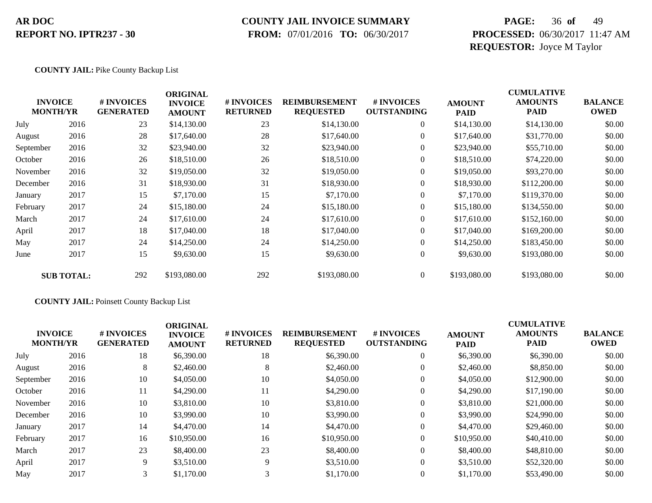### **COUNTY JAIL INVOICE SUMMARY**

 **FROM:** 07/01/2016 **TO:** 06/30/2017

# **PAGE:** 36 **of** 49 **PROCESSED:** 06/30/2017 11:47 AM **REQUESTOR:** Joyce M Taylor

#### **COUNTY JAIL:** Pike County Backup List

|                                   |                   |                                | <b>ORIGINAL</b>                 |                               |                                          |                                  |                              | <b>CUMULATIVE</b>      |                               |
|-----------------------------------|-------------------|--------------------------------|---------------------------------|-------------------------------|------------------------------------------|----------------------------------|------------------------------|------------------------|-------------------------------|
| <b>INVOICE</b><br><b>MONTH/YR</b> |                   | # INVOICES<br><b>GENERATED</b> | <b>INVOICE</b><br><b>AMOUNT</b> | # INVOICES<br><b>RETURNED</b> | <b>REIMBURSEMENT</b><br><b>REQUESTED</b> | # INVOICES<br><b>OUTSTANDING</b> | <b>AMOUNT</b><br><b>PAID</b> | <b>AMOUNTS</b><br>PAID | <b>BALANCE</b><br><b>OWED</b> |
| July                              | 2016              | 23                             | \$14,130.00                     | 23                            | \$14,130.00                              | $\overline{0}$                   | \$14,130.00                  | \$14,130.00            | \$0.00                        |
| August                            | 2016              | 28                             | \$17,640.00                     | 28                            | \$17,640.00                              | $\overline{0}$                   | \$17,640.00                  | \$31,770.00            | \$0.00                        |
| September                         | 2016              | 32                             | \$23,940.00                     | 32                            | \$23,940.00                              | $\overline{0}$                   | \$23,940.00                  | \$55,710.00            | \$0.00                        |
| October                           | 2016              | 26                             | \$18,510.00                     | 26                            | \$18,510.00                              | $\overline{0}$                   | \$18,510.00                  | \$74,220.00            | \$0.00                        |
| November                          | 2016              | 32                             | \$19,050.00                     | 32                            | \$19,050.00                              | $\overline{0}$                   | \$19,050.00                  | \$93,270.00            | \$0.00                        |
| December                          | 2016              | 31                             | \$18,930.00                     | 31                            | \$18,930.00                              | $\overline{0}$                   | \$18,930.00                  | \$112,200.00           | \$0.00                        |
| January                           | 2017              | 15                             | \$7,170.00                      | 15                            | \$7,170.00                               | $\overline{0}$                   | \$7,170.00                   | \$119,370.00           | \$0.00                        |
| February                          | 2017              | 24                             | \$15,180.00                     | 24                            | \$15,180.00                              | $\overline{0}$                   | \$15,180.00                  | \$134,550.00           | \$0.00                        |
| March                             | 2017              | 24                             | \$17,610.00                     | 24                            | \$17,610.00                              | $\overline{0}$                   | \$17,610.00                  | \$152,160.00           | \$0.00                        |
| April                             | 2017              | 18                             | \$17,040.00                     | 18                            | \$17,040.00                              | $\overline{0}$                   | \$17,040.00                  | \$169,200.00           | \$0.00                        |
| May                               | 2017              | 24                             | \$14,250.00                     | 24                            | \$14,250.00                              | $\overline{0}$                   | \$14,250.00                  | \$183,450.00           | \$0.00                        |
| June                              | 2017              | 15                             | \$9,630.00                      | 15                            | \$9,630.00                               | $\boldsymbol{0}$                 | \$9,630.00                   | \$193,080.00           | \$0.00                        |
|                                   | <b>SUB TOTAL:</b> | 292                            | \$193,080.00                    | 292                           | \$193,080.00                             | $\overline{0}$                   | \$193,080.00                 | \$193,080.00           | \$0.00                        |

#### **COUNTY JAIL:** Poinsett County Backup List

|           | <b>INVOICE</b><br><b>MONTH/YR</b> | <b>#INVOICES</b><br><b>GENERATED</b> | <b>ORIGINAL</b><br><b>INVOICE</b><br><b>AMOUNT</b> | <b># INVOICES</b><br><b>RETURNED</b> | <b>REIMBURSEMENT</b><br><b>REQUESTED</b> | # INVOICES<br><b>OUTSTANDING</b> | <b>AMOUNT</b><br><b>PAID</b> | <b>CUMULATIVE</b><br><b>AMOUNTS</b><br><b>PAID</b> | <b>BALANCE</b><br><b>OWED</b> |
|-----------|-----------------------------------|--------------------------------------|----------------------------------------------------|--------------------------------------|------------------------------------------|----------------------------------|------------------------------|----------------------------------------------------|-------------------------------|
| July      | 2016                              | 18                                   | \$6,390.00                                         | 18                                   | \$6,390.00                               | $\theta$                         | \$6,390.00                   | \$6,390.00                                         | \$0.00                        |
| August    | 2016                              | 8                                    | \$2,460.00                                         | 8                                    | \$2,460.00                               | $\theta$                         | \$2,460.00                   | \$8,850.00                                         | \$0.00                        |
| September | 2016                              | 10                                   | \$4,050.00                                         | 10                                   | \$4,050.00                               | $\theta$                         | \$4,050.00                   | \$12,900.00                                        | \$0.00                        |
| October   | 2016                              | 11                                   | \$4,290.00                                         | 11                                   | \$4,290.00                               | $\theta$                         | \$4,290.00                   | \$17,190.00                                        | \$0.00                        |
| November  | 2016                              | 10                                   | \$3,810.00                                         | 10                                   | \$3,810.00                               | $\theta$                         | \$3,810.00                   | \$21,000.00                                        | \$0.00                        |
| December  | 2016                              | 10                                   | \$3,990.00                                         | 10                                   | \$3,990.00                               | $\theta$                         | \$3,990.00                   | \$24,990.00                                        | \$0.00                        |
| January   | 2017                              | 14                                   | \$4,470.00                                         | 14                                   | \$4,470.00                               | $\overline{0}$                   | \$4,470.00                   | \$29,460.00                                        | \$0.00                        |
| February  | 2017                              | 16                                   | \$10,950.00                                        | 16                                   | \$10,950.00                              | $\mathbf{0}$                     | \$10,950.00                  | \$40,410.00                                        | \$0.00                        |
| March     | 2017                              | 23                                   | \$8,400.00                                         | 23                                   | \$8,400.00                               | $\theta$                         | \$8,400.00                   | \$48,810.00                                        | \$0.00                        |
| April     | 2017                              | 9                                    | \$3,510.00                                         | 9                                    | \$3,510.00                               | $\Omega$                         | \$3,510.00                   | \$52,320.00                                        | \$0.00                        |
| May       | 2017                              | 3                                    | \$1,170.00                                         | 3                                    | \$1,170.00                               | $\theta$                         | \$1,170.00                   | \$53,490.00                                        | \$0.00                        |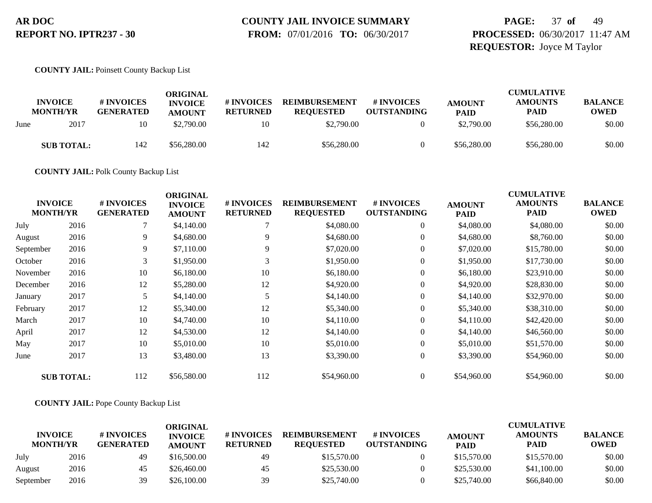# **COUNTY JAIL INVOICE SUMMARY**

 **FROM:** 07/01/2016 **TO:** 06/30/2017

# **PAGE:** 37 **of** 49 **PROCESSED:** 06/30/2017 11:47 AM **REQUESTOR:** Joyce M Taylor

#### **COUNTY JAIL:** Poinsett County Backup List

|      |                                   |                                | ORIGINAL                        |                               |                                          |                                  |                              | <b>CUMULATIVE</b>             |                               |
|------|-----------------------------------|--------------------------------|---------------------------------|-------------------------------|------------------------------------------|----------------------------------|------------------------------|-------------------------------|-------------------------------|
|      | <b>INVOICE</b><br><b>MONTH/YR</b> | # INVOICES<br><b>GENERATED</b> | <b>INVOICE</b><br><b>AMOUNT</b> | # INVOICES<br><b>RETURNED</b> | <b>REIMBURSEMENT</b><br><b>REQUESTED</b> | # INVOICES<br><b>OUTSTANDING</b> | <b>AMOUNT</b><br><b>PAID</b> | <b>AMOUNTS</b><br><b>PAID</b> | <b>BALANCE</b><br><b>OWED</b> |
| June | 2017                              | 10                             | \$2,790.00                      | 10                            | \$2,790.00                               |                                  | \$2,790.00                   | \$56,280.00                   | \$0.00                        |
|      | <b>SUB TOTAL:</b>                 | 142                            | \$56,280.00                     | 142                           | \$56,280.00                              |                                  | \$56,280.00                  | \$56,280.00                   | \$0.00                        |

**COUNTY JAIL:** Polk County Backup List

| <b>INVOICE</b><br><b>MONTH/YR</b> |                   | # INVOICES<br><b>GENERATED</b> | <b>ORIGINAL</b><br><b>INVOICE</b><br><b>AMOUNT</b> | # INVOICES<br><b>RETURNED</b> | <b>REIMBURSEMENT</b><br><b>REQUESTED</b> | # INVOICES<br><b>OUTSTANDING</b> | <b>AMOUNT</b><br><b>PAID</b> | <b>CUMULATIVE</b><br><b>AMOUNTS</b><br><b>PAID</b> | <b>BALANCE</b><br><b>OWED</b> |
|-----------------------------------|-------------------|--------------------------------|----------------------------------------------------|-------------------------------|------------------------------------------|----------------------------------|------------------------------|----------------------------------------------------|-------------------------------|
| July                              | 2016              |                                | \$4,140.00                                         |                               | \$4,080.00                               | $\overline{0}$                   | \$4,080.00                   | \$4,080.00                                         | \$0.00                        |
| August                            | 2016              | 9                              | \$4,680.00                                         | 9                             | \$4,680.00                               | $\overline{0}$                   | \$4,680.00                   | \$8,760.00                                         | \$0.00                        |
| September                         | 2016              | 9                              | \$7,110.00                                         | 9                             | \$7,020.00                               | $\overline{0}$                   | \$7,020.00                   | \$15,780.00                                        | \$0.00                        |
| October                           | 2016              | 3                              | \$1,950.00                                         |                               | \$1,950.00                               | $\overline{0}$                   | \$1,950.00                   | \$17,730.00                                        | \$0.00                        |
| November                          | 2016              | 10                             | \$6,180.00                                         | 10                            | \$6,180.00                               | $\overline{0}$                   | \$6,180.00                   | \$23,910.00                                        | \$0.00                        |
| December                          | 2016              | 12                             | \$5,280.00                                         | 12                            | \$4,920.00                               | $\overline{0}$                   | \$4,920.00                   | \$28,830.00                                        | \$0.00                        |
| January                           | 2017              |                                | \$4,140.00                                         |                               | \$4,140.00                               | $\overline{0}$                   | \$4,140.00                   | \$32,970.00                                        | \$0.00                        |
| February                          | 2017              | 12                             | \$5,340.00                                         | 12                            | \$5,340.00                               | $\overline{0}$                   | \$5,340.00                   | \$38,310.00                                        | \$0.00                        |
| March                             | 2017              | 10                             | \$4,740.00                                         | 10                            | \$4,110.00                               | $\overline{0}$                   | \$4,110.00                   | \$42,420.00                                        | \$0.00                        |
| April                             | 2017              | 12                             | \$4,530.00                                         | 12                            | \$4,140.00                               | $\overline{0}$                   | \$4,140.00                   | \$46,560.00                                        | \$0.00                        |
| May                               | 2017              | 10                             | \$5,010.00                                         | 10                            | \$5,010.00                               | $\overline{0}$                   | \$5,010.00                   | \$51,570.00                                        | \$0.00                        |
| June                              | 2017              | 13                             | \$3,480.00                                         | 13                            | \$3,390.00                               | $\overline{0}$                   | \$3,390.00                   | \$54,960.00                                        | \$0.00                        |
|                                   | <b>SUB TOTAL:</b> | 112                            | \$56,580.00                                        | 112                           | \$54,960.00                              | $\overline{0}$                   | \$54,960.00                  | \$54,960.00                                        | \$0.00                        |

#### **COUNTY JAIL:** Pope County Backup List

|                                   |      |                                | ORIGINAL                        |                               |                                          |                                  |                              | <b>CUMULATIVE</b>             |                               |
|-----------------------------------|------|--------------------------------|---------------------------------|-------------------------------|------------------------------------------|----------------------------------|------------------------------|-------------------------------|-------------------------------|
| <b>INVOICE</b><br><b>MONTH/YR</b> |      | # INVOICES<br><b>GENERATED</b> | <b>INVOICE</b><br><b>AMOUNT</b> | # INVOICES<br><b>RETURNED</b> | <b>REIMBURSEMENT</b><br><b>REOUESTED</b> | # INVOICES<br><b>OUTSTANDING</b> | <b>AMOUNT</b><br><b>PAID</b> | <b>AMOUNTS</b><br><b>PAID</b> | <b>BALANCE</b><br><b>OWED</b> |
| July                              | 2016 | -49                            | \$16,500.00                     | 49                            | \$15,570.00                              |                                  | \$15,570.00                  | \$15,570.00                   | \$0.00                        |
| August                            | 2016 | 45                             | \$26,460.00                     | 45                            | \$25,530.00                              |                                  | \$25,530.00                  | \$41,100.00                   | \$0.00                        |
| September                         | 2016 | 39                             | \$26,100.00                     | 39                            | \$25,740.00                              |                                  | \$25,740.00                  | \$66,840.00                   | \$0.00                        |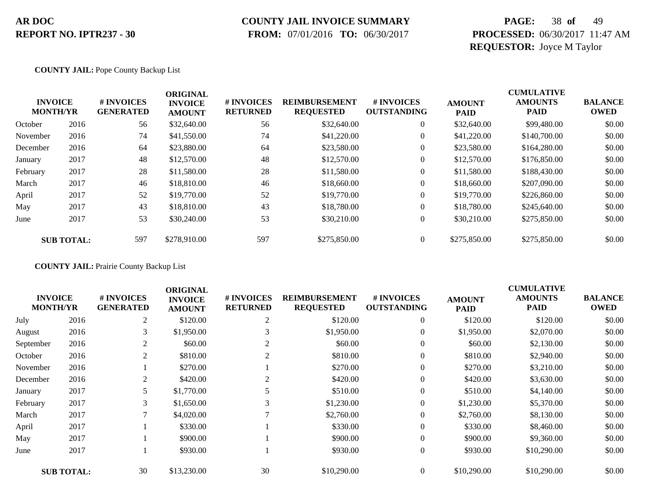### **COUNTY JAIL INVOICE SUMMARY**

 **FROM:** 07/01/2016 **TO:** 06/30/2017

# **PAGE:** 38 **of** 49 **PROCESSED:** 06/30/2017 11:47 AM **REQUESTOR:** Joyce M Taylor

#### **COUNTY JAIL:** Pope County Backup List

|          | <b>INVOICE</b><br><b>MONTH/YR</b> | <b>#INVOICES</b><br><b>GENERATED</b> | <b>ORIGINAL</b><br><b>INVOICE</b><br><b>AMOUNT</b> | # INVOICES<br><b>RETURNED</b> | <b>REIMBURSEMENT</b><br><b>REQUESTED</b> | # INVOICES<br><b>OUTSTANDING</b> | <b>AMOUNT</b><br><b>PAID</b> | <b>CUMULATIVE</b><br><b>AMOUNTS</b><br><b>PAID</b> | <b>BALANCE</b><br><b>OWED</b> |
|----------|-----------------------------------|--------------------------------------|----------------------------------------------------|-------------------------------|------------------------------------------|----------------------------------|------------------------------|----------------------------------------------------|-------------------------------|
| October  | 2016                              | 56                                   | \$32,640.00                                        | 56                            | \$32,640.00                              | $\overline{0}$                   | \$32,640.00                  | \$99,480.00                                        | \$0.00                        |
| November | 2016                              | 74                                   | \$41,550.00                                        | 74                            | \$41,220.00                              | $\overline{0}$                   | \$41,220.00                  | \$140,700.00                                       | \$0.00                        |
| December | 2016                              | 64                                   | \$23,880.00                                        | 64                            | \$23,580.00                              | 0                                | \$23,580.00                  | \$164,280.00                                       | \$0.00                        |
| January  | 2017                              | 48                                   | \$12,570.00                                        | 48                            | \$12,570.00                              | 0                                | \$12,570.00                  | \$176,850.00                                       | \$0.00                        |
| February | 2017                              | 28                                   | \$11,580.00                                        | 28                            | \$11,580.00                              | $\boldsymbol{0}$                 | \$11,580.00                  | \$188,430.00                                       | \$0.00                        |
| March    | 2017                              | 46                                   | \$18,810.00                                        | 46                            | \$18,660.00                              | $\overline{0}$                   | \$18,660.00                  | \$207,090.00                                       | \$0.00                        |
| April    | 2017                              | 52                                   | \$19,770.00                                        | 52                            | \$19,770.00                              | $\overline{0}$                   | \$19,770.00                  | \$226,860.00                                       | \$0.00                        |
| May      | 2017                              | 43                                   | \$18,810.00                                        | 43                            | \$18,780.00                              | $\overline{0}$                   | \$18,780.00                  | \$245,640.00                                       | \$0.00                        |
| June     | 2017                              | 53                                   | \$30,240.00                                        | 53                            | \$30,210.00                              | $\boldsymbol{0}$                 | \$30,210.00                  | \$275,850.00                                       | \$0.00                        |
|          | <b>SUB TOTAL:</b>                 | 597                                  | \$278,910.00                                       | 597                           | \$275,850.00                             | $\overline{0}$                   | \$275,850.00                 | \$275,850.00                                       | \$0.00                        |

**COUNTY JAIL:** Prairie County Backup List

| <b>INVOICE</b><br><b>MONTH/YR</b> |                   | # INVOICES<br><b>GENERATED</b> | <b>ORIGINAL</b><br><b>INVOICE</b><br><b>AMOUNT</b> | # INVOICES<br><b>RETURNED</b> | <b>REIMBURSEMENT</b><br><b>REQUESTED</b> | # INVOICES<br><b>OUTSTANDING</b> | <b>AMOUNT</b><br><b>PAID</b> | <b>CUMULATIVE</b><br><b>AMOUNTS</b><br><b>PAID</b> | <b>BALANCE</b><br><b>OWED</b> |
|-----------------------------------|-------------------|--------------------------------|----------------------------------------------------|-------------------------------|------------------------------------------|----------------------------------|------------------------------|----------------------------------------------------|-------------------------------|
| July                              | 2016              | 2                              | \$120.00                                           | $\overline{2}$                | \$120.00                                 | $\overline{0}$                   | \$120.00                     | \$120.00                                           | \$0.00                        |
| August                            | 2016              | 3                              | \$1,950.00                                         |                               | \$1,950.00                               | $\overline{0}$                   | \$1,950.00                   | \$2,070.00                                         | \$0.00                        |
| September                         | 2016              | 2                              | \$60.00                                            | 2                             | \$60.00                                  | $\overline{0}$                   | \$60.00                      | \$2,130.00                                         | \$0.00                        |
| October                           | 2016              | 2                              | \$810.00                                           | $\overline{2}$                | \$810.00                                 | $\boldsymbol{0}$                 | \$810.00                     | \$2,940.00                                         | \$0.00                        |
| November                          | 2016              |                                | \$270.00                                           |                               | \$270.00                                 | $\overline{0}$                   | \$270.00                     | \$3,210.00                                         | \$0.00                        |
| December                          | 2016              | 2                              | \$420.00                                           | 2                             | \$420.00                                 | $\overline{0}$                   | \$420.00                     | \$3,630.00                                         | \$0.00                        |
| January                           | 2017              | 5                              | \$1,770.00                                         |                               | \$510.00                                 | $\overline{0}$                   | \$510.00                     | \$4,140.00                                         | \$0.00                        |
| February                          | 2017              | 3                              | \$1,650.00                                         | 3                             | \$1,230.00                               | $\boldsymbol{0}$                 | \$1,230.00                   | \$5,370.00                                         | \$0.00                        |
| March                             | 2017              | 7                              | \$4,020.00                                         |                               | \$2,760.00                               | $\overline{0}$                   | \$2,760.00                   | \$8,130.00                                         | \$0.00                        |
| April                             | 2017              |                                | \$330.00                                           |                               | \$330.00                                 | $\overline{0}$                   | \$330.00                     | \$8,460.00                                         | \$0.00                        |
| May                               | 2017              |                                | \$900.00                                           |                               | \$900.00                                 | $\theta$                         | \$900.00                     | \$9,360.00                                         | \$0.00                        |
| June                              | 2017              |                                | \$930.00                                           |                               | \$930.00                                 | $\overline{0}$                   | \$930.00                     | \$10,290.00                                        | \$0.00                        |
|                                   | <b>SUB TOTAL:</b> | 30                             | \$13,230.00                                        | 30                            | \$10,290.00                              | $\overline{0}$                   | \$10,290.00                  | \$10,290.00                                        | \$0.00                        |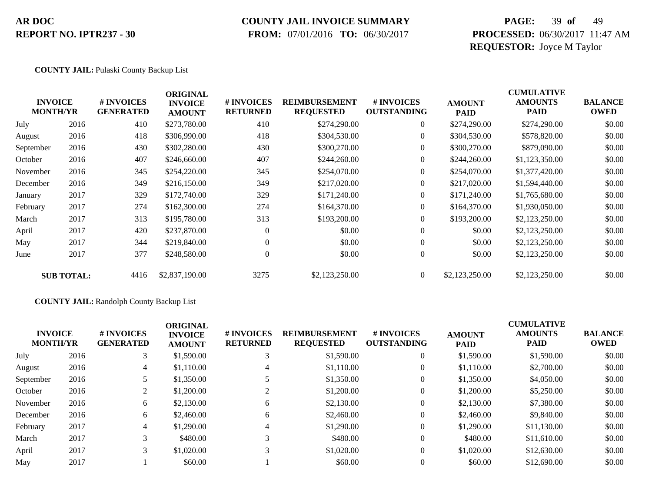### **COUNTY JAIL INVOICE SUMMARY**

 **FROM:** 07/01/2016 **TO:** 06/30/2017

# **PAGE:** 39 **of** 49 **PROCESSED:** 06/30/2017 11:47 AM **REQUESTOR:** Joyce M Taylor

#### **COUNTY JAIL:** Pulaski County Backup List

|           | <b>INVOICE</b><br><b>MONTH/YR</b> | # INVOICES<br><b>GENERATED</b> | <b>ORIGINAL</b><br><b>INVOICE</b><br><b>AMOUNT</b> | # INVOICES<br><b>RETURNED</b> | <b>REIMBURSEMENT</b><br><b>REQUESTED</b> | # INVOICES<br><b>OUTSTANDING</b> | <b>AMOUNT</b><br><b>PAID</b> | <b>CUMULATIVE</b><br><b>AMOUNTS</b><br><b>PAID</b> | <b>BALANCE</b><br><b>OWED</b> |
|-----------|-----------------------------------|--------------------------------|----------------------------------------------------|-------------------------------|------------------------------------------|----------------------------------|------------------------------|----------------------------------------------------|-------------------------------|
| July      | 2016                              | 410                            | \$273,780.00                                       | 410                           | \$274,290.00                             | $\overline{0}$                   | \$274,290.00                 | \$274,290.00                                       | \$0.00                        |
| August    | 2016                              | 418                            | \$306,990.00                                       | 418                           | \$304,530.00                             | $\overline{0}$                   | \$304,530.00                 | \$578,820.00                                       | \$0.00                        |
| September | 2016                              | 430                            | \$302,280.00                                       | 430                           | \$300,270.00                             | $\overline{0}$                   | \$300,270.00                 | \$879,090.00                                       | \$0.00                        |
| October   | 2016                              | 407                            | \$246,660.00                                       | 407                           | \$244,260.00                             | $\overline{0}$                   | \$244,260.00                 | \$1,123,350.00                                     | \$0.00                        |
| November  | 2016                              | 345                            | \$254,220.00                                       | 345                           | \$254,070.00                             | $\overline{0}$                   | \$254,070.00                 | \$1,377,420.00                                     | \$0.00                        |
| December  | 2016                              | 349                            | \$216,150.00                                       | 349                           | \$217,020.00                             | $\Omega$                         | \$217,020.00                 | \$1,594,440.00                                     | \$0.00                        |
| January   | 2017                              | 329                            | \$172,740.00                                       | 329                           | \$171,240.00                             | $\Omega$                         | \$171,240.00                 | \$1,765,680.00                                     | \$0.00                        |
| February  | 2017                              | 274                            | \$162,300.00                                       | 274                           | \$164,370.00                             | $\overline{0}$                   | \$164,370.00                 | \$1,930,050.00                                     | \$0.00                        |
| March     | 2017                              | 313                            | \$195,780.00                                       | 313                           | \$193,200.00                             | $\overline{0}$                   | \$193,200.00                 | \$2,123,250.00                                     | \$0.00                        |
| April     | 2017                              | 420                            | \$237,870.00                                       | $\Omega$                      | \$0.00                                   | $\boldsymbol{0}$                 | \$0.00                       | \$2,123,250.00                                     | \$0.00                        |
| May       | 2017                              | 344                            | \$219,840.00                                       | $\Omega$                      | \$0.00                                   | $\boldsymbol{0}$                 | \$0.00                       | \$2,123,250.00                                     | \$0.00                        |
| June      | 2017                              | 377                            | \$248,580.00                                       | $\overline{0}$                | \$0.00                                   | $\boldsymbol{0}$                 | \$0.00                       | \$2,123,250.00                                     | \$0.00                        |
|           | <b>SUB TOTAL:</b>                 | 4416                           | \$2,837,190.00                                     | 3275                          | \$2,123,250.00                           | $\overline{0}$                   | \$2,123,250.00               | \$2,123,250.00                                     | \$0.00                        |

#### **COUNTY JAIL:** Randolph County Backup List

| <b>INVOICE</b><br><b>MONTH/YR</b> |      | # INVOICES<br><b>GENERATED</b> | <b>ORIGINAL</b><br><b>INVOICE</b><br><b>AMOUNT</b> | # INVOICES<br><b>RETURNED</b> | <b>REIMBURSEMENT</b><br><b>REQUESTED</b> | # INVOICES<br><b>OUTSTANDING</b> | <b>AMOUNT</b><br><b>PAID</b> | <b>CUMULATIVE</b><br><b>AMOUNTS</b><br><b>PAID</b> | <b>BALANCE</b><br><b>OWED</b> |
|-----------------------------------|------|--------------------------------|----------------------------------------------------|-------------------------------|------------------------------------------|----------------------------------|------------------------------|----------------------------------------------------|-------------------------------|
| July                              | 2016 | 3                              | \$1,590.00                                         | 3                             | \$1,590.00                               | $\overline{0}$                   | \$1,590.00                   | \$1,590.00                                         | \$0.00                        |
| August                            | 2016 | $\overline{4}$                 | \$1,110.00                                         | 4                             | \$1,110.00                               | $\overline{0}$                   | \$1,110.00                   | \$2,700.00                                         | \$0.00                        |
| September                         | 2016 |                                | \$1,350.00                                         |                               | \$1,350.00                               | 0                                | \$1,350.00                   | \$4,050.00                                         | \$0.00                        |
| October                           | 2016 | $\overline{2}$                 | \$1,200.00                                         |                               | \$1,200.00                               | $\overline{0}$                   | \$1,200.00                   | \$5,250.00                                         | \$0.00                        |
| November                          | 2016 | 6                              | \$2,130.00                                         | 6                             | \$2,130.00                               | $\overline{0}$                   | \$2,130.00                   | \$7,380.00                                         | \$0.00                        |
| December                          | 2016 | 6                              | \$2,460.00                                         | 6                             | \$2,460.00                               | $\overline{0}$                   | \$2,460.00                   | \$9,840.00                                         | \$0.00                        |
| February                          | 2017 | $\overline{4}$                 | \$1,290.00                                         | 4                             | \$1,290.00                               | $\overline{0}$                   | \$1,290.00                   | \$11,130.00                                        | \$0.00                        |
| March                             | 2017 | 3                              | \$480.00                                           | 3                             | \$480.00                                 | $\overline{0}$                   | \$480.00                     | \$11,610.00                                        | \$0.00                        |
| April                             | 2017 | 3                              | \$1,020.00                                         | 3                             | \$1,020.00                               | $\overline{0}$                   | \$1,020.00                   | \$12,630.00                                        | \$0.00                        |
| May                               | 2017 |                                | \$60.00                                            |                               | \$60.00                                  | $\overline{0}$                   | \$60.00                      | \$12,690.00                                        | \$0.00                        |
|                                   |      |                                |                                                    |                               |                                          |                                  |                              |                                                    |                               |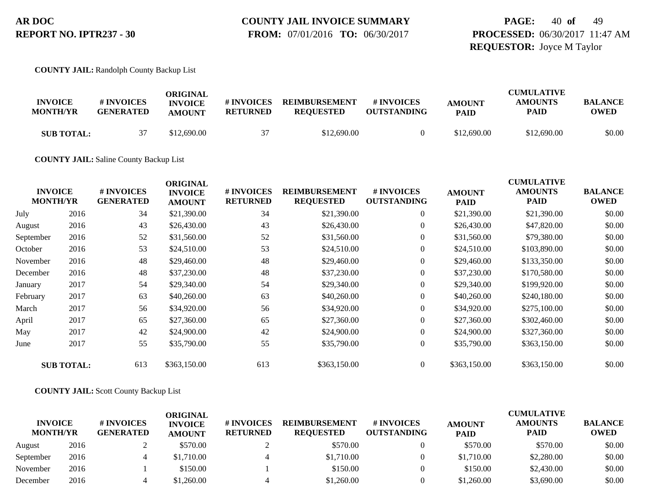# **COUNTY JAIL INVOICE SUMMARY**

 **FROM:** 07/01/2016 **TO:** 06/30/2017

# **PAGE:** 40 **of** 49 **PROCESSED:** 06/30/2017 11:47 AM **REQUESTOR:** Joyce M Taylor

**COUNTY JAIL:** Randolph County Backup List

| <b>INVOICE</b><br><b>MONTH/YR</b> | # INVOICES<br><b>GENERATED</b> | ORIGINAL<br><b>INVOICE</b><br><b>AMOUNT</b> | # INVOICES<br>RETURNED | <b>REIMBURSEMENT</b><br><b>REQUESTED</b> | # INVOICES<br><b>OUTSTANDING</b> | <b>AMOUNT</b><br><b>PAID</b> | <b>CUMULATIVE</b><br><b>AMOUNTS</b><br><b>PAID</b> | <b>BALANCE</b><br>OWED |
|-----------------------------------|--------------------------------|---------------------------------------------|------------------------|------------------------------------------|----------------------------------|------------------------------|----------------------------------------------------|------------------------|
| <b>SUB TOTAL:</b>                 |                                | \$12,690.00                                 |                        | \$12,690.00                              |                                  | \$12,690.00                  | \$12,690.00                                        | \$0.00                 |

**COUNTY JAIL:** Saline County Backup List

|           | <b>INVOICE</b><br><b>MONTH/YR</b> | # INVOICES<br><b>GENERATED</b> | <b>ORIGINAL</b><br><b>INVOICE</b><br><b>AMOUNT</b> | # INVOICES<br><b>RETURNED</b> | <b>REIMBURSEMENT</b><br><b>REQUESTED</b> | # INVOICES<br><b>OUTSTANDING</b> | <b>AMOUNT</b><br><b>PAID</b> | <b>CUMULATIVE</b><br><b>AMOUNTS</b><br><b>PAID</b> | <b>BALANCE</b><br><b>OWED</b> |
|-----------|-----------------------------------|--------------------------------|----------------------------------------------------|-------------------------------|------------------------------------------|----------------------------------|------------------------------|----------------------------------------------------|-------------------------------|
| July      | 2016                              | 34                             | \$21,390.00                                        | 34                            | \$21,390.00                              | $\overline{0}$                   | \$21,390.00                  | \$21,390.00                                        | \$0.00                        |
| August    | 2016                              | 43                             | \$26,430.00                                        | 43                            | \$26,430.00                              | $\overline{0}$                   | \$26,430.00                  | \$47,820.00                                        | \$0.00                        |
| September | 2016                              | 52                             | \$31,560.00                                        | 52                            | \$31,560.00                              | $\overline{0}$                   | \$31,560.00                  | \$79,380.00                                        | \$0.00                        |
| October   | 2016                              | 53                             | \$24,510.00                                        | 53                            | \$24,510.00                              | $\overline{0}$                   | \$24,510.00                  | \$103,890.00                                       | \$0.00                        |
| November  | 2016                              | 48                             | \$29,460.00                                        | 48                            | \$29,460.00                              | $\boldsymbol{0}$                 | \$29,460.00                  | \$133,350.00                                       | \$0.00                        |
| December  | 2016                              | 48                             | \$37,230.00                                        | 48                            | \$37,230.00                              | $\overline{0}$                   | \$37,230.00                  | \$170,580.00                                       | \$0.00                        |
| January   | 2017                              | 54                             | \$29,340.00                                        | 54                            | \$29,340.00                              | $\overline{0}$                   | \$29,340.00                  | \$199,920.00                                       | \$0.00                        |
| February  | 2017                              | 63                             | \$40,260.00                                        | 63                            | \$40,260.00                              | $\overline{0}$                   | \$40,260.00                  | \$240,180.00                                       | \$0.00                        |
| March     | 2017                              | 56                             | \$34,920.00                                        | 56                            | \$34,920.00                              | $\overline{0}$                   | \$34,920.00                  | \$275,100.00                                       | \$0.00                        |
| April     | 2017                              | 65                             | \$27,360.00                                        | 65                            | \$27,360.00                              | $\overline{0}$                   | \$27,360.00                  | \$302,460.00                                       | \$0.00                        |
| May       | 2017                              | 42                             | \$24,900.00                                        | 42                            | \$24,900.00                              | $\overline{0}$                   | \$24,900.00                  | \$327,360.00                                       | \$0.00                        |
| June      | 2017                              | 55                             | \$35,790.00                                        | 55                            | \$35,790.00                              | $\overline{0}$                   | \$35,790.00                  | \$363,150.00                                       | \$0.00                        |
|           | <b>SUB TOTAL:</b>                 | 613                            | \$363,150.00                                       | 613                           | \$363,150.00                             | $\overline{0}$                   | \$363,150.00                 | \$363,150.00                                       | \$0.00                        |

#### **COUNTY JAIL:** Scott County Backup List

| <b>INVOICE</b><br><b>MONTH/YR</b> |      | # INVOICES<br><b>GENERATED</b> | ORIGINAL<br><b>INVOICE</b><br><b>AMOUNT</b> | # INVOICES<br><b>RETURNED</b> | <b>REIMBURSEMENT</b><br><b>REQUESTED</b> | # INVOICES<br><b>OUTSTANDING</b> | <b>AMOUNT</b><br><b>PAID</b> | <b>CUMULATIVE</b><br><b>AMOUNTS</b><br><b>PAID</b> | <b>BALANCE</b><br><b>OWED</b> |
|-----------------------------------|------|--------------------------------|---------------------------------------------|-------------------------------|------------------------------------------|----------------------------------|------------------------------|----------------------------------------------------|-------------------------------|
| August                            | 2016 |                                | \$570.00                                    |                               | \$570.00                                 |                                  | \$570.00                     | \$570.00                                           | \$0.00                        |
| September                         | 2016 |                                | \$1,710.00                                  |                               | \$1,710.00                               |                                  | \$1,710.00                   | \$2,280.00                                         | \$0.00                        |
| November                          | 2016 |                                | \$150.00                                    |                               | \$150.00                                 |                                  | \$150.00                     | \$2,430.00                                         | \$0.00                        |
| December                          | 2016 |                                | \$1,260.00                                  |                               | \$1,260.00                               |                                  | \$1,260.00                   | \$3,690.00                                         | \$0.00                        |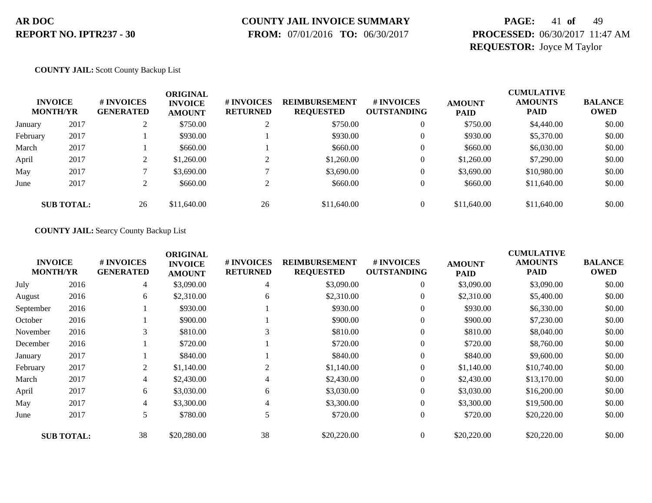### **COUNTY JAIL INVOICE SUMMARY**

 **FROM:** 07/01/2016 **TO:** 06/30/2017

# **PAGE:** 41 **of** 49 **PROCESSED:** 06/30/2017 11:47 AM **REQUESTOR:** Joyce M Taylor

**COUNTY JAIL:** Scott County Backup List

|          | <b>INVOICE</b><br><b>MONTH/YR</b> | # INVOICES<br><b>GENERATED</b> | <b>ORIGINAL</b><br><b>INVOICE</b><br><b>AMOUNT</b> | <b># INVOICES</b><br><b>RETURNED</b> | <b>REIMBURSEMENT</b><br><b>REQUESTED</b> | # INVOICES<br><b>OUTSTANDING</b> | <b>AMOUNT</b><br><b>PAID</b> | <b>CUMULATIVE</b><br><b>AMOUNTS</b><br><b>PAID</b> | <b>BALANCE</b><br><b>OWED</b> |
|----------|-----------------------------------|--------------------------------|----------------------------------------------------|--------------------------------------|------------------------------------------|----------------------------------|------------------------------|----------------------------------------------------|-------------------------------|
| January  | 2017                              | ∠                              | \$750.00                                           | $\overline{ }$                       | \$750.00                                 |                                  | \$750.00                     | \$4,440.00                                         | \$0.00                        |
| February | 2017                              |                                | \$930.00                                           |                                      | \$930.00                                 |                                  | \$930.00                     | \$5,370.00                                         | \$0.00                        |
| March    | 2017                              |                                | \$660.00                                           |                                      | \$660.00                                 |                                  | \$660.00                     | \$6,030.00                                         | \$0.00                        |
| April    | 2017                              | ◠                              | \$1,260.00                                         |                                      | \$1,260.00                               |                                  | \$1,260.00                   | \$7,290.00                                         | \$0.00                        |
| May      | 2017                              |                                | \$3,690.00                                         |                                      | \$3,690.00                               |                                  | \$3,690.00                   | \$10,980.00                                        | \$0.00                        |
| June     | 2017                              | ◠<br>∠                         | \$660.00                                           |                                      | \$660.00                                 |                                  | \$660.00                     | \$11,640.00                                        | \$0.00                        |
|          | <b>SUB TOTAL:</b>                 | 26                             | \$11,640.00                                        | 26                                   | \$11,640.00                              |                                  | \$11,640.00                  | \$11,640.00                                        | \$0.00                        |

**COUNTY JAIL:** Searcy County Backup List

|           | <b>INVOICE</b><br><b>MONTH/YR</b> | # INVOICES<br><b>GENERATED</b> | <b>ORIGINAL</b><br><b>INVOICE</b><br><b>AMOUNT</b> | # INVOICES<br><b>RETURNED</b> | <b>REIMBURSEMENT</b><br><b>REQUESTED</b> | # INVOICES<br><b>OUTSTANDING</b> | <b>AMOUNT</b><br><b>PAID</b> | <b>CUMULATIVE</b><br><b>AMOUNTS</b><br><b>PAID</b> | <b>BALANCE</b><br><b>OWED</b> |
|-----------|-----------------------------------|--------------------------------|----------------------------------------------------|-------------------------------|------------------------------------------|----------------------------------|------------------------------|----------------------------------------------------|-------------------------------|
| July      | 2016                              | 4                              | \$3,090.00                                         | 4                             | \$3,090.00                               | $\overline{0}$                   | \$3,090.00                   | \$3,090.00                                         | \$0.00                        |
| August    | 2016                              | 6                              | \$2,310.00                                         | 6                             | \$2,310.00                               | $\overline{0}$                   | \$2,310.00                   | \$5,400.00                                         | \$0.00                        |
| September | 2016                              |                                | \$930.00                                           |                               | \$930.00                                 | $\overline{0}$                   | \$930.00                     | \$6,330.00                                         | \$0.00                        |
| October   | 2016                              |                                | \$900.00                                           |                               | \$900.00                                 | $\overline{0}$                   | \$900.00                     | \$7,230.00                                         | \$0.00                        |
| November  | 2016                              | 3                              | \$810.00                                           |                               | \$810.00                                 | $\overline{0}$                   | \$810.00                     | \$8,040.00                                         | \$0.00                        |
| December  | 2016                              |                                | \$720.00                                           |                               | \$720.00                                 | $\overline{0}$                   | \$720.00                     | \$8,760.00                                         | \$0.00                        |
| January   | 2017                              |                                | \$840.00                                           |                               | \$840.00                                 | $\overline{0}$                   | \$840.00                     | \$9,600.00                                         | \$0.00                        |
| February  | 2017                              | 2                              | \$1,140.00                                         | 2                             | \$1,140.00                               | $\overline{0}$                   | \$1,140.00                   | \$10,740.00                                        | \$0.00                        |
| March     | 2017                              | 4                              | \$2,430.00                                         | 4                             | \$2,430.00                               | $\mathbf{0}$                     | \$2,430.00                   | \$13,170.00                                        | \$0.00                        |
| April     | 2017                              | 6                              | \$3,030.00                                         | 6                             | \$3,030.00                               | $\overline{0}$                   | \$3,030.00                   | \$16,200.00                                        | \$0.00                        |
| May       | 2017                              | 4                              | \$3,300.00                                         | 4                             | \$3,300.00                               | $\overline{0}$                   | \$3,300.00                   | \$19,500.00                                        | \$0.00                        |
| June      | 2017                              | 5                              | \$780.00                                           | 5                             | \$720.00                                 | $\overline{0}$                   | \$720.00                     | \$20,220.00                                        | \$0.00                        |
|           | <b>SUB TOTAL:</b>                 | 38                             | \$20,280.00                                        | 38                            | \$20,220.00                              | $\Omega$                         | \$20,220.00                  | \$20,220.00                                        | \$0.00                        |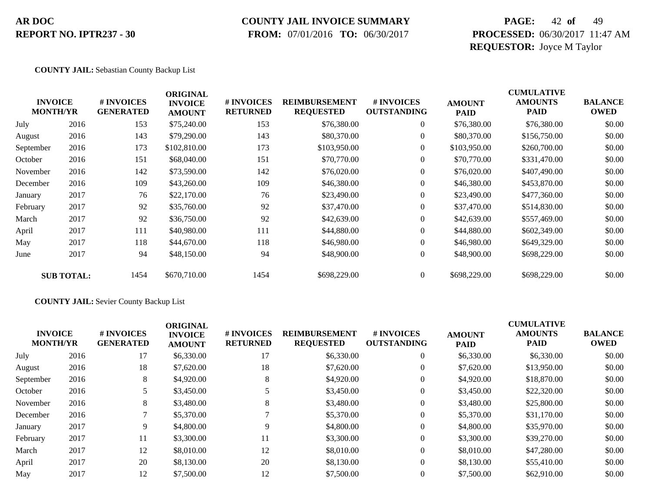### **COUNTY JAIL INVOICE SUMMARY**

 **FROM:** 07/01/2016 **TO:** 06/30/2017

# **PAGE:** 42 **of** 49 **PROCESSED:** 06/30/2017 11:47 AM **REQUESTOR:** Joyce M Taylor

#### **COUNTY JAIL:** Sebastian County Backup List

|           | <b>INVOICE</b><br><b>MONTH/YR</b> | # INVOICES<br><b>GENERATED</b> | <b>ORIGINAL</b><br><b>INVOICE</b><br><b>AMOUNT</b> | # INVOICES<br><b>RETURNED</b> | <b>REIMBURSEMENT</b><br><b>REQUESTED</b> | # INVOICES<br><b>OUTSTANDING</b> | <b>AMOUNT</b><br><b>PAID</b> | <b>CUMULATIVE</b><br><b>AMOUNTS</b><br>PAID | <b>BALANCE</b><br><b>OWED</b> |
|-----------|-----------------------------------|--------------------------------|----------------------------------------------------|-------------------------------|------------------------------------------|----------------------------------|------------------------------|---------------------------------------------|-------------------------------|
| July      | 2016                              | 153                            | \$75,240.00                                        | 153                           | \$76,380.00                              | $\overline{0}$                   | \$76,380.00                  | \$76,380.00                                 | \$0.00                        |
| August    | 2016                              | 143                            | \$79,290.00                                        | 143                           | \$80,370.00                              | $\overline{0}$                   | \$80,370.00                  | \$156,750.00                                | \$0.00                        |
| September | 2016                              | 173                            | \$102,810.00                                       | 173                           | \$103,950.00                             | $\overline{0}$                   | \$103,950.00                 | \$260,700.00                                | \$0.00                        |
| October   | 2016                              | 151                            | \$68,040.00                                        | 151                           | \$70,770.00                              | $\overline{0}$                   | \$70,770.00                  | \$331,470.00                                | \$0.00                        |
| November  | 2016                              | 142                            | \$73,590.00                                        | 142                           | \$76,020.00                              | $\overline{0}$                   | \$76,020.00                  | \$407,490.00                                | \$0.00                        |
| December  | 2016                              | 109                            | \$43,260.00                                        | 109                           | \$46,380.00                              | $\overline{0}$                   | \$46,380.00                  | \$453,870.00                                | \$0.00                        |
| January   | 2017                              | 76                             | \$22,170.00                                        | 76                            | \$23,490.00                              | $\overline{0}$                   | \$23,490.00                  | \$477,360.00                                | \$0.00                        |
| February  | 2017                              | 92                             | \$35,760.00                                        | 92                            | \$37,470.00                              | $\overline{0}$                   | \$37,470.00                  | \$514,830.00                                | \$0.00                        |
| March     | 2017                              | 92                             | \$36,750.00                                        | 92                            | \$42,639.00                              | $\overline{0}$                   | \$42,639.00                  | \$557,469.00                                | \$0.00                        |
| April     | 2017                              | 111                            | \$40,980.00                                        | 111                           | \$44,880.00                              | $\overline{0}$                   | \$44,880.00                  | \$602,349.00                                | \$0.00                        |
| May       | 2017                              | 118                            | \$44,670.00                                        | 118                           | \$46,980.00                              | $\overline{0}$                   | \$46,980.00                  | \$649,329.00                                | \$0.00                        |
| June      | 2017                              | 94                             | \$48,150.00                                        | 94                            | \$48,900.00                              | $\overline{0}$                   | \$48,900.00                  | \$698,229.00                                | \$0.00                        |
|           | <b>SUB TOTAL:</b>                 | 1454                           | \$670,710.00                                       | 1454                          | \$698,229.00                             | $\overline{0}$                   | \$698,229.00                 | \$698,229.00                                | \$0.00                        |

#### **COUNTY JAIL:** Sevier County Backup List

|           | <b>INVOICE</b><br><b>MONTH/YR</b> | <b>#INVOICES</b><br><b>GENERATED</b> | <b>ORIGINAL</b><br><b>INVOICE</b><br><b>AMOUNT</b> | <b># INVOICES</b><br><b>RETURNED</b> | <b>REIMBURSEMENT</b><br><b>REQUESTED</b> | # INVOICES<br><b>OUTSTANDING</b> | <b>AMOUNT</b><br><b>PAID</b> | <b>CUMULATIVE</b><br><b>AMOUNTS</b><br><b>PAID</b> | <b>BALANCE</b><br><b>OWED</b> |
|-----------|-----------------------------------|--------------------------------------|----------------------------------------------------|--------------------------------------|------------------------------------------|----------------------------------|------------------------------|----------------------------------------------------|-------------------------------|
| July      | 2016                              | 17                                   | \$6,330.00                                         | 17                                   | \$6,330.00                               | $\theta$                         | \$6,330.00                   | \$6,330.00                                         | \$0.00                        |
| August    | 2016                              | 18                                   | \$7,620.00                                         | 18                                   | \$7,620.00                               | $\theta$                         | \$7,620.00                   | \$13,950.00                                        | \$0.00                        |
| September | 2016                              | 8                                    | \$4,920.00                                         | 8                                    | \$4,920.00                               | $\theta$                         | \$4,920.00                   | \$18,870.00                                        | \$0.00                        |
| October   | 2016                              | 5                                    | \$3,450.00                                         |                                      | \$3,450.00                               | $\theta$                         | \$3,450.00                   | \$22,320.00                                        | \$0.00                        |
| November  | 2016                              | 8                                    | \$3,480.00                                         | 8                                    | \$3,480.00                               | $\theta$                         | \$3,480.00                   | \$25,800.00                                        | \$0.00                        |
| December  | 2016                              |                                      | \$5,370.00                                         |                                      | \$5,370.00                               | $\theta$                         | \$5,370.00                   | \$31,170.00                                        | \$0.00                        |
| January   | 2017                              | 9                                    | \$4,800.00                                         | 9                                    | \$4,800.00                               | $\theta$                         | \$4,800.00                   | \$35,970.00                                        | \$0.00                        |
| February  | 2017                              | 11                                   | \$3,300.00                                         | 11                                   | \$3,300.00                               | $\mathbf{0}$                     | \$3,300.00                   | \$39,270.00                                        | \$0.00                        |
| March     | 2017                              | 12                                   | \$8,010.00                                         | 12                                   | \$8,010.00                               | $\theta$                         | \$8,010.00                   | \$47,280.00                                        | \$0.00                        |
| April     | 2017                              | 20                                   | \$8,130.00                                         | 20                                   | \$8,130.00                               | $\Omega$                         | \$8,130.00                   | \$55,410.00                                        | \$0.00                        |
| May       | 2017                              | 12                                   | \$7,500.00                                         | 12                                   | \$7,500.00                               | $\theta$                         | \$7,500.00                   | \$62,910.00                                        | \$0.00                        |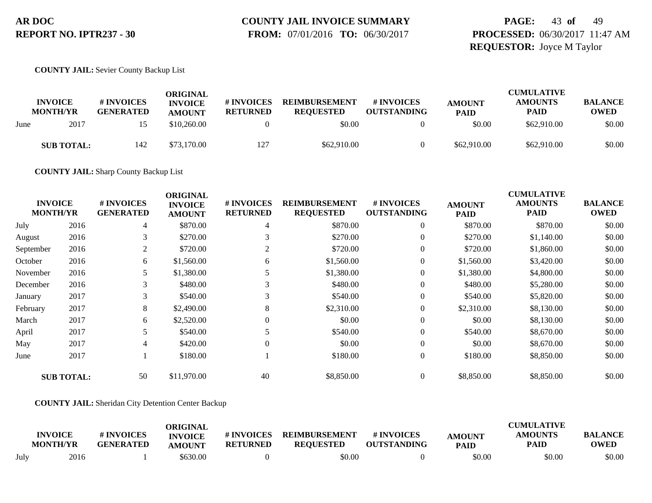# **COUNTY JAIL INVOICE SUMMARY**

 **FROM:** 07/01/2016 **TO:** 06/30/2017

### **PAGE:** 43 **of** 49 **PROCESSED:** 06/30/2017 11:47 AM **REQUESTOR:** Joyce M Taylor

#### **COUNTY JAIL:** Sevier County Backup List

|      | <b>INVOICE</b><br><b>MONTH/YR</b> | # INVOICES<br><b>GENERATED</b> | ORIGINAL<br><b>INVOICE</b><br><b>AMOUNT</b> | # INVOICES<br><b>RETURNED</b> | <b>REIMBURSEMENT</b><br><b>REOUESTED</b> | # INVOICES<br><b>OUTSTANDING</b> | <b>AMOUNT</b><br><b>PAID</b> | <b>CUMULATIVE</b><br><b>AMOUNTS</b><br><b>PAID</b> | <b>BALANCE</b><br><b>OWED</b> |
|------|-----------------------------------|--------------------------------|---------------------------------------------|-------------------------------|------------------------------------------|----------------------------------|------------------------------|----------------------------------------------------|-------------------------------|
| June | 2017                              |                                | \$10,260.00                                 |                               | \$0.00                                   |                                  | \$0.00                       | \$62,910.00                                        | \$0.00                        |
|      | <b>SUB TOTAL:</b>                 | 142                            | \$73,170.00                                 | 127                           | \$62,910.00                              |                                  | \$62,910.00                  | \$62,910.00                                        | \$0.00                        |

**COUNTY JAIL:** Sharp County Backup List

| <b>INVOICE</b><br><b>MONTH/YR</b> |                   | # INVOICES<br><b>GENERATED</b> | <b>ORIGINAL</b><br><b>INVOICE</b><br><b>AMOUNT</b> | # INVOICES<br><b>RETURNED</b> | <b>REIMBURSEMENT</b><br><b>REQUESTED</b> | # INVOICES<br><b>OUTSTANDING</b> | <b>AMOUNT</b><br><b>PAID</b> | <b>CUMULATIVE</b><br><b>AMOUNTS</b><br><b>PAID</b> | <b>BALANCE</b><br><b>OWED</b> |
|-----------------------------------|-------------------|--------------------------------|----------------------------------------------------|-------------------------------|------------------------------------------|----------------------------------|------------------------------|----------------------------------------------------|-------------------------------|
| July                              | 2016              | 4                              | \$870.00                                           | 4                             | \$870.00                                 | $\overline{0}$                   | \$870.00                     | \$870.00                                           | \$0.00                        |
| August                            | 2016              | 3                              | \$270.00                                           |                               | \$270.00                                 | $\overline{0}$                   | \$270.00                     | \$1,140.00                                         | \$0.00                        |
| September                         | 2016              | 2                              | \$720.00                                           | 2                             | \$720.00                                 | $\overline{0}$                   | \$720.00                     | \$1,860.00                                         | \$0.00                        |
| October                           | 2016              | 6                              | \$1,560.00                                         | 6                             | \$1,560.00                               | $\boldsymbol{0}$                 | \$1,560.00                   | \$3,420.00                                         | \$0.00                        |
| November                          | 2016              |                                | \$1,380.00                                         |                               | \$1,380.00                               | $\overline{0}$                   | \$1,380.00                   | \$4,800.00                                         | \$0.00                        |
| December                          | 2016              | 3                              | \$480.00                                           | 3                             | \$480.00                                 | $\overline{0}$                   | \$480.00                     | \$5,280.00                                         | \$0.00                        |
| January                           | 2017              | 3                              | \$540.00                                           | 3                             | \$540.00                                 | $\boldsymbol{0}$                 | \$540.00                     | \$5,820.00                                         | \$0.00                        |
| February                          | 2017              | 8                              | \$2,490.00                                         | 8                             | \$2,310.00                               | $\boldsymbol{0}$                 | \$2,310.00                   | \$8,130.00                                         | \$0.00                        |
| March                             | 2017              | 6                              | \$2,520.00                                         |                               | \$0.00                                   | $\mathbf{0}$                     | \$0.00                       | \$8,130.00                                         | \$0.00                        |
| April                             | 2017              | 5                              | \$540.00                                           |                               | \$540.00                                 | $\boldsymbol{0}$                 | \$540.00                     | \$8,670.00                                         | \$0.00                        |
| May                               | 2017              | 4                              | \$420.00                                           | $\Omega$                      | \$0.00                                   | $\boldsymbol{0}$                 | \$0.00                       | \$8,670.00                                         | \$0.00                        |
| June                              | 2017              |                                | \$180.00                                           |                               | \$180.00                                 | $\boldsymbol{0}$                 | \$180.00                     | \$8,850.00                                         | \$0.00                        |
|                                   | <b>SUB TOTAL:</b> | 50                             | \$11,970.00                                        | 40                            | \$8,850.00                               | $\overline{0}$                   | \$8,850.00                   | \$8,850.00                                         | \$0.00                        |

#### **COUNTY JAIL:** Sheridan City Detention Center Backup

|      | <b>INVOICE</b><br><b>MONTH/YR</b> | # INVOICES<br><b>GENERATED</b> | ORIGINAL<br><b>INVOICE</b><br><b>AMOUNT</b> | # INVOICES<br><b>RETURNED</b> | <b>REIMBURSEMENT</b><br><b>REOUESTED</b> | # INVOICES<br><b>OUTSTANDING</b> | <b>AMOUNT</b><br><b>PAID</b> | <b>CUMULATIVE</b><br><b>AMOUNTS</b><br>PAID | <b>BALANCE</b><br><b>OWED</b> |
|------|-----------------------------------|--------------------------------|---------------------------------------------|-------------------------------|------------------------------------------|----------------------------------|------------------------------|---------------------------------------------|-------------------------------|
| July | 2016                              |                                | \$630.00                                    |                               | \$0.00                                   |                                  | \$0.00                       | \$0.00                                      | \$0.00                        |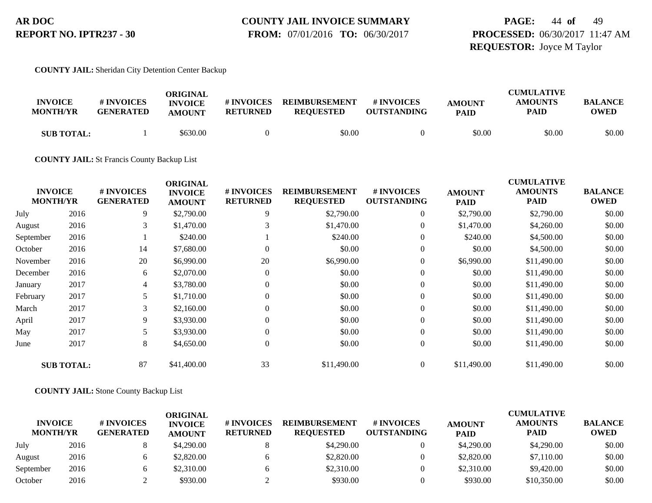### **COUNTY JAIL INVOICE SUMMARY FROM:** 07/01/2016 **TO:** 06/30/2017

# **PAGE:** 44 **of** 49 **PROCESSED:** 06/30/2017 11:47 AM **REQUESTOR:** Joyce M Taylor

#### **COUNTY JAIL:** Sheridan City Detention Center Backup

| <b>INVOICE</b><br><b>MONTH/YR</b> | # INVOICES<br><b>GENERATED</b> | ORIGINAL<br><b>INVOICE</b><br><b>AMOUNT</b> | # INVOICES<br><b>RETURNED</b> | <b>REIMBURSEMENT</b><br><b>REOUESTED</b> | <b>#INVOICES</b><br><b>OUTSTANDING</b> | <b>AMOUNT</b><br><b>PAID</b> | <b>CUMULATIVE</b><br><b>AMOUNTS</b><br><b>PAID</b> | BALANCE<br><b>OWED</b> |
|-----------------------------------|--------------------------------|---------------------------------------------|-------------------------------|------------------------------------------|----------------------------------------|------------------------------|----------------------------------------------------|------------------------|
| <b>SUB TOTAL:</b>                 |                                | \$630.00                                    |                               | \$0.00                                   |                                        | \$0.00                       | \$0.00                                             | \$0.00                 |

#### **COUNTY JAIL:** St Francis County Backup List

|           | <b>INVOICE</b><br><b>MONTH/YR</b> | # INVOICES<br><b>GENERATED</b> | <b>ORIGINAL</b><br><b>INVOICE</b><br><b>AMOUNT</b> | # INVOICES<br><b>RETURNED</b> | <b>REIMBURSEMENT</b><br><b>REQUESTED</b> | <b># INVOICES</b><br><b>OUTSTANDING</b> | <b>AMOUNT</b><br><b>PAID</b> | <b>CUMULATIVE</b><br><b>AMOUNTS</b><br><b>PAID</b> | <b>BALANCE</b><br><b>OWED</b> |
|-----------|-----------------------------------|--------------------------------|----------------------------------------------------|-------------------------------|------------------------------------------|-----------------------------------------|------------------------------|----------------------------------------------------|-------------------------------|
| July      | 2016                              | 9                              | \$2,790.00                                         | 9                             | \$2,790.00                               | $\overline{0}$                          | \$2,790.00                   | \$2,790.00                                         | \$0.00                        |
| August    | 2016                              | 3                              | \$1,470.00                                         |                               | \$1,470.00                               | $\overline{0}$                          | \$1,470.00                   | \$4,260.00                                         | \$0.00                        |
| September | 2016                              |                                | \$240.00                                           |                               | \$240.00                                 | $\overline{0}$                          | \$240.00                     | \$4,500.00                                         | \$0.00                        |
| October   | 2016                              | 14                             | \$7,680.00                                         |                               | \$0.00                                   | $\mathbf{0}$                            | \$0.00                       | \$4,500.00                                         | \$0.00                        |
| November  | 2016                              | 20                             | \$6,990.00                                         | 20                            | \$6,990.00                               | $\overline{0}$                          | \$6,990.00                   | \$11,490.00                                        | \$0.00                        |
| December  | 2016                              | 6                              | \$2,070.00                                         | $\Omega$                      | \$0.00                                   | $\mathbf{0}$                            | \$0.00                       | \$11,490.00                                        | \$0.00                        |
| January   | 2017                              | 4                              | \$3,780.00                                         | $\Omega$                      | \$0.00                                   | $\overline{0}$                          | \$0.00                       | \$11,490.00                                        | \$0.00                        |
| February  | 2017                              | 5                              | \$1,710.00                                         | $\theta$                      | \$0.00                                   | $\overline{0}$                          | \$0.00                       | \$11,490.00                                        | \$0.00                        |
| March     | 2017                              | 3                              | \$2,160.00                                         | $\Omega$                      | \$0.00                                   | $\mathbf{0}$                            | \$0.00                       | \$11,490.00                                        | \$0.00                        |
| April     | 2017                              | 9                              | \$3,930.00                                         | $\Omega$                      | \$0.00                                   | $\theta$                                | \$0.00                       | \$11,490.00                                        | \$0.00                        |
| May       | 2017                              | 5                              | \$3,930.00                                         | $\theta$                      | \$0.00                                   | $\overline{0}$                          | \$0.00                       | \$11,490.00                                        | \$0.00                        |
| June      | 2017                              | 8                              | \$4,650.00                                         | $\mathbf{0}$                  | \$0.00                                   | $\overline{0}$                          | \$0.00                       | \$11,490.00                                        | \$0.00                        |
|           | <b>SUB TOTAL:</b>                 | 87                             | \$41,400.00                                        | 33                            | \$11,490.00                              | $\overline{0}$                          | \$11,490.00                  | \$11,490.00                                        | \$0.00                        |

#### **COUNTY JAIL:** Stone County Backup List

| <b>INVOICE</b><br><b>MONTH/YR</b> |      | # INVOICES<br><b>GENERATED</b> | ORIGINAL<br><b>INVOICE</b><br><b>AMOUNT</b> | # INVOICES<br><b>RETURNED</b> | <b>REIMBURSEMENT</b><br><b>REOUESTED</b> | <b>#INVOICES</b><br><b>OUTSTANDING</b> | <b>AMOUNT</b><br><b>PAID</b> | <b>CUMULATIVE</b><br><b>AMOUNTS</b><br><b>PAID</b> | <b>BALANCE</b><br><b>OWED</b> |
|-----------------------------------|------|--------------------------------|---------------------------------------------|-------------------------------|------------------------------------------|----------------------------------------|------------------------------|----------------------------------------------------|-------------------------------|
| July                              | 2016 |                                | \$4,290.00                                  |                               | \$4,290.00                               |                                        | \$4,290.00                   | \$4,290.00                                         | \$0.00                        |
| August                            | 2016 |                                | \$2,820.00                                  |                               | \$2,820.00                               |                                        | \$2,820.00                   | \$7,110.00                                         | \$0.00                        |
| September                         | 2016 |                                | \$2,310.00                                  |                               | \$2,310.00                               |                                        | \$2,310.00                   | \$9,420.00                                         | \$0.00                        |
| October                           | 2016 |                                | \$930.00                                    |                               | \$930.00                                 |                                        | \$930.00                     | \$10,350.00                                        | \$0.00                        |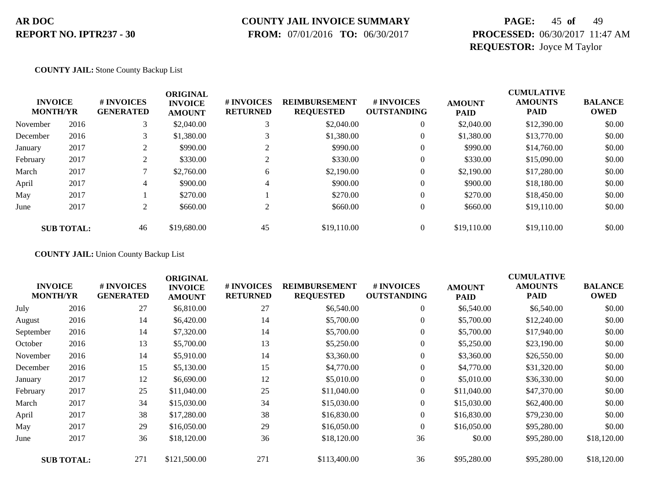### **COUNTY JAIL INVOICE SUMMARY**

 **FROM:** 07/01/2016 **TO:** 06/30/2017

# **PAGE:** 45 **of** 49 **PROCESSED:** 06/30/2017 11:47 AM **REQUESTOR:** Joyce M Taylor

#### **COUNTY JAIL:** Stone County Backup List

| <b>INVOICE</b><br><b>MONTH/YR</b> |                   | # INVOICES<br><b>GENERATED</b>  | <b>ORIGINAL</b><br><b>INVOICE</b><br><b>AMOUNT</b> | # INVOICES<br><b>RETURNED</b> | <b>REIMBURSEMENT</b><br><b>REQUESTED</b> | # INVOICES<br><b>OUTSTANDING</b> | <b>AMOUNT</b><br><b>PAID</b> | <b>CUMULATIVE</b><br><b>AMOUNTS</b><br><b>PAID</b> | <b>BALANCE</b><br><b>OWED</b> |
|-----------------------------------|-------------------|---------------------------------|----------------------------------------------------|-------------------------------|------------------------------------------|----------------------------------|------------------------------|----------------------------------------------------|-------------------------------|
| November                          | 2016              | 3                               | \$2,040.00                                         |                               | \$2,040.00                               | $\theta$                         | \$2,040.00                   | \$12,390.00                                        | \$0.00                        |
| December                          | 2016              | 3                               | \$1,380.00                                         |                               | \$1,380.00                               | $\theta$                         | \$1,380.00                   | \$13,770.00                                        | \$0.00                        |
| January                           | 2017              | <sup><math>\supset</math></sup> | \$990.00                                           |                               | \$990.00                                 | $\theta$                         | \$990.00                     | \$14,760.00                                        | \$0.00                        |
| February                          | 2017              | ◠                               | \$330.00                                           |                               | \$330.00                                 | 0                                | \$330.00                     | \$15,090.00                                        | \$0.00                        |
| March                             | 2017              |                                 | \$2,760.00                                         | 6                             | \$2,190.00                               | 0                                | \$2,190.00                   | \$17,280.00                                        | \$0.00                        |
| April                             | 2017              | 4                               | \$900.00                                           | 4                             | \$900.00                                 | $\theta$                         | \$900.00                     | \$18,180.00                                        | \$0.00                        |
| May                               | 2017              |                                 | \$270.00                                           |                               | \$270.00                                 | $\theta$                         | \$270.00                     | \$18,450.00                                        | \$0.00                        |
| June                              | 2017              | $\overline{c}$                  | \$660.00                                           | $\overline{2}$                | \$660.00                                 | 0                                | \$660.00                     | \$19,110.00                                        | \$0.00                        |
|                                   | <b>SUB TOTAL:</b> | 46                              | \$19,680.00                                        | 45                            | \$19,110.00                              |                                  | \$19,110.00                  | \$19,110.00                                        | \$0.00                        |

**COUNTY JAIL:** Union County Backup List

| <b>INVOICE</b><br><b>MONTH/YR</b> |                   | # INVOICES<br><b>GENERATED</b> | <b>ORIGINAL</b><br><b>INVOICE</b><br><b>AMOUNT</b> | # INVOICES<br><b>RETURNED</b> | <b>REIMBURSEMENT</b><br><b>REQUESTED</b> | # INVOICES<br><b>OUTSTANDING</b> | <b>AMOUNT</b><br><b>PAID</b> | <b>CUMULATIVE</b><br><b>AMOUNTS</b><br><b>PAID</b> | <b>BALANCE</b><br><b>OWED</b> |
|-----------------------------------|-------------------|--------------------------------|----------------------------------------------------|-------------------------------|------------------------------------------|----------------------------------|------------------------------|----------------------------------------------------|-------------------------------|
| July                              | 2016              | 27                             | \$6,810.00                                         | 27                            | \$6,540.00                               | $\boldsymbol{0}$                 | \$6,540.00                   | \$6,540.00                                         | \$0.00                        |
| August                            | 2016              | 14                             | \$6,420.00                                         | 14                            | \$5,700.00                               | $\boldsymbol{0}$                 | \$5,700.00                   | \$12,240.00                                        | \$0.00                        |
| September                         | 2016              | 14                             | \$7,320.00                                         | 14                            | \$5,700.00                               | $\boldsymbol{0}$                 | \$5,700.00                   | \$17,940.00                                        | \$0.00                        |
| October                           | 2016              | 13                             | \$5,700.00                                         | 13                            | \$5,250.00                               | $\boldsymbol{0}$                 | \$5,250.00                   | \$23,190.00                                        | \$0.00                        |
| November                          | 2016              | 14                             | \$5,910.00                                         | 14                            | \$3,360.00                               | $\boldsymbol{0}$                 | \$3,360.00                   | \$26,550.00                                        | \$0.00                        |
| December                          | 2016              | 15                             | \$5,130.00                                         | 15                            | \$4,770.00                               | $\overline{0}$                   | \$4,770.00                   | \$31,320.00                                        | \$0.00                        |
| January                           | 2017              | 12                             | \$6,690.00                                         | 12                            | \$5,010.00                               | $\boldsymbol{0}$                 | \$5,010.00                   | \$36,330.00                                        | \$0.00                        |
| February                          | 2017              | 25                             | \$11,040.00                                        | 25                            | \$11,040.00                              | $\overline{0}$                   | \$11,040.00                  | \$47,370.00                                        | \$0.00                        |
| March                             | 2017              | 34                             | \$15,030.00                                        | 34                            | \$15,030.00                              | $\overline{0}$                   | \$15,030.00                  | \$62,400.00                                        | \$0.00                        |
| April                             | 2017              | 38                             | \$17,280.00                                        | 38                            | \$16,830.00                              | $\overline{0}$                   | \$16,830.00                  | \$79,230.00                                        | \$0.00                        |
| May                               | 2017              | 29                             | \$16,050.00                                        | 29                            | \$16,050.00                              | $\mathbf{0}$                     | \$16,050.00                  | \$95,280.00                                        | \$0.00                        |
| June                              | 2017              | 36                             | \$18,120.00                                        | 36                            | \$18,120.00                              | 36                               | \$0.00                       | \$95,280.00                                        | \$18,120.00                   |
|                                   | <b>SUB TOTAL:</b> | 271                            | \$121,500.00                                       | 271                           | \$113,400.00                             | 36                               | \$95,280.00                  | \$95,280.00                                        | \$18,120.00                   |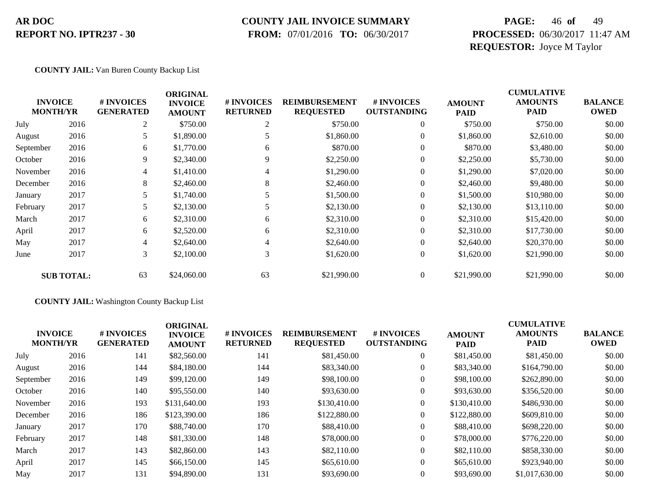### **COUNTY JAIL INVOICE SUMMARY**

 **FROM:** 07/01/2016 **TO:** 06/30/2017

# **PAGE:** 46 **of** 49 **PROCESSED:** 06/30/2017 11:47 AM **REQUESTOR:** Joyce M Taylor

#### **COUNTY JAIL:** Van Buren County Backup List

|           | <b>INVOICE</b><br><b>MONTH/YR</b> | # INVOICES<br><b>GENERATED</b> | <b>ORIGINAL</b><br><b>INVOICE</b><br><b>AMOUNT</b> | # INVOICES<br><b>RETURNED</b> | <b>REIMBURSEMENT</b><br><b>REQUESTED</b> | <b>#INVOICES</b><br><b>OUTSTANDING</b> | <b>AMOUNT</b><br><b>PAID</b> | <b>CUMULATIVE</b><br><b>AMOUNTS</b><br><b>PAID</b> | <b>BALANCE</b><br><b>OWED</b> |
|-----------|-----------------------------------|--------------------------------|----------------------------------------------------|-------------------------------|------------------------------------------|----------------------------------------|------------------------------|----------------------------------------------------|-------------------------------|
| July      | 2016                              | 2                              | \$750.00                                           | $\overline{2}$                | \$750.00                                 | $\overline{0}$                         | \$750.00                     | \$750.00                                           | \$0.00                        |
| August    | 2016                              | 5                              | \$1,890.00                                         |                               | \$1,860.00                               | $\overline{0}$                         | \$1,860.00                   | \$2,610.00                                         | \$0.00                        |
| September | 2016                              | 6                              | \$1,770.00                                         | 6                             | \$870.00                                 | $\theta$                               | \$870.00                     | \$3,480.00                                         | \$0.00                        |
| October   | 2016                              | 9.                             | \$2,340.00                                         | 9                             | \$2,250.00                               | $\overline{0}$                         | \$2,250.00                   | \$5,730.00                                         | \$0.00                        |
| November  | 2016                              | 4                              | \$1,410.00                                         | 4                             | \$1,290.00                               | 0                                      | \$1,290.00                   | \$7,020.00                                         | \$0.00                        |
| December  | 2016                              | 8                              | \$2,460.00                                         | 8                             | \$2,460.00                               | $\overline{0}$                         | \$2,460.00                   | \$9,480.00                                         | \$0.00                        |
| January   | 2017                              | 5                              | \$1,740.00                                         |                               | \$1,500.00                               | $\overline{0}$                         | \$1,500.00                   | \$10,980.00                                        | \$0.00                        |
| February  | 2017                              | 5                              | \$2,130.00                                         | 5                             | \$2,130.00                               | $\boldsymbol{0}$                       | \$2,130.00                   | \$13,110.00                                        | \$0.00                        |
| March     | 2017                              | 6                              | \$2,310.00                                         | 6                             | \$2,310.00                               | $\boldsymbol{0}$                       | \$2,310.00                   | \$15,420.00                                        | \$0.00                        |
| April     | 2017                              | 6                              | \$2,520.00                                         | 6                             | \$2,310.00                               | $\theta$                               | \$2,310.00                   | \$17,730.00                                        | \$0.00                        |
| May       | 2017                              | 4                              | \$2,640.00                                         | 4                             | \$2,640.00                               | $\overline{0}$                         | \$2,640.00                   | \$20,370.00                                        | \$0.00                        |
| June      | 2017                              | 3                              | \$2,100.00                                         | 3                             | \$1,620.00                               | 0                                      | \$1,620.00                   | \$21,990.00                                        | \$0.00                        |
|           | <b>SUB TOTAL:</b>                 | 63                             | \$24,060.00                                        | 63                            | \$21,990.00                              | $\overline{0}$                         | \$21,990.00                  | \$21,990.00                                        | \$0.00                        |

#### **COUNTY JAIL:** Washington County Backup List

| <b>INVOICE</b><br><b>MONTH/YR</b> |      | # INVOICES<br><b>GENERATED</b> | <b>ORIGINAL</b><br><b>INVOICE</b><br><b>AMOUNT</b> | <b># INVOICES</b><br><b>RETURNED</b> | <b>REIMBURSEMENT</b><br><b>REQUESTED</b> | # INVOICES<br><b>OUTSTANDING</b> | <b>AMOUNT</b><br><b>PAID</b> | <b>CUMULATIVE</b><br><b>AMOUNTS</b><br><b>PAID</b> | <b>BALANCE</b><br><b>OWED</b> |
|-----------------------------------|------|--------------------------------|----------------------------------------------------|--------------------------------------|------------------------------------------|----------------------------------|------------------------------|----------------------------------------------------|-------------------------------|
| July                              | 2016 | 141                            | \$82,560.00                                        | 141                                  | \$81,450.00                              | $\overline{0}$                   | \$81,450.00                  | \$81,450.00                                        | \$0.00                        |
| August                            | 2016 | 144                            | \$84,180.00                                        | 144                                  | \$83,340.00                              | $\overline{0}$                   | \$83,340.00                  | \$164,790.00                                       | \$0.00                        |
| September                         | 2016 | 149                            | \$99,120.00                                        | 149                                  | \$98,100.00                              | $\overline{0}$                   | \$98,100.00                  | \$262,890.00                                       | \$0.00                        |
| October                           | 2016 | 140                            | \$95,550.00                                        | 140                                  | \$93,630.00                              | $\overline{0}$                   | \$93,630.00                  | \$356,520.00                                       | \$0.00                        |
| November                          | 2016 | 193                            | \$131,640.00                                       | 193                                  | \$130,410.00                             | $\overline{0}$                   | \$130,410.00                 | \$486,930.00                                       | \$0.00                        |
| December                          | 2016 | 186                            | \$123,390.00                                       | 186                                  | \$122,880.00                             | $\overline{0}$                   | \$122,880.00                 | \$609,810.00                                       | \$0.00                        |
| January                           | 2017 | 170                            | \$88,740.00                                        | 170                                  | \$88,410.00                              | $\overline{0}$                   | \$88,410.00                  | \$698,220.00                                       | \$0.00                        |
| February                          | 2017 | 148                            | \$81,330.00                                        | 148                                  | \$78,000.00                              | $\overline{0}$                   | \$78,000.00                  | \$776,220.00                                       | \$0.00                        |
| March                             | 2017 | 143                            | \$82,860.00                                        | 143                                  | \$82,110.00                              | $\overline{0}$                   | \$82,110.00                  | \$858,330.00                                       | \$0.00                        |
| April                             | 2017 | 145                            | \$66,150.00                                        | 145                                  | \$65,610.00                              | $\overline{0}$                   | \$65,610.00                  | \$923,940.00                                       | \$0.00                        |
| May                               | 2017 | 131                            | \$94,890.00                                        | 131                                  | \$93,690.00                              | $\mathbf{0}$                     | \$93,690.00                  | \$1,017,630.00                                     | \$0.00                        |
|                                   |      |                                |                                                    |                                      |                                          |                                  |                              |                                                    |                               |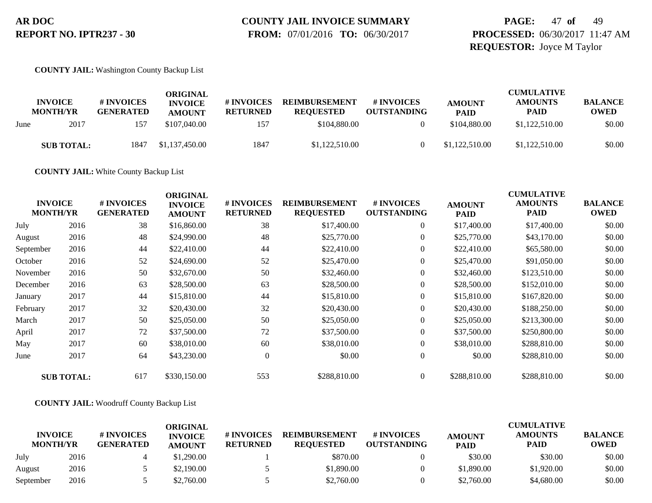# **COUNTY JAIL INVOICE SUMMARY**

 **FROM:** 07/01/2016 **TO:** 06/30/2017

### **PAGE:** 47 **of** 49 **PROCESSED:** 06/30/2017 11:47 AM **REQUESTOR:** Joyce M Taylor

**COUNTY JAIL:** Washington County Backup List

|      | <b>INVOICE</b><br><b>MONTH/YR</b> | # INVOICES<br><b>GENERATED</b> | ORIGINAL<br><b>INVOICE</b><br><b>AMOUNT</b> | # INVOICES<br><b>RETURNED</b> | <b>REIMBURSEMENT</b><br><b>REQUESTED</b> | # INVOICES<br><b>OUTSTANDING</b> | <b>AMOUNT</b><br><b>PAID</b> | <b>CUMULATIVE</b><br><b>AMOUNTS</b><br><b>PAID</b> | <b>BALANCE</b><br><b>OWED</b> |
|------|-----------------------------------|--------------------------------|---------------------------------------------|-------------------------------|------------------------------------------|----------------------------------|------------------------------|----------------------------------------------------|-------------------------------|
| June | 2017                              | 157                            | \$107,040.00                                | 157                           | \$104,880,00                             |                                  | \$104,880.00                 | \$1,122,510.00                                     | \$0.00                        |
|      | <b>SUB TOTAL:</b>                 | 1847                           | \$1,137,450.00                              | 1847                          | \$1,122,510.00                           |                                  | \$1,122,510.00               | \$1,122,510.00                                     | \$0.00                        |

**COUNTY JAIL:** White County Backup List

| <b>INVOICE</b><br><b>MONTH/YR</b> |                   | # INVOICES<br><b>GENERATED</b> | <b>ORIGINAL</b><br><b>INVOICE</b><br><b>AMOUNT</b> | # INVOICES<br><b>RETURNED</b> | <b>REIMBURSEMENT</b><br><b>REQUESTED</b> | # INVOICES<br><b>OUTSTANDING</b> | <b>AMOUNT</b><br><b>PAID</b> | <b>CUMULATIVE</b><br><b>AMOUNTS</b><br><b>PAID</b> | <b>BALANCE</b><br><b>OWED</b> |
|-----------------------------------|-------------------|--------------------------------|----------------------------------------------------|-------------------------------|------------------------------------------|----------------------------------|------------------------------|----------------------------------------------------|-------------------------------|
| July                              | 2016              | 38                             | \$16,860.00                                        | 38                            | \$17,400.00                              | $\boldsymbol{0}$                 | \$17,400.00                  | \$17,400.00                                        | \$0.00                        |
| August                            | 2016              | 48                             | \$24,990.00                                        | 48                            | \$25,770.00                              | $\boldsymbol{0}$                 | \$25,770.00                  | \$43,170.00                                        | \$0.00                        |
| September                         | 2016              | 44                             | \$22,410.00                                        | 44                            | \$22,410.00                              | $\overline{0}$                   | \$22,410.00                  | \$65,580.00                                        | \$0.00                        |
| October                           | 2016              | 52                             | \$24,690.00                                        | 52                            | \$25,470.00                              | $\overline{0}$                   | \$25,470.00                  | \$91,050.00                                        | \$0.00                        |
| November                          | 2016              | 50                             | \$32,670.00                                        | 50                            | \$32,460.00                              | $\overline{0}$                   | \$32,460.00                  | \$123,510.00                                       | \$0.00                        |
| December                          | 2016              | 63                             | \$28,500.00                                        | 63                            | \$28,500.00                              | $\boldsymbol{0}$                 | \$28,500.00                  | \$152,010.00                                       | \$0.00                        |
| January                           | 2017              | 44                             | \$15,810.00                                        | 44                            | \$15,810.00                              | $\overline{0}$                   | \$15,810.00                  | \$167,820.00                                       | \$0.00                        |
| February                          | 2017              | 32                             | \$20,430.00                                        | 32                            | \$20,430.00                              | $\overline{0}$                   | \$20,430.00                  | \$188,250.00                                       | \$0.00                        |
| March                             | 2017              | 50                             | \$25,050.00                                        | 50                            | \$25,050.00                              | $\boldsymbol{0}$                 | \$25,050.00                  | \$213,300.00                                       | \$0.00                        |
| April                             | 2017              | 72                             | \$37,500.00                                        | 72                            | \$37,500.00                              | $\overline{0}$                   | \$37,500.00                  | \$250,800.00                                       | \$0.00                        |
| May                               | 2017              | 60                             | \$38,010.00                                        | 60                            | \$38,010.00                              | $\overline{0}$                   | \$38,010.00                  | \$288,810.00                                       | \$0.00                        |
| June                              | 2017              | 64                             | \$43,230.00                                        | $\overline{0}$                | \$0.00                                   | $\overline{0}$                   | \$0.00                       | \$288.810.00                                       | \$0.00                        |
|                                   | <b>SUB TOTAL:</b> | 617                            | \$330,150.00                                       | 553                           | \$288,810.00                             | $\overline{0}$                   | \$288,810.00                 | \$288,810.00                                       | \$0.00                        |

#### **COUNTY JAIL:** Woodruff County Backup List

|                                   | ORIGINAL |                                |                                 |                               |                                          |                                  | <b>CUMULATIVE</b>            |                               |                               |  |
|-----------------------------------|----------|--------------------------------|---------------------------------|-------------------------------|------------------------------------------|----------------------------------|------------------------------|-------------------------------|-------------------------------|--|
| <b>INVOICE</b><br><b>MONTH/YR</b> |          | # INVOICES<br><b>GENERATED</b> | <b>INVOICE</b><br><b>AMOUNT</b> | # INVOICES<br><b>RETURNED</b> | <b>REIMBURSEMENT</b><br><b>REOUESTED</b> | # INVOICES<br><b>OUTSTANDING</b> | <b>AMOUNT</b><br><b>PAID</b> | <b>AMOUNTS</b><br><b>PAID</b> | <b>BALANCE</b><br><b>OWED</b> |  |
| July                              | 2016     |                                | \$1.290.00                      |                               | \$870.00                                 |                                  | \$30.00                      | \$30.00                       | \$0.00                        |  |
| August                            | 2016     |                                | \$2,190.00                      |                               | \$1,890.00                               |                                  | \$1,890.00                   | \$1,920.00                    | \$0.00                        |  |
| September                         | 2016     |                                | \$2,760.00                      |                               | \$2,760.00                               |                                  | \$2,760.00                   | \$4,680.00                    | \$0.00                        |  |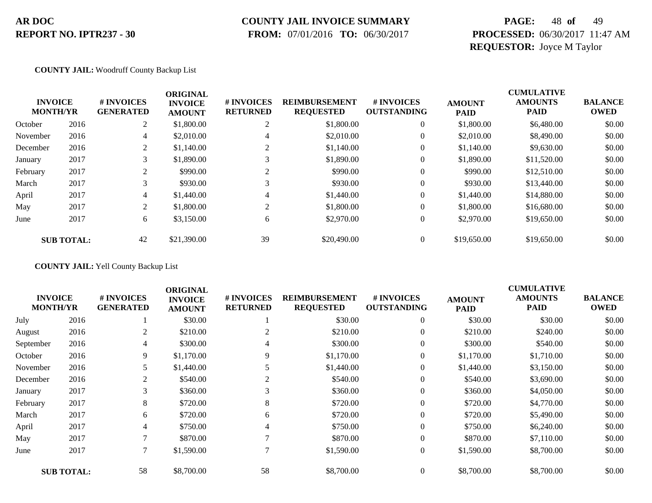### **COUNTY JAIL INVOICE SUMMARY**

 **FROM:** 07/01/2016 **TO:** 06/30/2017

# **PAGE:** 48 **of** 49 **PROCESSED:** 06/30/2017 11:47 AM **REQUESTOR:** Joyce M Taylor

#### **COUNTY JAIL:** Woodruff County Backup List

| <b>ORIGINAL</b> |                                   |                                |                                 |                                 |                                          |                                        | <b>CUMULATIVE</b>            |                               |                               |  |
|-----------------|-----------------------------------|--------------------------------|---------------------------------|---------------------------------|------------------------------------------|----------------------------------------|------------------------------|-------------------------------|-------------------------------|--|
|                 | <b>INVOICE</b><br><b>MONTH/YR</b> | # INVOICES<br><b>GENERATED</b> | <b>INVOICE</b><br><b>AMOUNT</b> | # INVOICES<br><b>RETURNED</b>   | <b>REIMBURSEMENT</b><br><b>REQUESTED</b> | <b>#INVOICES</b><br><b>OUTSTANDING</b> | <b>AMOUNT</b><br><b>PAID</b> | <b>AMOUNTS</b><br><b>PAID</b> | <b>BALANCE</b><br><b>OWED</b> |  |
| October         | 2016                              | 2                              | \$1,800.00                      | $\bigcap$<br>∠                  | \$1,800.00                               | $\overline{0}$                         | \$1,800.00                   | \$6,480.00                    | \$0.00                        |  |
| November        | 2016                              | 4                              | \$2,010.00                      | 4                               | \$2,010.00                               | $\theta$                               | \$2,010.00                   | \$8,490.00                    | \$0.00                        |  |
| December        | 2016                              | 2                              | \$1,140.00                      | <sup><math>\supset</math></sup> | \$1,140.00                               | $\theta$                               | \$1,140.00                   | \$9,630.00                    | \$0.00                        |  |
| January         | 2017                              | 3                              | \$1,890.00                      | 3                               | \$1,890.00                               | $\theta$                               | \$1,890.00                   | \$11,520.00                   | \$0.00                        |  |
| February        | 2017                              | 2                              | \$990.00                        | $\gamma$                        | \$990.00                                 | $\overline{0}$                         | \$990.00                     | \$12,510.00                   | \$0.00                        |  |
| March           | 2017                              | 3                              | \$930.00                        | 3                               | \$930.00                                 | $\theta$                               | \$930.00                     | \$13,440.00                   | \$0.00                        |  |
| April           | 2017                              | 4                              | \$1,440.00                      | 4                               | \$1,440.00                               | $\theta$                               | \$1,440.00                   | \$14,880.00                   | \$0.00                        |  |
| May             | 2017                              | 2                              | \$1,800.00                      | $\gamma$                        | \$1,800.00                               | $\overline{0}$                         | \$1,800.00                   | \$16,680.00                   | \$0.00                        |  |
| June            | 2017                              | 6                              | \$3,150.00                      | 6                               | \$2,970.00                               | $\boldsymbol{0}$                       | \$2,970.00                   | \$19,650.00                   | \$0.00                        |  |
|                 | <b>SUB TOTAL:</b>                 | 42                             | \$21,390.00                     | 39                              | \$20,490.00                              | $\overline{0}$                         | \$19,650.00                  | \$19,650.00                   | \$0.00                        |  |

**COUNTY JAIL:** Yell County Backup List

|           |                                   |                                | <b>ORIGINAL</b>                 |                               |                                          |                                  |                              | <b>CUMULATIVE</b>             |                               |
|-----------|-----------------------------------|--------------------------------|---------------------------------|-------------------------------|------------------------------------------|----------------------------------|------------------------------|-------------------------------|-------------------------------|
|           | <b>INVOICE</b><br><b>MONTH/YR</b> | # INVOICES<br><b>GENERATED</b> | <b>INVOICE</b><br><b>AMOUNT</b> | # INVOICES<br><b>RETURNED</b> | <b>REIMBURSEMENT</b><br><b>REQUESTED</b> | # INVOICES<br><b>OUTSTANDING</b> | <b>AMOUNT</b><br><b>PAID</b> | <b>AMOUNTS</b><br><b>PAID</b> | <b>BALANCE</b><br><b>OWED</b> |
| July      | 2016                              |                                | \$30.00                         |                               | \$30.00                                  | $\overline{0}$                   | \$30.00                      | \$30.00                       | \$0.00                        |
| August    | 2016                              | 2                              | \$210.00                        | 2                             | \$210.00                                 | $\overline{0}$                   | \$210.00                     | \$240.00                      | \$0.00                        |
| September | 2016                              | $\overline{4}$                 | \$300.00                        | 4                             | \$300.00                                 | $\overline{0}$                   | \$300.00                     | \$540.00                      | \$0.00                        |
| October   | 2016                              | 9                              | \$1,170.00                      | 9                             | \$1,170.00                               | $\overline{0}$                   | \$1,170.00                   | \$1,710.00                    | \$0.00                        |
| November  | 2016                              |                                | \$1,440.00                      | 5                             | \$1,440.00                               | $\overline{0}$                   | \$1,440.00                   | \$3,150.00                    | \$0.00                        |
| December  | 2016                              | 2                              | \$540.00                        | 2                             | \$540.00                                 | $\overline{0}$                   | \$540.00                     | \$3,690.00                    | \$0.00                        |
| January   | 2017                              | 3                              | \$360.00                        | 3                             | \$360.00                                 | $\overline{0}$                   | \$360.00                     | \$4,050.00                    | \$0.00                        |
| February  | 2017                              | 8                              | \$720.00                        | 8                             | \$720.00                                 | $\boldsymbol{0}$                 | \$720.00                     | \$4,770.00                    | \$0.00                        |
| March     | 2017                              | 6                              | \$720.00                        | 6                             | \$720.00                                 | $\overline{0}$                   | \$720.00                     | \$5,490.00                    | \$0.00                        |
| April     | 2017                              | 4                              | \$750.00                        | 4                             | \$750.00                                 | $\overline{0}$                   | \$750.00                     | \$6,240.00                    | \$0.00                        |
| May       | 2017                              | 7                              | \$870.00                        |                               | \$870.00                                 | $\overline{0}$                   | \$870.00                     | \$7,110.00                    | \$0.00                        |
| June      | 2017                              | $\tau$                         | \$1,590.00                      |                               | \$1,590.00                               | $\boldsymbol{0}$                 | \$1,590.00                   | \$8,700.00                    | \$0.00                        |
|           | <b>SUB TOTAL:</b>                 | 58                             | \$8,700.00                      | 58                            | \$8,700.00                               | $\overline{0}$                   | \$8,700.00                   | \$8,700.00                    | \$0.00                        |